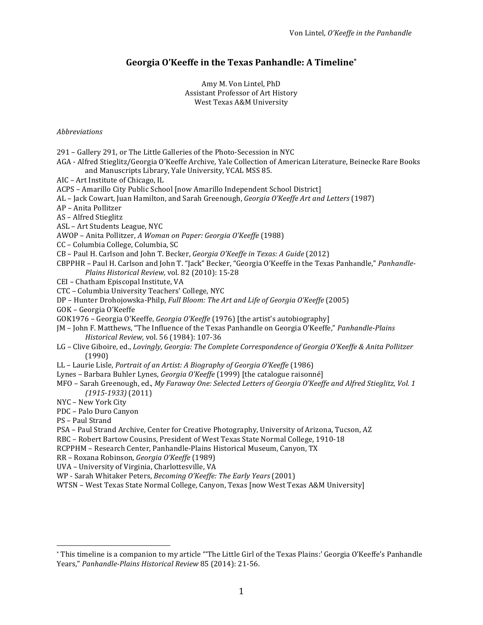# Georgia O'Keeffe in the Texas Panhandle: A Timeline<sup>\*</sup>

#### Amy M. Von Lintel, PhD Assistant Professor of Art History West Texas A&M University

#### *Abbreviations*

- 291 Gallery 291, or The Little Galleries of the Photo-Secession in NYC
- AGA Alfred Stieglitz/Georgia O'Keeffe Archive, Yale Collection of American Literature, Beinecke Rare Books and Manuscripts Library, Yale University, YCAL MSS 85.
- AIC Art Institute of Chicago, IL
- ACPS Amarillo City Public School [now Amarillo Independent School District]
- AL Jack Cowart, Juan Hamilton, and Sarah Greenough, *Georgia O'Keeffe Art and Letters* (1987)
- AP Anita Pollitzer
- AS Alfred Stieglitz
- ASL Art Students League, NYC
- AWOP Anita Pollitzer, A Woman on Paper: Georgia O'Keeffe (1988)
- CC Columbia College, Columbia, SC
- CB Paul H. Carlson and John T. Becker, *Georgia O'Keeffe in Texas: A Guide* (2012)
- CBPPHR Paul H. Carlson and John T. "Jack" Becker, "Georgia O'Keeffe in the Texas Panhandle," Panhandle-*Plains Historical Review,* vol. 82 (2010): 15-28
- CEI Chatham Episcopal Institute, VA
- CTC Columbia University Teachers' College, NYC
- DP Hunter Drohojowska-Philp, *Full Bloom: The Art and Life of Georgia O'Keeffe* (2005)
- GOK – Georgia O'Keeffe
- GOK1976 Georgia O'Keeffe, *Georgia O'Keeffe* (1976) [the artist's autobiography]
- JM John F. Matthews, "The Influence of the Texas Panhandle on Georgia O'Keeffe," *Panhandle-Plains Historical Review,* vol. 56 (1984): 107-36
- LG Clive Giboire, ed., *Lovingly, Georgia: The Complete Correspondence of Georgia O'Keeffe & Anita Pollitzer* (1990)
- LL Laurie Lisle, *Portrait of an Artist: A Biography of Georgia O'Keeffe* (1986)
- Lynes Barbara Buhler Lynes, *Georgia O'Keeffe* (1999) [the catalogue raisonné]
- MFO Sarah Greenough, ed., *My Faraway One: Selected Letters of Georgia O'Keeffe and Alfred Stieglitz, Vol. 1 (1915-1933)* (2011)
- NYC New York City
- PDC Palo Duro Canyon
- PS Paul Strand
- PSA Paul Strand Archive, Center for Creative Photography, University of Arizona, Tucson, AZ
- RBC Robert Bartow Cousins, President of West Texas State Normal College, 1910-18
- RCPPHM Research Center, Panhandle-Plains Historical Museum, Canyon, TX
- RR Roxana Robinson, *Georgia O'Keeffe* (1989)
- UVA University of Virginia, Charlottesville, VA

 

- WP Sarah Whitaker Peters, *Becoming O'Keeffe: The Early Years* (2001)
- WTSN West Texas State Normal College, Canyon, Texas [now West Texas A&M University]

<sup>\*</sup> This timeline is a companion to my article "'The Little Girl of the Texas Plains:' Georgia O'Keeffe's Panhandle Years," Panhandle-Plains Historical Review 85 (2014): 21-56.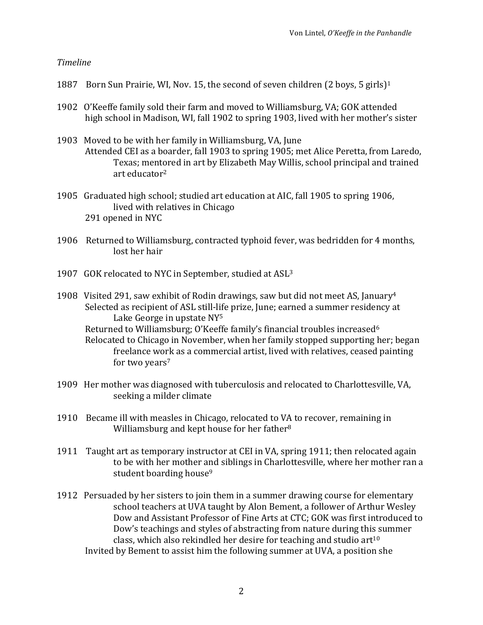# *Timeline*

- 1887 Born Sun Prairie, WI, Nov. 15, the second of seven children  $(2 \text{ boys}, 5 \text{ girls})^1$
- 1902 O'Keeffe family sold their farm and moved to Williamsburg, VA; GOK attended high school in Madison, WI, fall 1902 to spring 1903, lived with her mother's sister
- 1903 Moved to be with her family in Williamsburg, VA, June Attended CEI as a boarder, fall 1903 to spring 1905; met Alice Peretta, from Laredo, Texas; mentored in art by Elizabeth May Willis, school principal and trained art educator<sup>2</sup>
- 1905 Graduated high school; studied art education at AIC, fall 1905 to spring 1906, lived with relatives in Chicago 291 opened in NYC
- 1906 Returned to Williamsburg, contracted typhoid fever, was bedridden for 4 months, lost her hair
- 1907 GOK relocated to NYC in September, studied at  $ASL<sup>3</sup>$
- 1908 Visited 291, saw exhibit of Rodin drawings, saw but did not meet AS, January<sup>4</sup> Selected as recipient of ASL still-life prize, June; earned a summer residency at Lake George in upstate  $NY^5$ Returned to Williamsburg; O'Keeffe family's financial troubles increased<sup>6</sup> Relocated to Chicago in November, when her family stopped supporting her; began freelance work as a commercial artist, lived with relatives, ceased painting for two years<sup>7</sup>
- 1909 Her mother was diagnosed with tuberculosis and relocated to Charlottesville, VA, seeking a milder climate
- 1910 Became ill with measles in Chicago, relocated to VA to recover, remaining in Williamsburg and kept house for her father<sup>8</sup>
- 1911 Taught art as temporary instructor at CEI in VA, spring 1911; then relocated again to be with her mother and siblings in Charlottesville, where her mother ran a student boarding house<sup>9</sup>
- 1912 Persuaded by her sisters to join them in a summer drawing course for elementary school teachers at UVA taught by Alon Bement, a follower of Arthur Wesley Dow and Assistant Professor of Fine Arts at CTC; GOK was first introduced to Dow's teachings and styles of abstracting from nature during this summer class, which also rekindled her desire for teaching and studio art $10<sup>10</sup>$ Invited by Bement to assist him the following summer at UVA, a position she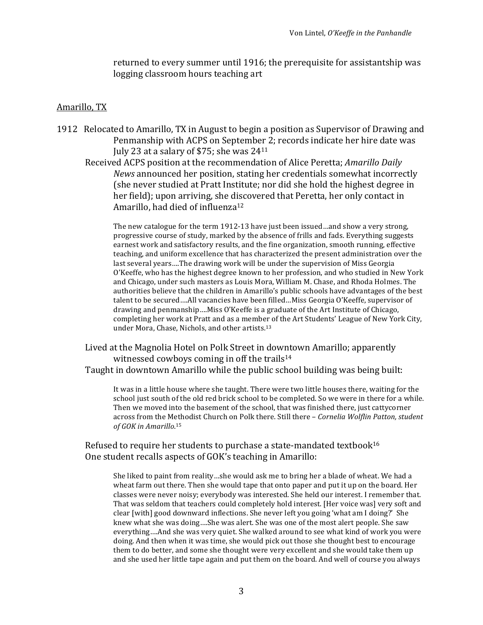returned to every summer until 1916; the prerequisite for assistantship was logging classroom hours teaching art

# Amarillo, TX

- 1912 Relocated to Amarillo, TX in August to begin a position as Supervisor of Drawing and Penmanship with ACPS on September 2; records indicate her hire date was July 23 at a salary of \$75; she was  $24^{11}$ 
	- Received ACPS position at the recommendation of Alice Peretta; *Amarillo Daily News* announced her position, stating her credentials somewhat incorrectly (she never studied at Pratt Institute; nor did she hold the highest degree in her field); upon arriving, she discovered that Peretta, her only contact in Amarillo, had died of influenza<sup>12</sup>

The new catalogue for the term  $1912-13$  have just been issued...and show a very strong, progressive course of study, marked by the absence of frills and fads. Everything suggests earnest work and satisfactory results, and the fine organization, smooth running, effective teaching, and uniform excellence that has characterized the present administration over the last several years....The drawing work will be under the supervision of Miss Georgia O'Keeffe, who has the highest degree known to her profession, and who studied in New York and Chicago, under such masters as Louis Mora, William M. Chase, and Rhoda Holmes. The authorities believe that the children in Amarillo's public schools have advantages of the best talent to be secured....All vacancies have been filled...Miss Georgia O'Keeffe, supervisor of drawing and penmanship....Miss O'Keeffe is a graduate of the Art Institute of Chicago, completing her work at Pratt and as a member of the Art Students' League of New York City, under Mora, Chase, Nichols, and other artists.<sup>13</sup>

Lived at the Magnolia Hotel on Polk Street in downtown Amarillo; apparently witnessed cowboys coming in off the trails $14$ Taught in downtown Amarillo while the public school building was being built:

It was in a little house where she taught. There were two little houses there, waiting for the school just south of the old red brick school to be completed. So we were in there for a while. Then we moved into the basement of the school, that was finished there, just cattycorner across from the Methodist Church on Polk there. Still there - *Cornelia Wolflin Patton, student of GOK in Amarillo*. 15

# Refused to require her students to purchase a state-mandated textbook<sup>16</sup> One student recalls aspects of GOK's teaching in Amarillo:

She liked to paint from reality...she would ask me to bring her a blade of wheat. We had a wheat farm out there. Then she would tape that onto paper and put it up on the board. Her classes were never noisy; everybody was interested. She held our interest. I remember that. That was seldom that teachers could completely hold interest. [Her voice was] very soft and clear [with] good downward inflections. She never left you going 'what am I doing?' She knew what she was doing....She was alert. She was one of the most alert people. She saw everything....And she was very quiet. She walked around to see what kind of work you were doing. And then when it was time, she would pick out those she thought best to encourage them to do better, and some she thought were very excellent and she would take them up and she used her little tape again and put them on the board. And well of course you always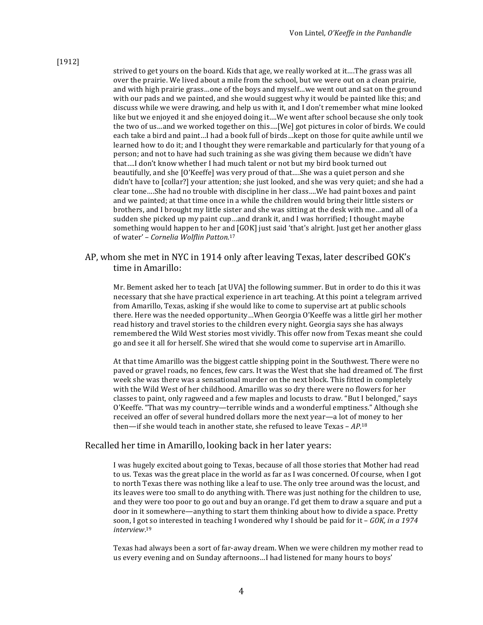### [1912]

strived to get yours on the board. Kids that age, we really worked at it....The grass was all over the prairie. We lived about a mile from the school, but we were out on a clean prairie, and with high prairie grass...one of the boys and myself...we went out and sat on the ground with our pads and we painted, and she would suggest why it would be painted like this; and discuss while we were drawing, and help us with it, and I don't remember what mine looked like but we enjoyed it and she enjoyed doing it....We went after school because she only took the two of us…and we worked together on this….[We] got pictures in color of birds. We could each take a bird and paint...I had a book full of birds...kept on those for quite awhile until we learned how to do it; and I thought they were remarkable and particularly for that young of a person; and not to have had such training as she was giving them because we didn't have that....I don't know whether I had much talent or not but my bird book turned out beautifully, and she [O'Keeffe] was very proud of that....She was a quiet person and she didn't have to [collar?] your attention; she just looked, and she was very quiet; and she had a clear tone….She had no trouble with discipline in her class….We had paint boxes and paint and we painted; at that time once in a while the children would bring their little sisters or brothers, and I brought my little sister and she was sitting at the desk with me...and all of a sudden she picked up my paint cup...and drank it, and I was horrified; I thought maybe something would happen to her and [GOK] just said 'that's alright. Just get her another glass of water' - Cornelia Wolflin Patton.<sup>17</sup>

## AP, whom she met in NYC in 1914 only after leaving Texas, later described GOK's time in Amarillo:

Mr. Bement asked her to teach [at UVA] the following summer. But in order to do this it was necessary that she have practical experience in art teaching. At this point a telegram arrived from Amarillo, Texas, asking if she would like to come to supervise art at public schools there. Here was the needed opportunity...When Georgia O'Keeffe was a little girl her mother read history and travel stories to the children every night. Georgia says she has always remembered the Wild West stories most vividly. This offer now from Texas meant she could go and see it all for herself. She wired that she would come to supervise art in Amarillo.

At that time Amarillo was the biggest cattle shipping point in the Southwest. There were no paved or gravel roads, no fences, few cars. It was the West that she had dreamed of. The first week she was there was a sensational murder on the next block. This fitted in completely with the Wild West of her childhood. Amarillo was so dry there were no flowers for her classes to paint, only ragweed and a few maples and locusts to draw. "But I belonged," says O'Keeffe. "That was my country—terrible winds and a wonderful emptiness." Although she received an offer of several hundred dollars more the next year—a lot of money to her then—if she would teach in another state, she refused to leave Texas - AP.<sup>18</sup>

#### Recalled her time in Amarillo, looking back in her later years:

I was hugely excited about going to Texas, because of all those stories that Mother had read to us. Texas was the great place in the world as far as I was concerned. Of course, when I got to north Texas there was nothing like a leaf to use. The only tree around was the locust, and its leaves were too small to do anything with. There was just nothing for the children to use, and they were too poor to go out and buy an orange. I'd get them to draw a square and put a door in it somewhere—anything to start them thinking about how to divide a space. Pretty soon, I got so interested in teaching I wondered why I should be paid for it – *GOK, in a 1974 interview*. 19

Texas had always been a sort of far-away dream. When we were children my mother read to us every evening and on Sunday afternoons...I had listened for many hours to boys'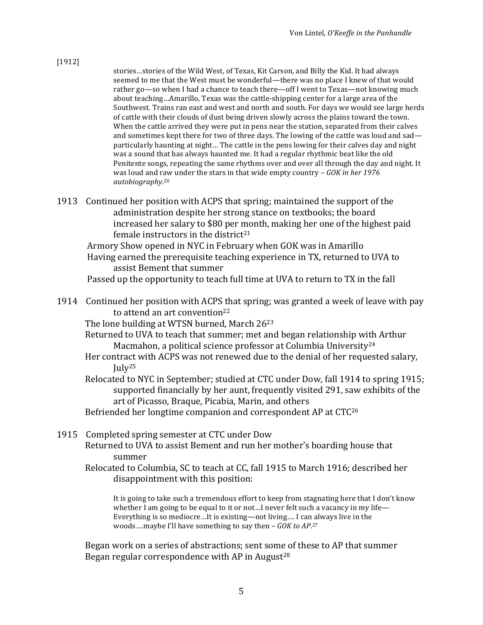### [1912]

stories...stories of the Wild West, of Texas, Kit Carson, and Billy the Kid. It had always seemed to me that the West must be wonderful—there was no place I knew of that would rather go—so when I had a chance to teach there—off I went to Texas—not knowing much about teaching...Amarillo, Texas was the cattle-shipping center for a large area of the Southwest. Trains ran east and west and north and south. For days we would see large herds of cattle with their clouds of dust being driven slowly across the plains toward the town. When the cattle arrived they were put in pens near the station, separated from their calves and sometimes kept there for two of three days. The lowing of the cattle was loud and sad particularly haunting at night... The cattle in the pens lowing for their calves day and night was a sound that has always haunted me. It had a regular rhythmic beat like the old Penitente songs, repeating the same rhythms over and over all through the day and night. It was loud and raw under the stars in that wide empty country - *GOK* in her 1976 *autobiography*. 20

- 1913 Continued her position with ACPS that spring; maintained the support of the administration despite her strong stance on textbooks; the board increased her salary to \$80 per month, making her one of the highest paid female instructors in the district<sup>21</sup>
	- Armory Show opened in NYC in February when GOK was in Amarillo Having earned the prerequisite teaching experience in TX, returned to UVA to assist Bement that summer
	- Passed up the opportunity to teach full time at UVA to return to TX in the fall
- 1914 Continued her position with ACPS that spring; was granted a week of leave with pay to attend an art convention<sup>22</sup>
	- The lone building at WTSN burned, March  $26^{23}$
	- Returned to UVA to teach that summer; met and began relationship with Arthur Macmahon, a political science professor at Columbia University<sup>24</sup>
	- Her contract with ACPS was not renewed due to the denial of her requested salary,  $\text{July}^{25}$
	- Relocated to NYC in September; studied at CTC under Dow, fall 1914 to spring 1915; supported financially by her aunt, frequently visited 291, saw exhibits of the art of Picasso, Braque, Picabia, Marin, and others

Befriended her longtime companion and correspondent AP at  $CTC^{26}$ 

- 1915 Completed spring semester at CTC under Dow Returned to UVA to assist Bement and run her mother's boarding house that summer
	- Relocated to Columbia, SC to teach at CC, fall 1915 to March 1916; described her disappointment with this position:

It is going to take such a tremendous effort to keep from stagnating here that I don't know whether I am going to be equal to it or not...I never felt such a vacancy in my life— Everything is so mediocre...It is existing—not living.... I can always live in the woods....maybe I'll have something to say then - *GOK to AP*.<sup>27</sup>

Began work on a series of abstractions; sent some of these to AP that summer Began regular correspondence with AP in August<sup>28</sup>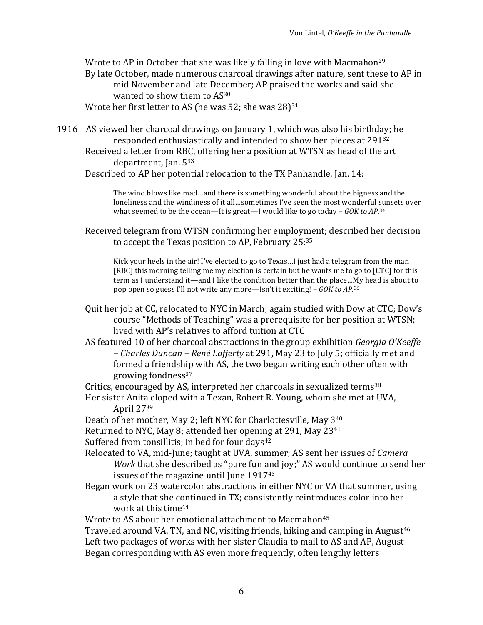Wrote to AP in October that she was likely falling in love with Macmahon<sup>29</sup> By late October, made numerous charcoal drawings after nature, sent these to AP in mid November and late December; AP praised the works and said she wanted to show them to  $AS^{30}$ Wrote her first letter to AS (he was 52; she was  $28$ )<sup>31</sup>

- 1916 AS viewed her charcoal drawings on January 1, which was also his birthday; he responded enthusiastically and intended to show her pieces at 291<sup>32</sup> Received a letter from RBC, offering her a position at WTSN as head of the art department. Ian. 533
	- Described to AP her potential relocation to the TX Panhandle, Jan. 14:

The wind blows like mad...and there is something wonderful about the bigness and the loneliness and the windiness of it all...sometimes I've seen the most wonderful sunsets over what seemed to be the ocean—It is great—I would like to go today - *GOK to AP*.<sup>34</sup>

Received telegram from WTSN confirming her employment; described her decision to accept the Texas position to AP, February  $25:35$ 

Kick your heels in the air! I've elected to go to Texas...I just had a telegram from the man [RBC] this morning telling me my election is certain but he wants me to go to [CTC] for this term as I understand it—and I like the condition better than the place...My head is about to pop open so guess I'll not write any more—Isn't it exciting! - *GOK to AP.*<sup>36</sup>

- Quit her job at CC, relocated to NYC in March; again studied with Dow at CTC; Dow's course "Methods of Teaching" was a prerequisite for her position at WTSN; lived with AP's relatives to afford tuition at CTC
- AS featured 10 of her charcoal abstractions in the group exhibition *Georgia O'Keeffe – Charles Duncan – René Lafferty* at 291, May 23 to July 5; officially met and formed a friendship with AS, the two began writing each other often with growing fondness $37$

Critics, encouraged by AS, interpreted her charcoals in sexualized terms<sup>38</sup>

Her sister Anita eloped with a Texan, Robert R. Young, whom she met at UVA, April 2739

Death of her mother, May 2; left NYC for Charlottesville, May 3<sup>40</sup>

Returned to NYC, May 8; attended her opening at 291, May 23<sup>41</sup>

Suffered from tonsillitis; in bed for four days $42$ 

Relocated to VA, mid-June; taught at UVA, summer; AS sent her issues of *Camera Work* that she described as "pure fun and joy;" AS would continue to send her issues of the magazine until June  $1917^{43}$ 

Began work on 23 watercolor abstractions in either NYC or VA that summer, using a style that she continued in TX; consistently reintroduces color into her work at this time<sup>44</sup>

Wrote to AS about her emotional attachment to Macmahon<sup>45</sup>

Traveled around VA, TN, and NC, visiting friends, hiking and camping in August<sup>46</sup> Left two packages of works with her sister Claudia to mail to AS and AP, August Began corresponding with AS even more frequently, often lengthy letters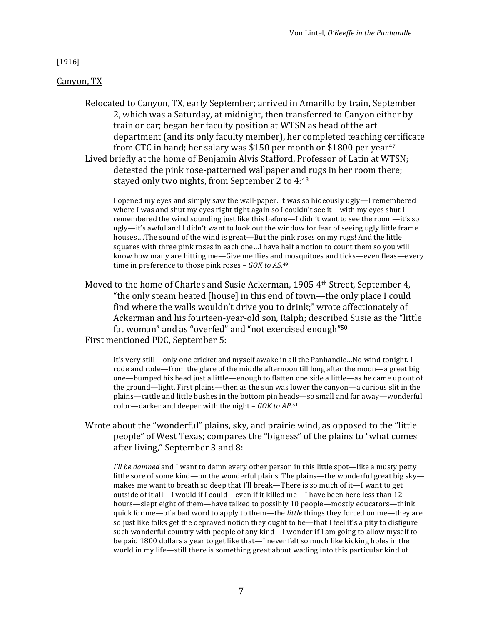# Canyon, TX

Relocated to Canyon, TX, early September; arrived in Amarillo by train, September 2, which was a Saturday, at midnight, then transferred to Canyon either by train or car; began her faculty position at WTSN as head of the art department (and its only faculty member), her completed teaching certificate from CTC in hand; her salary was \$150 per month or \$1800 per year<sup>47</sup> Lived briefly at the home of Benjamin Alvis Stafford, Professor of Latin at WTSN; detested the pink rose-patterned wallpaper and rugs in her room there; stayed only two nights, from September 2 to  $4:^{48}$ 

I opened my eyes and simply saw the wall-paper. It was so hideously  $ugly$ —I remembered where I was and shut my eyes right tight again so I couldn't see it—with my eyes shut I remembered the wind sounding just like this before—I didn't want to see the room—it's so  $ugly$ —it's awful and I didn't want to look out the window for fear of seeing ugly little frame houses....The sound of the wind is great—But the pink roses on my rugs! And the little squares with three pink roses in each one...I have half a notion to count them so you will know how many are hitting me—Give me flies and mosquitoes and ticks—even fleas—every time in preference to those pink roses – GOK to AS.<sup>49</sup>

Moved to the home of Charles and Susie Ackerman, 1905  $4<sup>th</sup>$  Street, September 4, "the only steam heated [house] in this end of town—the only place I could find where the walls wouldn't drive you to drink;" wrote affectionately of Ackerman and his fourteen-year-old son, Ralph; described Susie as the "little fat woman" and as "overfed" and "not exercised enough"50 First mentioned PDC, September 5:

It's very still—only one cricket and myself awake in all the Panhandle…No wind tonight. I rode and rode—from the glare of the middle afternoon till long after the moon—a great big one—bumped his head just a little—enough to flatten one side a little—as he came up out of the ground—light. First plains—then as the sun was lower the canyon—a curious slit in the plains—cattle and little bushes in the bottom pin heads—so small and far away—wonderful color—darker and deeper with the night - GOK to AP.<sup>51</sup>

# Wrote about the "wonderful" plains, sky, and prairie wind, as opposed to the "little people" of West Texas; compares the "bigness" of the plains to "what comes after living," September 3 and 8:

*I'll be damned* and I want to damn every other person in this little spot—like a musty petty little sore of some kind—on the wonderful plains. The plains—the wonderful great big sky makes me want to breath so deep that I'll break—There is so much of it—I want to get outside of it all—I would if I could—even if it killed me—I have been here less than 12 hours—slept eight of them—have talked to possibly 10 people—mostly educators—think quick for me—of a bad word to apply to them—the *little* things they forced on me—they are so just like folks get the depraved notion they ought to be—that I feel it's a pity to disfigure such wonderful country with people of any kind—I wonder if I am going to allow myself to be paid 1800 dollars a year to get like that—I never felt so much like kicking holes in the world in my life—still there is something great about wading into this particular kind of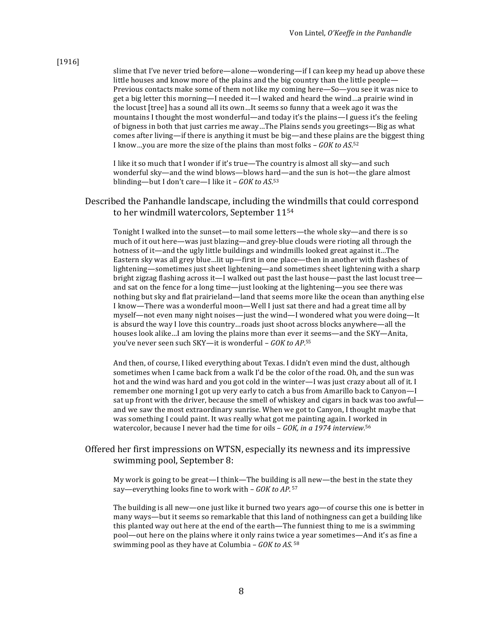slime that I've never tried before—alone—wondering—if I can keep my head up above these little houses and know more of the plains and the big country than the little people— Previous contacts make some of them not like my coming here—So—you see it was nice to get a big letter this morning—I needed it—I waked and heard the wind...a prairie wind in the locust [tree] has a sound all its own...It seems so funny that a week ago it was the mountains I thought the most wonderful—and today it's the plains—I guess it's the feeling of bigness in both that just carries me away...The Plains sends you greetings—Big as what comes after living—if there is anything it must be big—and these plains are the biggest thing I know...you are more the size of the plains than most folks – *GOK to AS*.<sup>52</sup>

I like it so much that I wonder if it's true—The country is almost all sky—and such wonderful sky—and the wind blows—blows hard—and the sun is hot—the glare almost blinding—but I don't care—I like it – *GOK to AS*.<sup>53</sup>

## Described the Panhandle landscape, including the windmills that could correspond to her windmill watercolors, September 11<sup>54</sup>

Tonight I walked into the sunset—to mail some letters—the whole sky—and there is so much of it out here—was just blazing—and grey-blue clouds were rioting all through the hotness of it—and the ugly little buildings and windmills looked great against it...The Eastern sky was all grey blue...lit up-first in one place-then in another with flashes of lightening—sometimes just sheet lightening—and sometimes sheet lightening with a sharp bright zigzag flashing across it—I walked out past the last house—past the last locust tree and sat on the fence for a long time-just looking at the lightening-you see there was nothing but sky and flat prairieland—land that seems more like the ocean than anything else I know—There was a wonderful moon—Well I just sat there and had a great time all by myself—not even many night noises—just the wind—I wondered what you were doing—It is absurd the way I love this country...roads just shoot across blocks anywhere—all the houses look alike...I am loving the plains more than ever it seems—and the SKY—Anita, you've never seen such SKY—it is wonderful – *GOK to AP*.<sup>55</sup>

And then, of course, I liked everything about Texas. I didn't even mind the dust, although sometimes when I came back from a walk I'd be the color of the road. Oh, and the sun was hot and the wind was hard and you got cold in the winter—I was just crazy about all of it. I remember one morning I got up very early to catch a bus from Amarillo back to Canyon—I sat up front with the driver, because the smell of whiskey and cigars in back was too awful and we saw the most extraordinary sunrise. When we got to Canyon, I thought maybe that was something I could paint. It was really what got me painting again. I worked in watercolor, because I never had the time for oils – *GOK, in a 1974 interview*.<sup>56</sup>

## Offered her first impressions on WTSN, especially its newness and its impressive swimming pool, September 8:

My work is going to be great—I think—The building is all new—the best in the state they say—everything looks fine to work with - GOK to AP. 57

The building is all new—one just like it burned two years ago—of course this one is better in many ways—but it seems so remarkable that this land of nothingness can get a building like this planted way out here at the end of the earth—The funniest thing to me is a swimming pool—out here on the plains where it only rains twice a year sometimes—And it's as fine a swimming pool as they have at Columbia – *GOK to AS.* <sup>58</sup>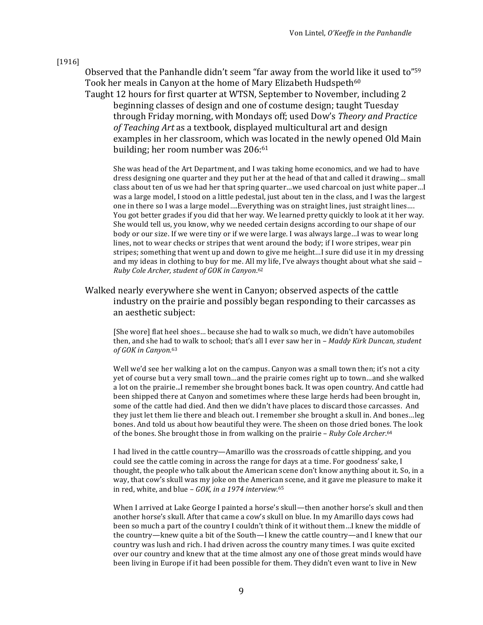Observed that the Panhandle didn't seem "far away from the world like it used to" $59$ Took her meals in Canyon at the home of Mary Elizabeth Hudspeth<sup>60</sup>

Taught 12 hours for first quarter at WTSN, September to November, including 2 beginning classes of design and one of costume design; taught Tuesday through Friday morning, with Mondays off; used Dow's *Theory and Practice* of Teaching Art as a textbook, displayed multicultural art and design examples in her classroom, which was located in the newly opened Old Main building; her room number was 206:<sup>61</sup>

She was head of the Art Department, and I was taking home economics, and we had to have dress designing one quarter and they put her at the head of that and called it drawing... small class about ten of us we had her that spring quarter…we used charcoal on just white paper…I was a large model, I stood on a little pedestal, just about ten in the class, and I was the largest one in there so I was a large model....Everything was on straight lines, just straight lines.... You got better grades if you did that her way. We learned pretty quickly to look at it her way. She would tell us, you know, why we needed certain designs according to our shape of our body or our size. If we were tiny or if we were large. I was always large...I was to wear long lines, not to wear checks or stripes that went around the body; if I wore stripes, wear pin stripes; something that went up and down to give me height...I sure did use it in my dressing and my ideas in clothing to buy for me. All my life, I've always thought about what she said – *Ruby Cole Archer, student of GOK in Canyon*. 62

Walked nearly everywhere she went in Canyon; observed aspects of the cattle industry on the prairie and possibly began responding to their carcasses as an aesthetic subject:

[She wore] flat heel shoes... because she had to walk so much, we didn't have automobiles then, and she had to walk to school; that's all I ever saw her in - *Maddy Kirk Duncan, student of GOK in Canyon.*<sup>63</sup>

Well we'd see her walking a lot on the campus. Canyon was a small town then; it's not a city yet of course but a very small town...and the prairie comes right up to town...and she walked a lot on the prairie...I remember she brought bones back. It was open country. And cattle had been shipped there at Canyon and sometimes where these large herds had been brought in, some of the cattle had died. And then we didn't have places to discard those carcasses. And they just let them lie there and bleach out. I remember she brought a skull in. And bones... leg bones. And told us about how beautiful they were. The sheen on those dried bones. The look of the bones. She brought those in from walking on the prairie - Ruby Cole Archer.<sup>64</sup>

I had lived in the cattle country—Amarillo was the crossroads of cattle shipping, and you could see the cattle coming in across the range for days at a time. For goodness' sake, I thought, the people who talk about the American scene don't know anything about it. So, in a way, that cow's skull was my joke on the American scene, and it gave me pleasure to make it in red, white, and blue - *GOK, in a 1974 interview.*<sup>65</sup>

When I arrived at Lake George I painted a horse's skull—then another horse's skull and then another horse's skull. After that came a cow's skull on blue. In my Amarillo days cows had been so much a part of the country I couldn't think of it without them...I knew the middle of the country—knew quite a bit of the South—I knew the cattle country—and I knew that our country was lush and rich. I had driven across the country many times. I was quite excited over our country and knew that at the time almost any one of those great minds would have been living in Europe if it had been possible for them. They didn't even want to live in New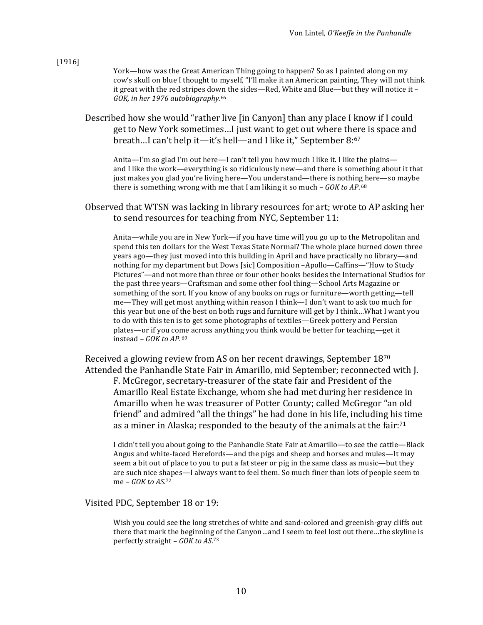York—how was the Great American Thing going to happen? So as I painted along on my cow's skull on blue I thought to myself, "I'll make it an American painting. They will not think it great with the red stripes down the sides—Red, White and Blue—but they will notice it -GOK, in her 1976 autobiography.<sup>66</sup>

Described how she would "rather live [in Canyon] than any place I know if I could get to New York sometimes...I just want to get out where there is space and breath...I can't help it—it's hell—and I like it," September 8:67

Anita—I'm so glad I'm out here—I can't tell you how much I like it. I like the plains and I like the work—everything is so ridiculously new—and there is something about it that just makes you glad you're living here—You understand—there is nothing here—so maybe there is something wrong with me that I am liking it so much  $-$  *GOK to AP*. <sup>68</sup>

## Observed that WTSN was lacking in library resources for art; wrote to AP asking her to send resources for teaching from NYC. September 11:

Anita—while you are in New York—if you have time will you go up to the Metropolitan and spend this ten dollars for the West Texas State Normal? The whole place burned down three years ago—they just moved into this building in April and have practically no library—and nothing for my department but Dows [sic] Composition -Apollo—Caffins—"How to Study Pictures"—and not more than three or four other books besides the International Studios for the past three years—Craftsman and some other fool thing—School Arts Magazine or something of the sort. If you know of any books on rugs or furniture—worth getting—tell me—They will get most anything within reason I think—I don't want to ask too much for this year but one of the best on both rugs and furniture will get by I think...What I want you to do with this ten is to get some photographs of textiles—Greek pottery and Persian plates—or if you come across anything you think would be better for teaching—get it  $int$ instead *– GOK to AP*. <sup>69</sup>

Received a glowing review from AS on her recent drawings, September 1870 Attended the Panhandle State Fair in Amarillo, mid September; reconnected with J. F. McGregor, secretary-treasurer of the state fair and President of the Amarillo Real Estate Exchange, whom she had met during her residence in Amarillo when he was treasurer of Potter County; called McGregor "an old friend" and admired "all the things" he had done in his life, including his time as a miner in Alaska; responded to the beauty of the animals at the fair:<sup>71</sup>

I didn't tell you about going to the Panhandle State Fair at Amarillo—to see the cattle—Black Angus and white-faced Herefords—and the pigs and sheep and horses and mules—It may seem a bit out of place to you to put a fat steer or pig in the same class as music—but they are such nice shapes—I always want to feel them. So much finer than lots of people seem to me *– GOK to AS*. 72 

## Visited PDC, September 18 or 19:

Wish you could see the long stretches of white and sand-colored and greenish-gray cliffs out there that mark the beginning of the Canyon…and I seem to feel lost out there…the skyline is perfectly straight – GOK to AS.<sup>73</sup>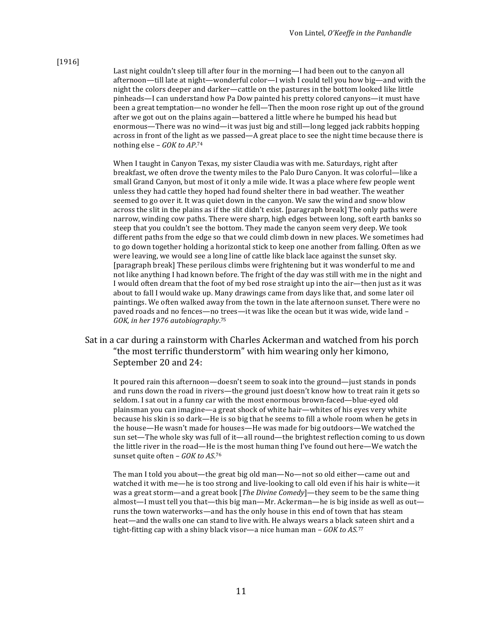Last night couldn't sleep till after four in the morning—I had been out to the canyon all afternoon—till late at night—wonderful color—I wish I could tell you how big—and with the night the colors deeper and darker—cattle on the pastures in the bottom looked like little pinheads—I can understand how Pa Dow painted his pretty colored canyons—it must have been a great temptation—no wonder he fell—Then the moon rose right up out of the ground after we got out on the plains again-battered a little where he bumped his head but enormous—There was no wind—it was just big and still—long legged jack rabbits hopping across in front of the light as we passed—A great place to see the night time because there is nothing else – *GOK* to AP.<sup>74</sup>

When I taught in Canyon Texas, my sister Claudia was with me. Saturdays, right after breakfast, we often drove the twenty miles to the Palo Duro Canyon. It was colorful—like a small Grand Canyon, but most of it only a mile wide. It was a place where few people went unless they had cattle they hoped had found shelter there in bad weather. The weather seemed to go over it. It was quiet down in the canyon. We saw the wind and snow blow across the slit in the plains as if the slit didn't exist. [paragraph break] The only paths were narrow, winding cow paths. There were sharp, high edges between long, soft earth banks so steep that you couldn't see the bottom. They made the canyon seem very deep. We took different paths from the edge so that we could climb down in new places. We sometimes had to go down together holding a horizontal stick to keep one another from falling. Often as we were leaving, we would see a long line of cattle like black lace against the sunset sky. [paragraph break] These perilous climbs were frightening but it was wonderful to me and not like anything I had known before. The fright of the day was still with me in the night and I would often dream that the foot of my bed rose straight up into the air—then just as it was about to fall I would wake up. Many drawings came from days like that, and some later oil paintings. We often walked away from the town in the late afternoon sunset. There were no paved roads and no fences—no trees—it was like the ocean but it was wide, wide land -GOK, in her 1976 autobiography.<sup>75</sup>

# Sat in a car during a rainstorm with Charles Ackerman and watched from his porch "the most terrific thunderstorm" with him wearing only her kimono, September 20 and 24:

It poured rain this afternoon—doesn't seem to soak into the ground—just stands in ponds and runs down the road in rivers—the ground just doesn't know how to treat rain it gets so seldom. I sat out in a funny car with the most enormous brown-faced—blue-eyed old plainsman you can imagine—a great shock of white hair—whites of his eyes very white because his skin is so dark—He is so big that he seems to fill a whole room when he gets in the house—He wasn't made for houses—He was made for big outdoors—We watched the sun set—The whole sky was full of it—all round—the brightest reflection coming to us down the little river in the road—He is the most human thing I've found out here—We watch the sunset quite often – GOK to AS.<sup>76</sup>

The man I told you about—the great big old man—No—not so old either—came out and watched it with me—he is too strong and live-looking to call old even if his hair is white—it was a great storm—and a great book [*The Divine Comedy*]—they seem to be the same thing almost—I must tell you that—this big man—Mr. Ackerman—he is big inside as well as out runs the town waterworks—and has the only house in this end of town that has steam heat—and the walls one can stand to live with. He always wears a black sateen shirt and a tight-fitting cap with a shiny black visor—a nice human man – GOK to AS.<sup>77</sup>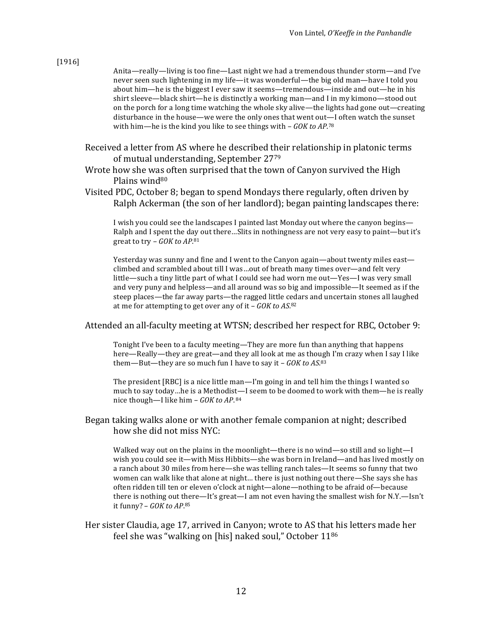Anita—really—living is too fine—Last night we had a tremendous thunder storm—and I've never seen such lightening in my life—it was wonderful—the big old man—have I told you about him—he is the biggest I ever saw it seems—tremendous—inside and out—he in his shirt sleeve—black shirt—he is distinctly a working man—and I in my kimono—stood out on the porch for a long time watching the whole sky alive—the lights had gone out—creating disturbance in the house—we were the only ones that went out—I often watch the sunset with him—he is the kind you like to see things with *– GOK to AP*.<sup>78</sup>

- Received a letter from AS where he described their relationship in platonic terms of mutual understanding, September 2779
- Wrote how she was often surprised that the town of Canyon survived the High Plains wind<sup>80</sup>
- Visited PDC, October 8; began to spend Mondays there regularly, often driven by Ralph Ackerman (the son of her landlord); began painting landscapes there:

I wish you could see the landscapes I painted last Monday out where the canyon begins— Ralph and I spent the day out there...Slits in nothingness are not very easy to paint—but it's great to try – *GOK* to AP.<sup>81</sup>

Yesterday was sunny and fine and I went to the Canyon again—about twenty miles east climbed and scrambled about till I was...out of breath many times over—and felt very little—such a tiny little part of what I could see had worn me out—Yes—I was very small and very puny and helpless—and all around was so big and impossible—It seemed as if the steep places—the far away parts—the ragged little cedars and uncertain stones all laughed at me for attempting to get over any of it – GOK to AS.<sup>82</sup>

Attended an all-faculty meeting at WTSN; described her respect for RBC, October 9:

Tonight I've been to a faculty meeting—They are more fun than anything that happens here—Really—they are great—and they all look at me as though I'm crazy when I say I like them—But—they are so much fun I have to say it – *GOK to AS*.<sup>83</sup>

The president  $[RBC]$  is a nice little man—I'm going in and tell him the things I wanted so much to say today...he is a Methodist-I seem to be doomed to work with them-he is really nice though—I like him - GOK to AP. 84

## Began taking walks alone or with another female companion at night; described how she did not miss NYC:

Walked way out on the plains in the moonlight—there is no wind—so still and so light—I wish you could see it—with Miss Hibbits—she was born in Ireland—and has lived mostly on a ranch about 30 miles from here—she was telling ranch tales—It seems so funny that two women can walk like that alone at night... there is just nothing out there—She says she has often ridden till ten or eleven o'clock at night-alone-nothing to be afraid of-because there is nothing out there—It's great—I am not even having the smallest wish for N.Y.—Isn't it funny? – *GOK* to AP.<sup>85</sup>

Her sister Claudia, age 17, arrived in Canyon; wrote to AS that his letters made her feel she was "walking on [his] naked soul," October  $11^{86}$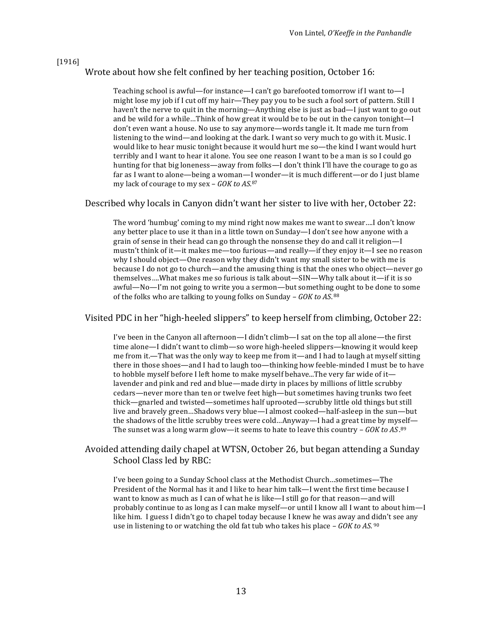# Wrote about how she felt confined by her teaching position, October 16:

Teaching school is awful—for instance—I can't go barefooted tomorrow if I want to—I might lose my job if I cut off my hair—They pay you to be such a fool sort of pattern. Still I haven't the nerve to quit in the morning—Anything else is just as bad—I just want to go out and be wild for a while...Think of how great it would be to be out in the canyon tonight—I don't even want a house. No use to say anymore—words tangle it. It made me turn from listening to the wind—and looking at the dark. I want so very much to go with it. Music. I would like to hear music tonight because it would hurt me so—the kind I want would hurt terribly and I want to hear it alone. You see one reason I want to be a man is so I could go hunting for that big loneness—away from folks—I don't think I'll have the courage to go as far as I want to alone—being a woman—I wonder—it is much different—or do I just blame my lack of courage to my sex - *GOK to AS.*<sup>87</sup>

## Described why locals in Canyon didn't want her sister to live with her, October 22:

The word 'humbug' coming to my mind right now makes me want to swear....I don't know any better place to use it than in a little town on Sunday—I don't see how anyone with a grain of sense in their head can go through the nonsense they do and call it religion— $I$ mustn't think of it—it makes me—too furious—and really—if they enjoy it—I see no reason why I should object—One reason why they didn't want my small sister to be with me is because I do not go to church—and the amusing thing is that the ones who object—never go themselves....What makes me so furious is talk about—SIN—Why talk about it—if it is so awful—No—I'm not going to write you a sermon—but something ought to be done to some of the folks who are talking to young folks on Sunday *– GOK to AS*. 88

# Visited PDC in her "high-heeled slippers" to keep herself from climbing, October 22:

I've been in the Canyon all afternoon—I didn't climb—I sat on the top all alone—the first time alone—I didn't want to climb—so wore high-heeled slippers—knowing it would keep me from it.—That was the only way to keep me from it—and I had to laugh at myself sitting there in those shoes—and I had to laugh too—thinking how feeble-minded I must be to have to hobble myself before I left home to make myself behave...The very far wide of it lavender and pink and red and blue—made dirty in places by millions of little scrubby cedars—never more than ten or twelve feet high—but sometimes having trunks two feet thick—gnarled and twisted—sometimes half uprooted—scrubby little old things but still live and bravely green...Shadows very blue—I almost cooked—half-asleep in the sun—but the shadows of the little scrubby trees were cold...Anyway—I had a great time by myself— The sunset was a long warm glow—it seems to hate to leave this country *– GOK to AS* .<sup>89</sup>

# Avoided attending daily chapel at WTSN, October 26, but began attending a Sunday School Class led by RBC:

I've been going to a Sunday School class at the Methodist Church...sometimes—The President of the Normal has it and I like to hear him talk—I went the first time because I want to know as much as I can of what he is like—I still go for that reason—and will probably continue to as long as I can make myself—or until I know all I want to about  $him - I$ like him. I guess I didn't go to chapel today because I knew he was away and didn't see any use in listening to or watching the old fat tub who takes his place – *GOK* to AS. <sup>90</sup>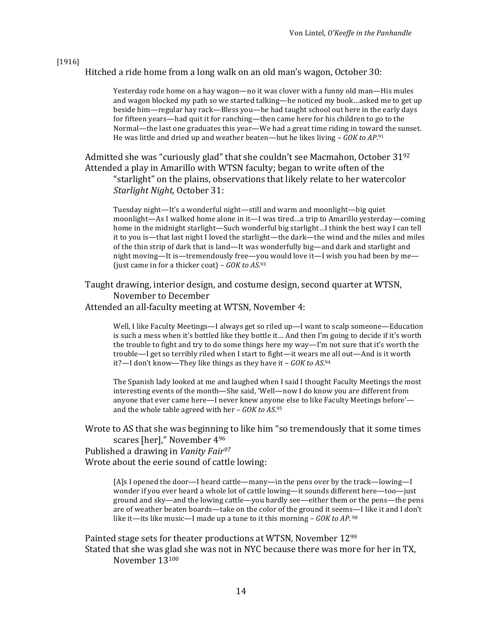Hitched a ride home from a long walk on an old man's wagon, October 30:

Yesterday rode home on a hay wagon—no it was clover with a funny old man—His mules and wagon blocked my path so we started talking—he noticed my book…asked me to get up beside him—regular hay rack—Bless you—he had taught school out here in the early days for fifteen years—had quit it for ranching—then came here for his children to go to the Normal—the last one graduates this year—We had a great time riding in toward the sunset. He was little and dried up and weather beaten—but he likes living – GOK to AP.<sup>91</sup>

Admitted she was "curiously glad" that she couldn't see Macmahon, October  $31^{92}$ Attended a play in Amarillo with WTSN faculty; began to write often of the "starlight" on the plains, observations that likely relate to her watercolor *Starlight Night, October 31:* 

Tuesday night—It's a wonderful night—still and warm and moonlight—big quiet moonlight—As I walked home alone in it—I was tired...a trip to Amarillo yesterday—coming home in the midnight starlight—Such wonderful big starlight...I think the best way I can tell it to you is—that last night I loved the starlight—the dark—the wind and the miles and miles of the thin strip of dark that is land—It was wonderfully big—and dark and starlight and night moving—It is—tremendously free—you would love it—I wish you had been by me— (just came in for a thicker coat)  $-$  GOK to AS.<sup>93</sup>

Taught drawing, interior design, and costume design, second quarter at WTSN, November to December

Attended an all-faculty meeting at WTSN, November 4:

Well, I like Faculty Meetings—I always get so riled up—I want to scalp someone—Education is such a mess when it's bottled like they bottle it... And then I'm going to decide if it's worth the trouble to fight and try to do some things here my way—I'm not sure that it's worth the trouble—I get so terribly riled when I start to fight—it wears me all out—And is it worth it?—I don't know—They like things as they have it – GOK to AS.<sup>94</sup>

The Spanish lady looked at me and laughed when I said I thought Faculty Meetings the most interesting events of the month—She said, 'Well—now I do know you are different from anyone that ever came here—I never knew anyone else to like Faculty Meetings before' and the whole table agreed with her – GOK to AS.<sup>95</sup>

Wrote to AS that she was beginning to like him "so tremendously that it some times scares [her]," November 4<sup>96</sup>

Published a drawing in *Vanity Fair<sup>97</sup>* Wrote about the eerie sound of cattle lowing:

> $[A]$ s I opened the door—I heard cattle—many—in the pens over by the track—lowing—I wonder if you ever heard a whole lot of cattle lowing—it sounds different here—too—just ground and sky—and the lowing cattle—you hardly see—either them or the pens—the pens are of weather beaten boards—take on the color of the ground it seems—I like it and I don't like it—its like music—I made up a tune to it this morning – GOK to AP. 98

Painted stage sets for theater productions at WTSN, November 12<sup>99</sup> Stated that she was glad she was not in NYC because there was more for her in TX, November 13100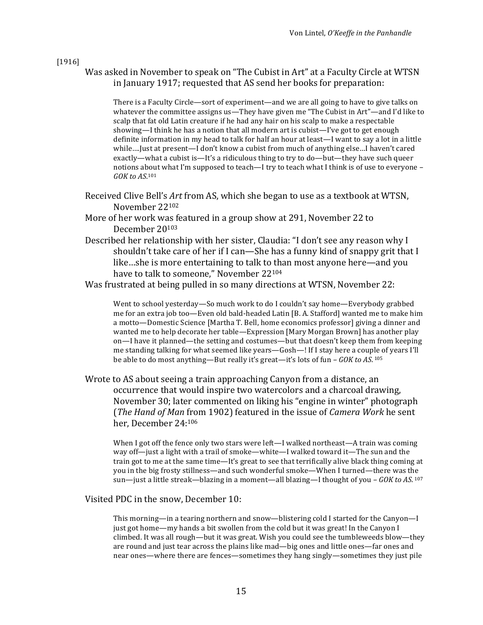Was asked in November to speak on "The Cubist in Art" at a Faculty Circle at WTSN in January 1917; requested that AS send her books for preparation:

There is a Faculty Circle—sort of experiment—and we are all going to have to give talks on whatever the committee assigns us—They have given me "The Cubist in Art"—and I'd like to scalp that fat old Latin creature if he had any hair on his scalp to make a respectable showing—I think he has a notion that all modern art is cubist—I've got to get enough definite information in my head to talk for half an hour at least—I want to say a lot in a little while....Iust at present—I don't know a cubist from much of anything else...I haven't cared exactly—what a cubist is—It's a ridiculous thing to try to  $do$ —but—they have such queer notions about what I'm supposed to teach—I try to teach what I think is of use to everyone – *GOK to AS*. 101

Received Clive Bell's Art from AS, which she began to use as a textbook at WTSN, November 22102

More of her work was featured in a group show at 291, November 22 to December 20103

Described her relationship with her sister, Claudia: "I don't see any reason why I shouldn't take care of her if I can—She has a funny kind of snappy grit that I like...she is more entertaining to talk to than most anyone here—and you have to talk to someone," November 22<sup>104</sup>

Was frustrated at being pulled in so many directions at WTSN, November 22:

Went to school yesterday—So much work to do I couldn't say home—Everybody grabbed me for an extra job too—Even old bald-headed Latin [B. A. Stafford] wanted me to make him a motto—Domestic Science [Martha T. Bell, home economics professor] giving a dinner and wanted me to help decorate her table—Expression [Mary Morgan Brown] has another play on—I have it planned—the setting and costumes—but that doesn't keep them from keeping me standing talking for what seemed like years—Gosh—! If I stay here a couple of years I'll be able to do most anything—But really it's great—it's lots of fun – GOK to AS.<sup>105</sup>

Wrote to AS about seeing a train approaching Canyon from a distance, an occurrence that would inspire two watercolors and a charcoal drawing, November 30; later commented on liking his "engine in winter" photograph (*The Hand of Man* from 1902) featured in the issue of *Camera Work* he sent her, December 24:<sup>106</sup>

When I got off the fence only two stars were left—I walked northeast—A train was coming way off—just a light with a trail of smoke—white—I walked toward it—The sun and the train got to me at the same time—It's great to see that terrifically alive black thing coming at you in the big frosty stillness—and such wonderful smoke—When I turned—there was the sun—just a little streak—blazing in a moment—all blazing—I thought of you – GOK to AS. 107

## Visited PDC in the snow, December 10:

This morning—in a tearing northern and snow—blistering cold I started for the Canyon—I just got home—my hands a bit swollen from the cold but it was great! In the Canyon I climbed. It was all rough—but it was great. Wish you could see the tumbleweeds blow—they are round and just tear across the plains like mad—big ones and little ones—far ones and near ones—where there are fences—sometimes they hang singly—sometimes they just pile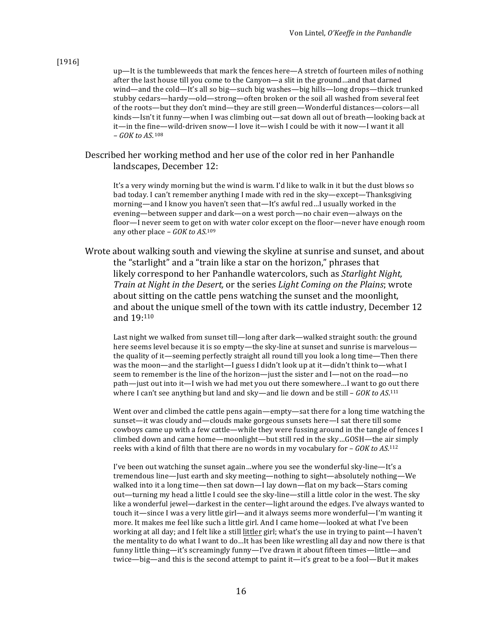up—It is the tumbleweeds that mark the fences here—A stretch of fourteen miles of nothing after the last house till you come to the Canyon—a slit in the ground…and that darned wind—and the cold—It's all so big—such big washes—big hills—long drops—thick trunked stubby cedars—hardy—old—strong—often broken or the soil all washed from several feet of the roots—but they don't mind—they are still green—Wonderful distances—colors—all kinds—Isn't it funny—when I was climbing out—sat down all out of breath—looking back at it—in the fine—wild-driven snow—I love it—wish I could be with it now—I want it all *– GOK to AS*. <sup>108</sup>

# Described her working method and her use of the color red in her Panhandle landscapes, December 12:

It's a very windy morning but the wind is warm. I'd like to walk in it but the dust blows so bad today. I can't remember anything I made with red in the sky—except—Thanksgiving morning—and I know you haven't seen that—It's awful red...I usually worked in the evening—between supper and dark—on a west porch—no chair even—always on the floor—I never seem to get on with water color except on the floor—never have enough room any other place – *GOK to AS*.<sup>109</sup>

Wrote about walking south and viewing the skyline at sunrise and sunset, and about the "starlight" and a "train like a star on the horizon," phrases that likely correspond to her Panhandle watercolors, such as *Starlight Night*, *Train at Night in the Desert,* or the series *Light Coming on the Plains*; wrote about sitting on the cattle pens watching the sunset and the moonlight, and about the unique smell of the town with its cattle industry, December 12 and 19:110

Last night we walked from sunset till—long after dark—walked straight south: the ground here seems level because it is so empty—the sky-line at sunset and sunrise is marvelous the quality of it—seeming perfectly straight all round till you look a long time—Then there was the moon—and the starlight—I guess I didn't look up at it—didn't think to—what I seem to remember is the line of the horizon—just the sister and I—not on the road—no path—just out into it—I wish we had met you out there somewhere...I want to go out there where I can't see anything but land and sky—and lie down and be still – *GOK to AS*.<sup>111</sup>

Went over and climbed the cattle pens again—empty—sat there for a long time watching the sunset—it was cloudy and—clouds make gorgeous sunsets here—I sat there till some cowboys came up with a few cattle—while they were fussing around in the tangle of fences I climbed down and came home—moonlight—but still red in the sky...GOSH—the air simply reeks with a kind of filth that there are no words in my vocabulary for - *GOK to AS.*<sup>112</sup>

I've been out watching the sunset again...where you see the wonderful sky-line—It's a tremendous line—Just earth and sky meeting—nothing to sight—absolutely nothing—We walked into it a long time—then sat down—I lay down—flat on my back—Stars coming out—turning my head a little I could see the sky-line—still a little color in the west. The sky like a wonderful jewel—darkest in the center—light around the edges. I've always wanted to touch it—since I was a very little girl—and it always seems more wonderful—I'm wanting it more. It makes me feel like such a little girl. And I came home—looked at what I've been working at all day; and I felt like a still littler girl; what's the use in trying to paint—I haven't the mentality to do what I want to do...It has been like wrestling all day and now there is that funny little thing—it's screamingly funny—I've drawn it about fifteen times—little—and twice—big—and this is the second attempt to paint it—it's great to be a fool—But it makes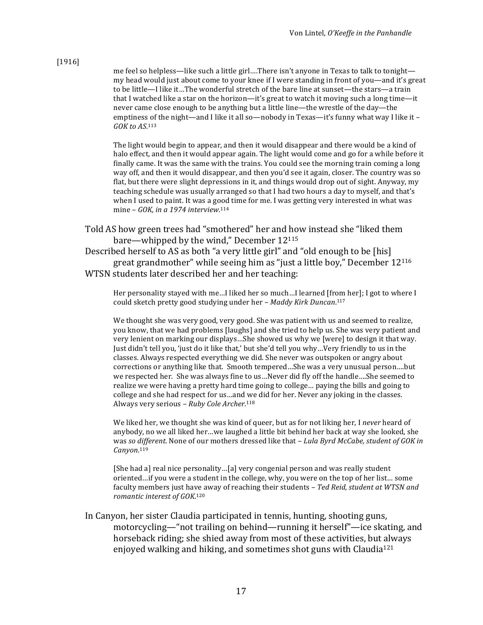me feel so helpless—like such a little girl....There isn't anyone in Texas to talk to tonight my head would just about come to your knee if I were standing in front of you—and it's great to be little—I like it…The wonderful stretch of the bare line at sunset—the stars—a train that I watched like a star on the horizon—it's great to watch it moving such a long time—it never came close enough to be anything but a little line—the wrestle of the day—the emptiness of the night—and I like it all so—nobody in Texas—it's funny what way I like it -*GOK to AS*. 113

The light would begin to appear, and then it would disappear and there would be a kind of halo effect, and then it would appear again. The light would come and go for a while before it finally came. It was the same with the trains. You could see the morning train coming a long way off, and then it would disappear, and then you'd see it again, closer. The country was so flat, but there were slight depressions in it, and things would drop out of sight. Anyway, my teaching schedule was usually arranged so that I had two hours a day to myself, and that's when I used to paint. It was a good time for me. I was getting very interested in what was mine – *GOK, in a 1974 interview*.<sup>114</sup>

Told AS how green trees had "smothered" her and how instead she "liked them bare—whipped by the wind," December  $12^{115}$ 

Described herself to AS as both "a very little girl" and "old enough to be [his] great grandmother" while seeing him as "just a little boy," December  $12^{116}$ WTSN students later described her and her teaching:

Her personality stayed with me...I liked her so much...I learned [from her]; I got to where I could sketch pretty good studying under her - Maddy Kirk Duncan.<sup>117</sup>

We thought she was very good, very good. She was patient with us and seemed to realize, you know, that we had problems [laughs] and she tried to help us. She was very patient and very lenient on marking our displays...She showed us why we [were] to design it that way. Just didn't tell you, 'just do it like that,' but she'd tell you why...Very friendly to us in the classes. Always respected everything we did. She never was outspoken or angry about corrections or anything like that. Smooth tempered...She was a very unusual person....but we respected her. She was always fine to us...Never did fly off the handle....She seemed to realize we were having a pretty hard time going to college... paying the bills and going to college and she had respect for us...and we did for her. Never any joking in the classes. Always very serious *– Ruby Cole Archer*. 118

We liked her, we thought she was kind of queer, but as for not liking her, I *never* heard of anybody, no we all liked her…we laughed a little bit behind her back at way she looked, she was so different. None of our mothers dressed like that - *Lula Byrd McCabe, student of GOK* in *Canyon*. 119

[She had a] real nice personality…[a] very congenial person and was really student oriented...if you were a student in the college, why, you were on the top of her list... some faculty members just have away of reaching their students *– Ted Reid, student at WTSN and romantic interest of GOK*. 120

In Canyon, her sister Claudia participated in tennis, hunting, shooting guns, motorcycling—"not trailing on behind—running it herself"—ice skating, and horseback riding; she shied away from most of these activities, but always enjoyed walking and hiking, and sometimes shot guns with Claudia<sup>121</sup>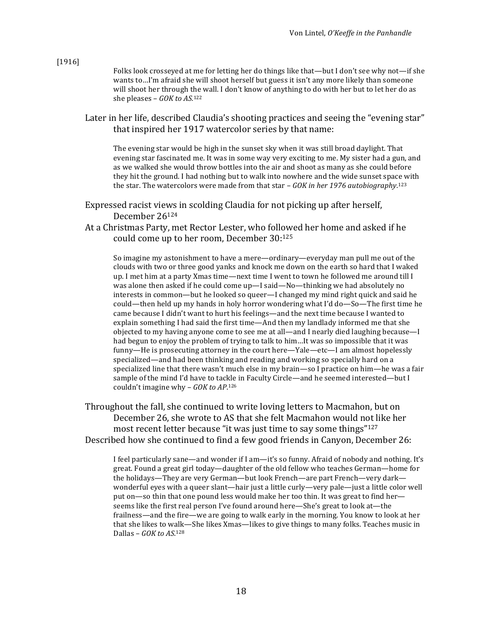Folks look crosseyed at me for letting her do things like that—but I don't see why not—if she wants to...I'm afraid she will shoot herself but guess it isn't any more likely than someone will shoot her through the wall. I don't know of anything to do with her but to let her do as she pleases – *GOK to AS*.<sup>122</sup>

Later in her life, described Claudia's shooting practices and seeing the "evening star" that inspired her 1917 watercolor series by that name:

The evening star would be high in the sunset sky when it was still broad daylight. That evening star fascinated me. It was in some way very exciting to me. My sister had a gun, and as we walked she would throw bottles into the air and shoot as many as she could before they hit the ground. I had nothing but to walk into nowhere and the wide sunset space with the star. The watercolors were made from that star – GOK in her 1976 autobiography.<sup>123</sup>

Expressed racist views in scolding Claudia for not picking up after herself, December 26<sup>124</sup>

At a Christmas Party, met Rector Lester, who followed her home and asked if he could come up to her room, December 30:<sup>125</sup>

So imagine my astonishment to have a mere—ordinary—everyday man pull me out of the clouds with two or three good vanks and knock me down on the earth so hard that I waked up. I met him at a party Xmas time—next time I went to town he followed me around till I was alone then asked if he could come  $up-$ I said—No—thinking we had absolutely no interests in common—but he looked so queer—I changed my mind right quick and said he could—then held up my hands in holy horror wondering what I'd  $do$ —So—The first time he came because I didn't want to hurt his feelings—and the next time because I wanted to explain something I had said the first time—And then my landlady informed me that she objected to my having anyone come to see me at all—and I nearly died laughing because—I had begun to enjoy the problem of trying to talk to him...It was so impossible that it was funny—He is prosecuting attorney in the court here—Yale—etc—I am almost hopelessly specialized—and had been thinking and reading and working so specially hard on a specialized line that there wasn't much else in my brain—so I practice on him—he was a fair sample of the mind I'd have to tackle in Faculty Circle—and he seemed interested—but I couldn't imagine why - GOK to AP.<sup>126</sup>

Throughout the fall, she continued to write loving letters to Macmahon, but on December 26, she wrote to AS that she felt Macmahon would not like her most recent letter because "it was just time to say some things"<sup>127</sup> Described how she continued to find a few good friends in Canyon, December 26:

I feel particularly sane—and wonder if I am—it's so funny. Afraid of nobody and nothing. It's great. Found a great girl today—daughter of the old fellow who teaches German—home for the holidays—They are very German—but look French—are part French—very dark wonderful eves with a queer slant—hair just a little curly—very pale—just a little color well put on—so thin that one pound less would make her too thin. It was great to find her seems like the first real person I've found around here—She's great to look at—the frailness—and the fire—we are going to walk early in the morning. You know to look at her that she likes to walk—She likes Xmas—likes to give things to many folks. Teaches music in Dallas - *GOK* to AS.<sup>128</sup>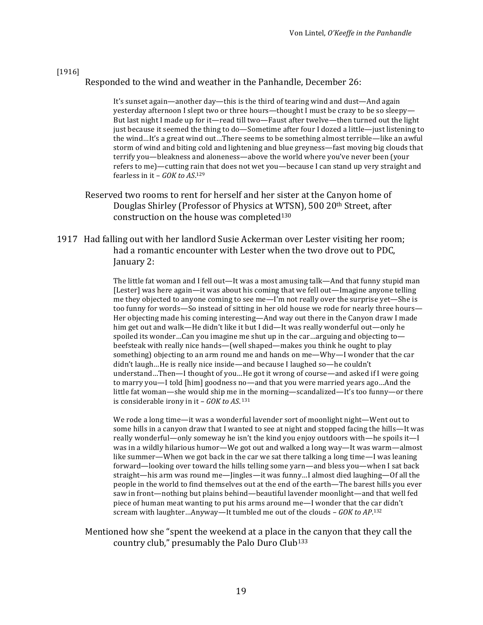## [1916] Responded to the wind and weather in the Panhandle, December 26:

It's sunset again—another day—this is the third of tearing wind and dust—And again yesterday afternoon I slept two or three hours—thought I must be crazy to be so sleepy— But last night I made up for it—read till two—Faust after twelve—then turned out the light just because it seemed the thing to do—Sometime after four I dozed a little—just listening to the wind...It's a great wind out...There seems to be something almost terrible—like an awful storm of wind and biting cold and lightening and blue greyness—fast moving big clouds that terrify you—bleakness and aloneness—above the world where you've never been (your refers to me)—cutting rain that does not wet you—because I can stand up very straight and fearless in it – *GOK to AS*.<sup>129</sup>

Reserved two rooms to rent for herself and her sister at the Canyon home of Douglas Shirley (Professor of Physics at WTSN), 500 20<sup>th</sup> Street, after construction on the house was completed $130$ 

# 1917 Had falling out with her landlord Susie Ackerman over Lester visiting her room; had a romantic encounter with Lester when the two drove out to PDC. January 2:

The little fat woman and I fell out—It was a most amusing talk—And that funny stupid man [Lester] was here again—it was about his coming that we fell out—Imagine anyone telling me they objected to anyone coming to see me—I'm not really over the surprise yet—She is too funny for words—So instead of sitting in her old house we rode for nearly three hours— Her objecting made his coming interesting—And way out there in the Canyon draw I made him get out and walk—He didn't like it but I did—It was really wonderful out—only he spoiled its wonder...Can you imagine me shut up in the car...arguing and objecting to beefsteak with really nice hands—(well shaped—makes you think he ought to play something) objecting to an arm round me and hands on me—Why—I wonder that the car didn't laugh...He is really nice inside—and because I laughed so—he couldn't understand...Then—I thought of you...He got it wrong of course—and asked if I were going to marry you—I told [him] goodness no—and that you were married years ago...And the little fat woman—she would ship me in the morning—scandalized—It's too funny—or there is considerable irony in it - GOK to AS.<sup>131</sup>

We rode a long time—it was a wonderful lavender sort of moonlight night—Went out to some hills in a canyon draw that I wanted to see at night and stopped facing the hills—It was really wonderful—only someway he isn't the kind you enjoy outdoors with—he spoils it—I was in a wildly hilarious humor—We got out and walked a long way—It was warm—almost like summer—When we got back in the car we sat there talking a long time—I was leaning forward—looking over toward the hills telling some yarn—and bless you—when I sat back straight—his arm was round me—Jingles—it was funny...I almost died laughing—Of all the people in the world to find themselves out at the end of the earth—The barest hills you ever saw in front—nothing but plains behind—beautiful lavender moonlight—and that well fed piece of human meat wanting to put his arms around me-I wonder that the car didn't scream with laughter...Anyway—It tumbled me out of the clouds – GOK to AP.<sup>132</sup>

# Mentioned how she "spent the weekend at a place in the canyon that they call the country club," presumably the Palo Duro Club<sup>133</sup>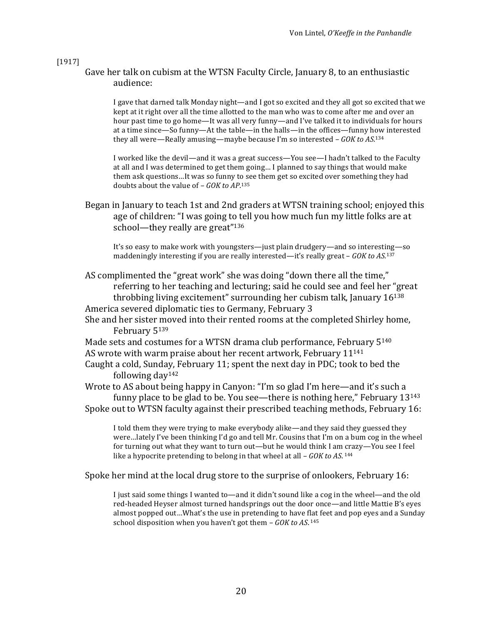# Gave her talk on cubism at the WTSN Faculty Circle, January 8, to an enthusiastic audience:

I gave that darned talk Monday night—and I got so excited and they all got so excited that we kept at it right over all the time allotted to the man who was to come after me and over an hour past time to go home—It was all very funny—and I've talked it to individuals for hours at a time since—So funny—At the table—in the halls—in the offices—funny how interested they all were—Really amusing—maybe because I'm so interested *– GOK to AS*.<sup>134</sup>

I worked like the devil—and it was a great success—You see—I hadn't talked to the Faculty at all and I was determined to get them going... I planned to say things that would make them ask questions...It was so funny to see them get so excited over something they had doubts about the value of *– GOK to AP*.<sup>135</sup>

Began in January to teach 1st and 2nd graders at WTSN training school; enjoyed this age of children: "I was going to tell you how much fun my little folks are at school—they really are great"<sup>136</sup>

It's so easy to make work with youngsters—just plain drudgery—and so interesting—so maddeningly interesting if you are really interested—it's really great – *GOK to AS.*<sup>137</sup>

- AS complimented the "great work" she was doing "down there all the time," referring to her teaching and lecturing; said he could see and feel her "great" throbbing living excitement" surrounding her cubism talk, January  $16^{138}$ America severed diplomatic ties to Germany, February 3
- She and her sister moved into their rented rooms at the completed Shirley home, February 5139
- Made sets and costumes for a WTSN drama club performance, February 5<sup>140</sup> AS wrote with warm praise about her recent artwork, February  $11^{141}$
- Caught a cold, Sunday, February 11; spent the next day in PDC; took to bed the following  $dav^{142}$

Wrote to AS about being happy in Canyon: "I'm so glad I'm here—and it's such a funny place to be glad to be. You see—there is nothing here," February  $13^{143}$ 

Spoke out to WTSN faculty against their prescribed teaching methods, February 16:

I told them they were trying to make everybody alike—and they said they guessed they were... lately I've been thinking I'd go and tell Mr. Cousins that I'm on a bum cog in the wheel for turning out what they want to turn out—but he would think I am crazy—You see I feel like a hypocrite pretending to belong in that wheel at all - GOK to AS.<sup>144</sup>

Spoke her mind at the local drug store to the surprise of onlookers, February 16:

I just said some things I wanted to—and it didn't sound like a cog in the wheel—and the old red-headed Heyser almost turned handsprings out the door once—and little Mattie B's eyes almost popped out...What's the use in pretending to have flat feet and pop eyes and a Sunday school disposition when you haven't got them – GOK to AS. 145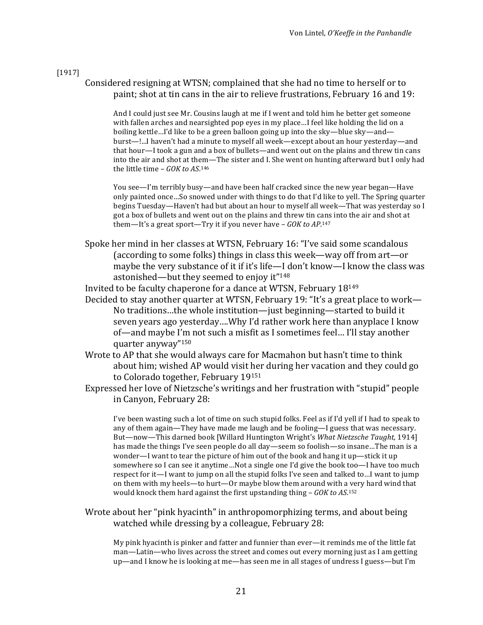### [1917] Considered resigning at WTSN; complained that she had no time to herself or to paint; shot at tin cans in the air to relieve frustrations, February 16 and 19:

And I could just see Mr. Cousins laugh at me if I went and told him he better get someone with fallen arches and nearsighted pop eves in my place...I feel like holding the lid on a boiling kettle...I'd like to be a green balloon going up into the sky—blue sky—and burst—!...I haven't had a minute to myself all week—except about an hour yesterday—and that hour—I took a gun and a box of bullets—and went out on the plains and threw tin cans into the air and shot at them—The sister and I. She went on hunting afterward but I only had the little time *– GOK to AS*.<sup>146</sup>

You see—I'm terribly busy—and have been half cracked since the new year began—Have only painted once...So snowed under with things to do that I'd like to yell. The Spring quarter begins Tuesday—Haven't had but about an hour to myself all week—That was yesterday so I got a box of bullets and went out on the plains and threw tin cans into the air and shot at them—It's a great sport—Try it if you never have *– GOK to AP*.<sup>147</sup>

- Spoke her mind in her classes at WTSN, February 16: "I've said some scandalous (according to some folks) things in class this week—way off from art—or maybe the very substance of it if it's life—I don't know—I know the class was astonished—but they seemed to enjoy it" $148$
- Invited to be faculty chaperone for a dance at WTSN, February  $18^{149}$
- Decided to stay another quarter at WTSN, February 19: "It's a great place to work— No traditions...the whole institution—just beginning—started to build it seven years ago yesterday....Why I'd rather work here than anyplace I know of—and maybe I'm not such a misfit as I sometimes feel... I'll stay another quarter anyway"<sup>150</sup>
- Wrote to AP that she would always care for Macmahon but hasn't time to think about him; wished AP would visit her during her vacation and they could go to Colorado together, February 19151
- Expressed her love of Nietzsche's writings and her frustration with "stupid" people in Canyon, February 28:

I've been wasting such a lot of time on such stupid folks. Feel as if I'd yell if I had to speak to any of them again—They have made me laugh and be fooling—I guess that was necessary. But—now—This darned book [Willard Huntington Wright's *What Nietzsche Taught*, 1914] has made the things I've seen people do all day—seem so foolish—so insane...The man is a wonder—I want to tear the picture of him out of the book and hang it up—stick it up somewhere so I can see it anytime...Not a single one I'd give the book too—I have too much respect for it—I want to jump on all the stupid folks I've seen and talked to...I want to jump on them with my heels—to hurt—Or maybe blow them around with a very hard wind that would knock them hard against the first upstanding thing – GOK to AS.<sup>152</sup>

Wrote about her "pink hyacinth" in anthropomorphizing terms, and about being watched while dressing by a colleague, February 28:

My pink hyacinth is pinker and fatter and funnier than ever—it reminds me of the little fat man—Latin—who lives across the street and comes out every morning just as I am getting up—and I know he is looking at me—has seen me in all stages of undress I guess—but I'm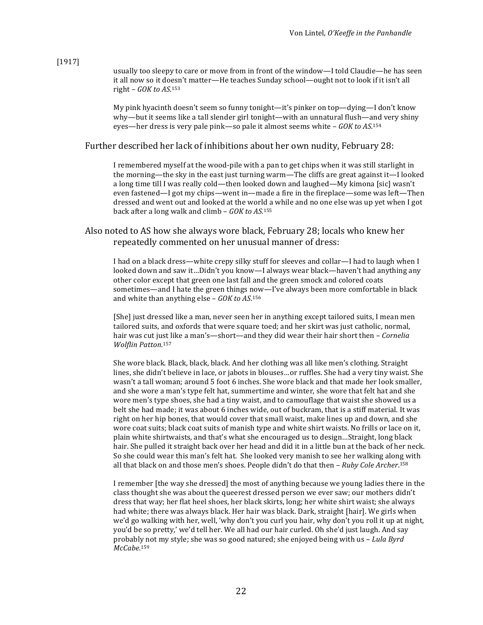usually too sleepy to care or move from in front of the window—I told Claudie—he has seen it all now so it doesn't matter—He teaches Sunday school—ought not to look if it isn't all right – *GOK to AS*. 153

My pink hyacinth doesn't seem so funny tonight—it's pinker on top—dying—I don't know why-but it seems like a tall slender girl tonight-with an unnatural flush-and very shiny eyes—her dress is very pale pink—so pale it almost seems white – *GOK to AS*.<sup>154</sup>

#### Further described her lack of inhibitions about her own nudity, February 28:

I remembered myself at the wood-pile with a pan to get chips when it was still starlight in the morning—the sky in the east just turning warm—The cliffs are great against it—I looked a long time till I was really cold—then looked down and laughed—My kimona [sic] wasn't even fastened—I got my chips—went in—made a fire in the fireplace—some was left—Then dressed and went out and looked at the world a while and no one else was up yet when I got back after a long walk and climb - *GOK to AS.*<sup>155</sup>

## Also noted to AS how she always wore black, February 28; locals who knew her repeatedly commented on her unusual manner of dress:

I had on a black dress—white crepy silky stuff for sleeves and collar—I had to laugh when I looked down and saw it...Didn't you know—I always wear black—haven't had anything any other color except that green one last fall and the green smock and colored coats sometimes—and I hate the green things now—I've always been more comfortable in black and white than anything else – *GOK to AS*.<sup>156</sup>

[She] just dressed like a man, never seen her in anything except tailored suits, I mean men tailored suits, and oxfords that were square toed; and her skirt was just catholic, normal, hair was cut just like a man's—short—and they did wear their hair short then *– Cornelia Wolflin Patton*. 157

She wore black. Black, black, black. And her clothing was all like men's clothing. Straight lines, she didn't believe in lace, or jabots in blouses...or ruffles. She had a very tiny waist. She wasn't a tall woman; around 5 foot 6 inches. She wore black and that made her look smaller, and she wore a man's type felt hat, summertime and winter, she wore that felt hat and she wore men's type shoes, she had a tiny waist, and to camouflage that waist she showed us a belt she had made; it was about 6 inches wide, out of buckram, that is a stiff material. It was right on her hip bones, that would cover that small waist, make lines up and down, and she wore coat suits; black coat suits of manish type and white shirt waists. No frills or lace on it, plain white shirtwaists, and that's what she encouraged us to design...Straight, long black hair. She pulled it straight back over her head and did it in a little bun at the back of her neck. So she could wear this man's felt hat. She looked very manish to see her walking along with all that black on and those men's shoes. People didn't do that then *– Ruby Cole Archer*.<sup>158</sup>

I remember [the way she dressed] the most of anything because we young ladies there in the class thought she was about the queerest dressed person we ever saw; our mothers didn't dress that way; her flat heel shoes, her black skirts, long; her white shirt waist; she always had white; there was always black. Her hair was black. Dark, straight [hair]. We girls when we'd go walking with her, well, 'why don't you curl you hair, why don't you roll it up at night, you'd be so pretty,' we'd tell her. We all had our hair curled. Oh she'd just laugh. And say probably not my style; she was so good natured; she enjoyed being with us – *Lula Byrd McCabe*. 159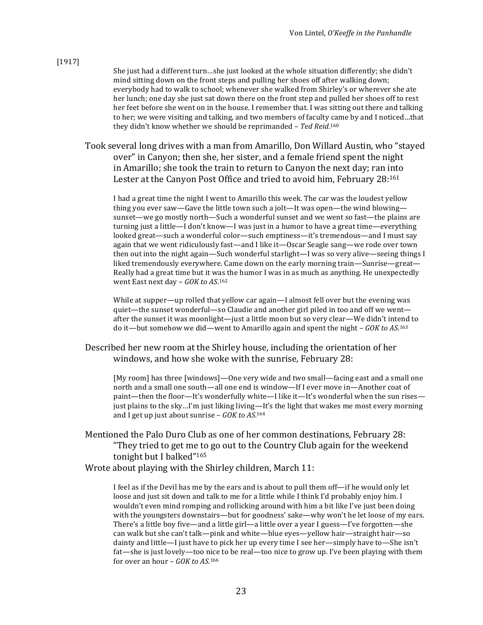She just had a different turn...she just looked at the whole situation differently; she didn't mind sitting down on the front steps and pulling her shoes off after walking down; everybody had to walk to school; whenever she walked from Shirley's or wherever she ate her lunch; one day she just sat down there on the front step and pulled her shoes off to rest her feet before she went on in the house. I remember that. I was sitting out there and talking to her; we were visiting and talking, and two members of faculty came by and I noticed...that they didn't know whether we should be reprimanded – *Ted Reid*.<sup>160</sup>

Took several long drives with a man from Amarillo, Don Willard Austin, who "stayed over" in Canyon; then she, her sister, and a female friend spent the night in Amarillo; she took the train to return to Canyon the next day; ran into Lester at the Canyon Post Office and tried to avoid him, February  $28:^{161}$ 

I had a great time the night I went to Amarillo this week. The car was the loudest yellow thing you ever saw—Gave the little town such a jolt—It was open—the wind blowing sunset—we go mostly north—Such a wonderful sunset and we went so fast—the plains are turning just a little—I don't know—I was just in a humor to have a great time—everything looked great—such a wonderful color—such emptiness—it's tremendous—and I must say again that we went ridiculously fast—and I like it—Oscar Seagle sang—we rode over town then out into the night again—Such wonderful starlight—I was so very alive—seeing things I liked tremendously everywhere. Came down on the early morning train—Sunrise—great— Really had a great time but it was the humor I was in as much as anything. He unexpectedly went East next day – *GOK to AS*.<sup>162</sup>

While at supper—up rolled that yellow car again—I almost fell over but the evening was quiet—the sunset wonderful—so Claudie and another girl piled in too and off we went after the sunset it was moonlight—just a little moon but so very clear—We didn't intend to do it—but somehow we did—went to Amarillo again and spent the night *– GOK to AS*.<sup>163</sup>

Described her new room at the Shirley house, including the orientation of her windows, and how she woke with the sunrise, February 28:

[My room] has three [windows]—One very wide and two small—facing east and a small one north and a small one south—all one end is window—If I ever move in—Another coat of paint—then the floor—It's wonderfully white—I like it—It's wonderful when the sun rises just plains to the sky...I'm just liking living—It's the light that wakes me most every morning and I get up just about sunrise – *GOK to AS*.<sup>164</sup>

Mentioned the Palo Duro Club as one of her common destinations, February 28: "They tried to get me to go out to the Country Club again for the weekend tonight but I balked"<sup>165</sup>

Wrote about playing with the Shirley children, March 11:

I feel as if the Devil has me by the ears and is about to pull them off—if he would only let loose and just sit down and talk to me for a little while I think I'd probably enjoy him. I wouldn't even mind romping and rollicking around with him a bit like I've just been doing with the youngsters downstairs—but for goodness' sake—why won't he let loose of my ears. There's a little boy five—and a little girl—a little over a year I guess—I've forgotten—she can walk but she can't talk—pink and white—blue eyes—yellow hair—straight hair—so dainty and little—I just have to pick her up every time I see her—simply have to—She isn't fat—she is just lovely—too nice to be real—too nice to grow up. I've been playing with them for over an hour – *GOK to AS*.166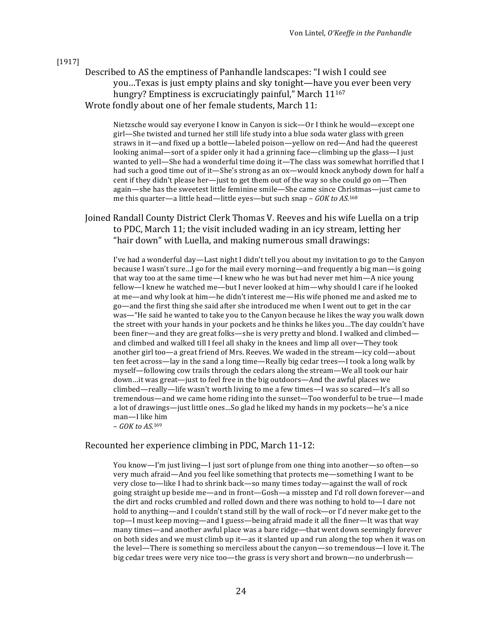Described to AS the emptiness of Panhandle landscapes: "I wish I could see you...Texas is just empty plains and sky tonight—have you ever been very hungry? Emptiness is excruciatingly painful," March  $11^{167}$ Wrote fondly about one of her female students, March 11:

Nietzsche would say everyone I know in Canyon is sick—Or I think he would—except one girl—She twisted and turned her still life study into a blue soda water glass with green straws in it—and fixed up a bottle—labeled poison—yellow on red—And had the queerest looking animal—sort of a spider only it had a grinning face—climbing up the glass—I just wanted to yell—She had a wonderful time doing it—The class was somewhat horrified that I had such a good time out of it—She's strong as an ox—would knock anybody down for half a cent if they didn't please her—just to get them out of the way so she could go on—Then again—she has the sweetest little feminine smile—She came since Christmas—just came to me this quarter—a little head—little eyes—but such snap – *GOK to AS*.<sup>168</sup>

# Joined Randall County District Clerk Thomas V. Reeves and his wife Luella on a trip to PDC, March 11; the visit included wading in an icy stream, letting her "hair down" with Luella, and making numerous small drawings:

I've had a wonderful day—Last night I didn't tell you about my invitation to go to the Canyon because I wasn't sure...I go for the mail every morning—and frequently a big man—is going that way too at the same time—I knew who he was but had never met him—A nice young fellow—I knew he watched me—but I never looked at him—why should I care if he looked at me—and why look at him—he didn't interest me—His wife phoned me and asked me to go—and the first thing she said after she introduced me when I went out to get in the car was—"He said he wanted to take you to the Canyon because he likes the way you walk down the street with your hands in your pockets and he thinks he likes you...The day couldn't have been finer—and they are great folks—she is very pretty and blond. I walked and climbed and climbed and walked till I feel all shaky in the knees and limp all over—They took another girl too—a great friend of Mrs. Reeves. We waded in the stream—icy cold—about ten feet across—lay in the sand a long time—Really big cedar trees—I took a long walk by myself—following cow trails through the cedars along the stream—We all took our hair down...it was great-just to feel free in the big outdoors-And the awful places we climbed—really—life wasn't worth living to me a few times—I was so scared—It's all so tremendous—and we came home riding into the sunset—Too wonderful to be true—I made a lot of drawings—just little ones...So glad he liked my hands in my pockets—he's a nice man—I like him – *GOK* to AS.<sup>169</sup>

# Recounted her experience climbing in PDC, March 11-12:

You know—I'm just living—I just sort of plunge from one thing into another—so often—so very much afraid—And you feel like something that protects me—something I want to be very close to-like I had to shrink back-so many times today-against the wall of rock going straight up beside me—and in front—Gosh—a misstep and I'd roll down forever—and the dirt and rocks crumbled and rolled down and there was nothing to hold to—I dare not hold to anything—and I couldn't stand still by the wall of rock—or I'd never make get to the top—I must keep moving—and I guess—being afraid made it all the finer—It was that way many times—and another awful place was a bare ridge—that went down seemingly forever on both sides and we must climb up it—as it slanted up and run along the top when it was on the level—There is something so merciless about the canyon—so tremendous—I love it. The big cedar trees were very nice too—the grass is very short and brown—no underbrush—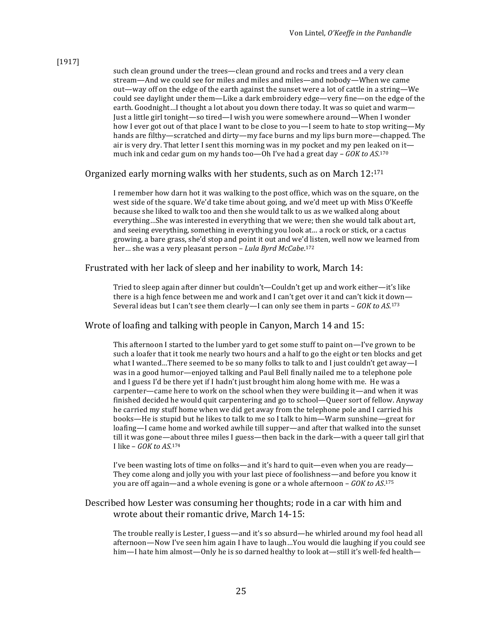such clean ground under the trees—clean ground and rocks and trees and a very clean stream—And we could see for miles and miles and miles—and nobody—When we came out—way off on the edge of the earth against the sunset were a lot of cattle in a string—We could see daylight under them—Like a dark embroidery edge—very fine—on the edge of the earth. Goodnight...I thought a lot about you down there today. It was so quiet and warm-Just a little girl tonight—so tired—I wish you were somewhere around—When I wonder how I ever got out of that place I want to be close to you—I seem to hate to stop writing—My hands are filthy—scratched and dirty—my face burns and my lips burn more—chapped. The air is very dry. That letter I sent this morning was in my pocket and my pen leaked on it much ink and cedar gum on my hands too—Oh I've had a great day *– GOK to AS*.170

## Organized early morning walks with her students, such as on March  $12:171$

I remember how darn hot it was walking to the post office, which was on the square, on the west side of the square. We'd take time about going, and we'd meet up with Miss O'Keeffe because she liked to walk too and then she would talk to us as we walked along about everything...She was interested in everything that we were; then she would talk about art, and seeing everything, something in everything you look at... a rock or stick, or a cactus growing, a bare grass, she'd stop and point it out and we'd listen, well now we learned from her... she was a very pleasant person – *Lula Byrd McCabe*.<sup>172</sup>

#### Frustrated with her lack of sleep and her inability to work, March 14:

Tried to sleep again after dinner but couldn't—Couldn't get up and work either—it's like there is a high fence between me and work and I can't get over it and can't kick it down— Several ideas but I can't see them clearly—I can only see them in parts – *GOK to AS*.<sup>173</sup>

#### Wrote of loafing and talking with people in Canyon, March 14 and  $15$ :

This afternoon I started to the lumber yard to get some stuff to paint on—I've grown to be such a loafer that it took me nearly two hours and a half to go the eight or ten blocks and get what I wanted...There seemed to be so many folks to talk to and I just couldn't get away-I was in a good humor—enjoyed talking and Paul Bell finally nailed me to a telephone pole and I guess I'd be there yet if I hadn't just brought him along home with me. He was a carpenter—came here to work on the school when they were building it—and when it was finished decided he would quit carpentering and go to school—Queer sort of fellow. Anyway he carried my stuff home when we did get away from the telephone pole and I carried his books—He is stupid but he likes to talk to me so I talk to him—Warm sunshine—great for loafing—I came home and worked awhile till supper—and after that walked into the sunset till it was gone—about three miles I guess—then back in the dark—with a queer tall girl that I like – *GOK to AS.* 174

I've been wasting lots of time on folks—and it's hard to quit—even when you are ready— They come along and jolly you with your last piece of foolishness—and before you know it you are off again—and a whole evening is gone or a whole afternoon – *GOK to AS*.<sup>175</sup>

## Described how Lester was consuming her thoughts; rode in a car with him and wrote about their romantic drive, March 14-15:

The trouble really is Lester, I guess—and it's so absurd—he whirled around my fool head all afternoon—Now I've seen him again I have to laugh...You would die laughing if you could see him—I hate him almost—Only he is so darned healthy to look at—still it's well-fed health—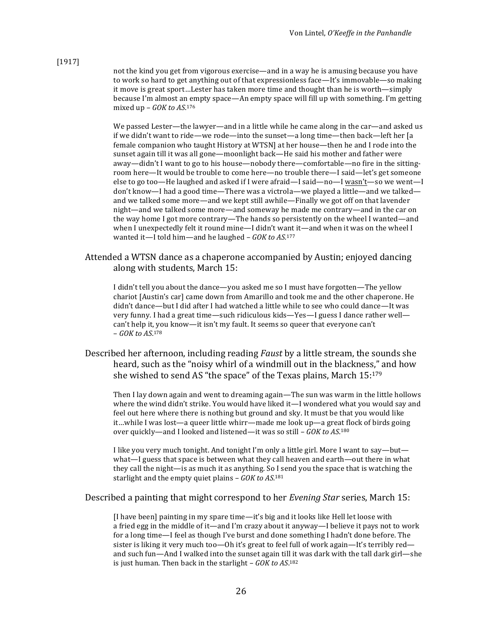not the kind you get from vigorous exercise—and in a way he is amusing because you have to work so hard to get anything out of that expressionless face—It's immovable—so making it move is great sport...Lester has taken more time and thought than he is worth—simply because I'm almost an empty space—An empty space will fill up with something. I'm getting mixed up – *GOK to AS*.<sup>176</sup>

We passed Lester—the lawyer—and in a little while he came along in the car—and asked us if we didn't want to ride—we rode—into the sunset—a long time—then back—left her [a female companion who taught History at WTSN] at her house—then he and I rode into the sunset again till it was all gone—moonlight back—He said his mother and father were away—didn't I want to go to his house—nobody there—comfortable—no fire in the sittingroom here—It would be trouble to come here—no trouble there—I said—let's get someone else to go too—He laughed and asked if I were afraid—I said—no—I wasn't—so we went—I don't know—I had a good time—There was a victrola—we played a little—and we talked and we talked some more—and we kept still awhile—Finally we got off on that lavender night—and we talked some more—and someway he made me contrary—and in the car on the way home I got more contrary—The hands so persistently on the wheel I wanted—and when I unexpectedly felt it round mine—I didn't want it—and when it was on the wheel I wanted it—I told him—and he laughed - GOK to AS.<sup>177</sup>

## Attended a WTSN dance as a chaperone accompanied by Austin; enjoyed dancing along with students, March 15:

I didn't tell you about the dance—you asked me so I must have forgotten—The yellow chariot [Austin's car] came down from Amarillo and took me and the other chaperone. He didn't dance—but I did after I had watched a little while to see who could dance—It was very funny. I had a great time—such ridiculous kids—Yes—I guess I dance rather well can't help it, you know—it isn't my fault. It seems so queer that everyone can't - *GOK* to AS.<sup>178</sup>

# Described her afternoon, including reading *Faust* by a little stream, the sounds she heard, such as the "noisy whirl of a windmill out in the blackness," and how she wished to send AS "the space" of the Texas plains, March  $15:179$

Then I lay down again and went to dreaming again—The sun was warm in the little hollows where the wind didn't strike. You would have liked it—I wondered what you would say and feel out here where there is nothing but ground and sky. It must be that you would like it...while I was lost—a queer little whirr—made me look  $up-a$  great flock of birds going over quickly—and I looked and listened—it was so still – GOK to AS.<sup>180</sup>

I like you very much tonight. And tonight I'm only a little girl. More I want to say—but what—I guess that space is between what they call heaven and earth—out there in what they call the night—is as much it as anything. So I send you the space that is watching the starlight and the empty quiet plains – GOK to AS.<sup>181</sup>

Described a painting that might correspond to her *Evening Star* series, March 15:

[I have been] painting in my spare time—it's big and it looks like Hell let loose with a fried egg in the middle of it—and I'm crazy about it anyway—I believe it pays not to work for a long time—I feel as though I've burst and done something I hadn't done before. The sister is liking it very much too—Oh it's great to feel full of work again—It's terribly red and such fun—And I walked into the sunset again till it was dark with the tall dark girl—she is just human. Then back in the starlight *– GOK to AS*.<sup>182</sup>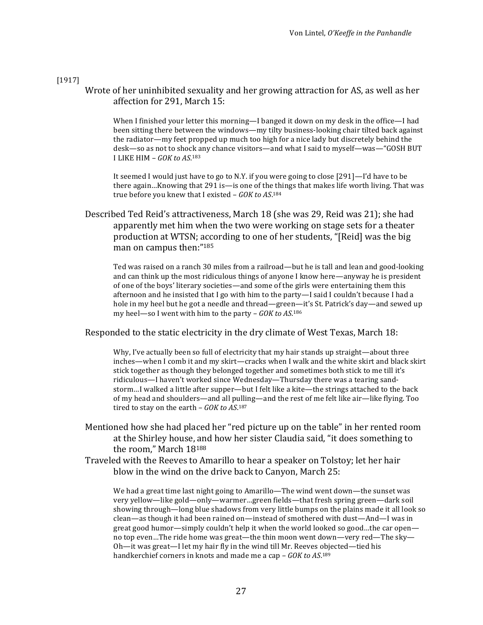# Wrote of her uninhibited sexuality and her growing attraction for AS, as well as her affection for 291, March 15:

When I finished your letter this morning—I banged it down on my desk in the office—I had been sitting there between the windows—my tilty business-looking chair tilted back against the radiator—my feet propped up much too high for a nice lady but discretely behind the desk—so as not to shock any chance visitors—and what I said to myself—was—"GOSH BUT I LIKE HIM – *GOK* to AS.<sup>183</sup>

It seemed I would just have to go to N.Y. if you were going to close  $[291]$ —I'd have to be there again...Knowing that  $291$  is—is one of the things that makes life worth living. That was true before you knew that I existed - *GOK to AS*.<sup>184</sup>

Described Ted Reid's attractiveness, March 18 (she was 29, Reid was 21); she had apparently met him when the two were working on stage sets for a theater production at WTSN; according to one of her students, "[Reid] was the big man on campus then:"185

Ted was raised on a ranch 30 miles from a railroad—but he is tall and lean and good-looking and can think up the most ridiculous things of anyone I know here—anyway he is president of one of the boys' literary societies—and some of the girls were entertaining them this afternoon and he insisted that I go with him to the party—I said I couldn't because I had a hole in my heel but he got a needle and thread—green—it's St. Patrick's day—and sewed up my heel—so I went with him to the party – *GOK to AS*.<sup>186</sup>

Responded to the static electricity in the dry climate of West Texas, March 18:

Why, I've actually been so full of electricity that my hair stands up straight—about three inches—when I comb it and my skirt—cracks when I walk and the white skirt and black skirt stick together as though they belonged together and sometimes both stick to me till it's ridiculous—I haven't worked since Wednesday—Thursday there was a tearing sandstorm...I walked a little after supper—but I felt like a kite—the strings attached to the back of my head and shoulders—and all pulling—and the rest of me felt like air—like flying. Too tired to stay on the earth *– GOK to AS*.<sup>187</sup>

- Mentioned how she had placed her "red picture up on the table" in her rented room at the Shirley house, and how her sister Claudia said, "it does something to the room." March 18<sup>188</sup>
- Traveled with the Reeves to Amarillo to hear a speaker on Tolstoy; let her hair blow in the wind on the drive back to Canyon, March 25:

We had a great time last night going to Amarillo—The wind went down—the sunset was very yellow—like gold—only—warmer…green fields—that fresh spring green—dark soil showing through—long blue shadows from very little bumps on the plains made it all look so clean—as though it had been rained on—instead of smothered with dust—And—I was in great good humor—simply couldn't help it when the world looked so good...the car open no top even...The ride home was great—the thin moon went down—very red—The sky— Oh—it was great—I let my hair fly in the wind till Mr. Reeves objected—tied his handkerchief corners in knots and made me a cap – GOK to AS.<sup>189</sup>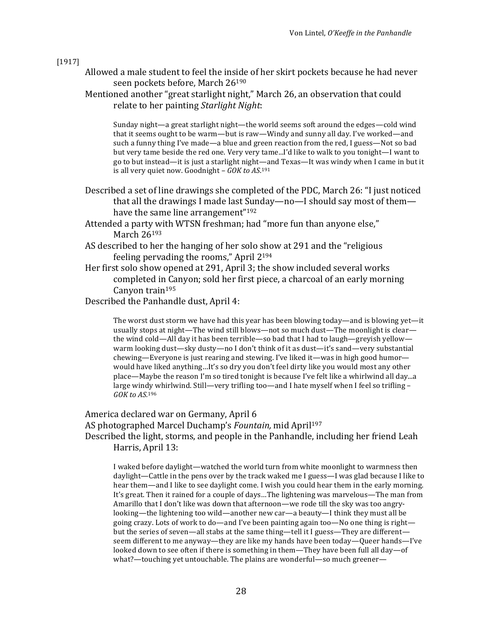- Allowed a male student to feel the inside of her skirt pockets because he had never seen pockets before, March 26<sup>190</sup>
- Mentioned another "great starlight night," March 26, an observation that could relate to her painting *Starlight Night*:

Sunday night—a great starlight night—the world seems soft around the edges—cold wind that it seems ought to be warm—but is raw—Windy and sunny all day. I've worked—and such a funny thing I've made—a blue and green reaction from the red, I guess—Not so bad but very tame beside the red one. Very very tame...I'd like to walk to you tonight—I want to go to but instead—it is just a starlight night—and Texas—It was windy when I came in but it is all very quiet now. Goodnight – GOK to AS.<sup>191</sup>

- Described a set of line drawings she completed of the PDC, March 26: "I just noticed that all the drawings I made last Sunday—no—I should say most of them have the same line arrangement"<sup>192</sup>
- Attended a party with WTSN freshman; had "more fun than anyone else," March 26<sup>193</sup>
- AS described to her the hanging of her solo show at 291 and the "religious feeling pervading the rooms," April  $2^{194}$
- Her first solo show opened at 291, April 3; the show included several works completed in Canyon; sold her first piece, a charcoal of an early morning Canyon train195
- Described the Panhandle dust, April 4:

The worst dust storm we have had this year has been blowing today—and is blowing yet—it usually stops at night—The wind still blows—not so much dust—The moonlight is clear the wind cold—All day it has been terrible—so bad that I had to laugh—greyish yellow warm looking dust—sky dusty—no I don't think of it as dust—it's sand—very substantial chewing—Everyone is just rearing and stewing. I've liked it—was in high good humor would have liked anything...It's so dry you don't feel dirty like you would most any other place—Maybe the reason I'm so tired tonight is because I've felt like a whirlwind all day...a large windy whirlwind. Still—very trifling too—and I hate myself when I feel so trifling – *GOK to AS.* 196

America declared war on Germany, April 6

AS photographed Marcel Duchamp's *Fountain*, mid April<sup>197</sup>

Described the light, storms, and people in the Panhandle, including her friend Leah Harris, April 13:

I waked before daylight—watched the world turn from white moonlight to warmness then daylight—Cattle in the pens over by the track waked me I guess—I was glad because I like to hear them—and I like to see daylight come. I wish you could hear them in the early morning. It's great. Then it rained for a couple of days...The lightening was marvelous—The man from Amarillo that I don't like was down that afternoon—we rode till the sky was too angrylooking—the lightening too wild—another new car—a beauty—I think they must all be going crazy. Lots of work to do—and I've been painting again too—No one thing is right but the series of seven—all stabs at the same thing—tell it I guess—They are different seem different to me anyway—they are like my hands have been today—Queer hands—I've looked down to see often if there is something in them—They have been full all  $day - of$ what?—touching yet untouchable. The plains are wonderful—so much greener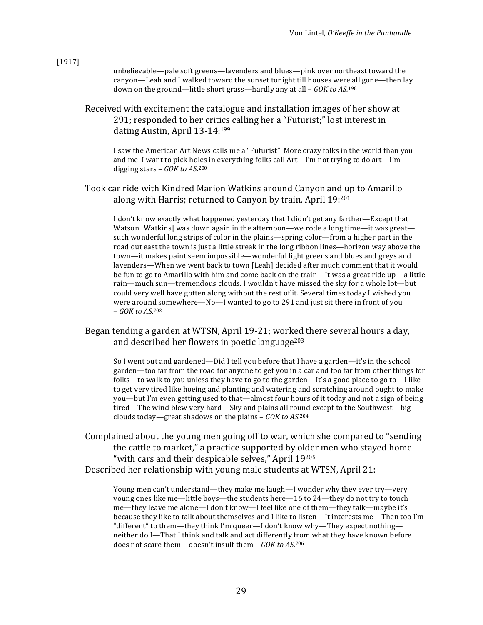unbelievable—pale soft greens—lavenders and blues—pink over northeast toward the canyon—Leah and I walked toward the sunset tonight till houses were all gone—then lay down on the ground—little short grass—hardly any at all - *GOK to AS*.<sup>198</sup>

# Received with excitement the catalogue and installation images of her show at 291; responded to her critics calling her a "Futurist;" lost interest in dating Austin, April 13-14:<sup>199</sup>

I saw the American Art News calls me a "Futurist". More crazy folks in the world than you and me. I want to pick holes in everything folks call Art-I'm not trying to do art-I'm digging stars – GOK to AS.<sup>200</sup>

## Took car ride with Kindred Marion Watkins around Canyon and up to Amarillo along with Harris; returned to Canyon by train, April  $19:201$

I don't know exactly what happened yesterday that I didn't get any farther—Except that Watson [Watkins] was down again in the afternoon—we rode a long time—it was great such wonderful long strips of color in the plains—spring color—from a higher part in the road out east the town is just a little streak in the long ribbon lines—horizon way above the town—it makes paint seem impossible—wonderful light greens and blues and greys and lavenders—When we went back to town [Leah] decided after much comment that it would be fun to go to Amarillo with him and come back on the train—It was a great ride up—a little rain—much sun—tremendous clouds. I wouldn't have missed the sky for a whole lot—but could very well have gotten along without the rest of it. Several times today I wished you were around somewhere—No—I wanted to go to 291 and just sit there in front of you – *GOK to AS*. 202

# Began tending a garden at WTSN, April 19-21; worked there several hours a day, and described her flowers in poetic language $203$

So I went out and gardened—Did I tell you before that I have a garden—it's in the school garden—too far from the road for anyone to get you in a car and too far from other things for folks—to walk to you unless they have to go to the garden—It's a good place to go to—I like to get very tired like hoeing and planting and watering and scratching around ought to make you—but I'm even getting used to that—almost four hours of it today and not a sign of being tired—The wind blew very hard—Sky and plains all round except to the Southwest—big clouds today—great shadows on the plains - *GOK to AS.*<sup>204</sup>

Complained about the young men going off to war, which she compared to "sending the cattle to market," a practice supported by older men who stayed home "with cars and their despicable selves," April 19205

Described her relationship with young male students at WTSN, April 21:

Young men can't understand—they make me laugh—I wonder why they ever try—very young ones like me—little boys—the students here—16 to  $24$ —they do not try to touch me—they leave me alone—I don't know—I feel like one of them—they talk—maybe it's because they like to talk about themselves and I like to listen—It interests me—Then too I'm "different" to them—they think I'm queer—I don't know why—They expect nothing neither do I—That I think and talk and act differently from what they have known before does not scare them—doesn't insult them - *GOK to AS*.<sup>206</sup>

#### [1917]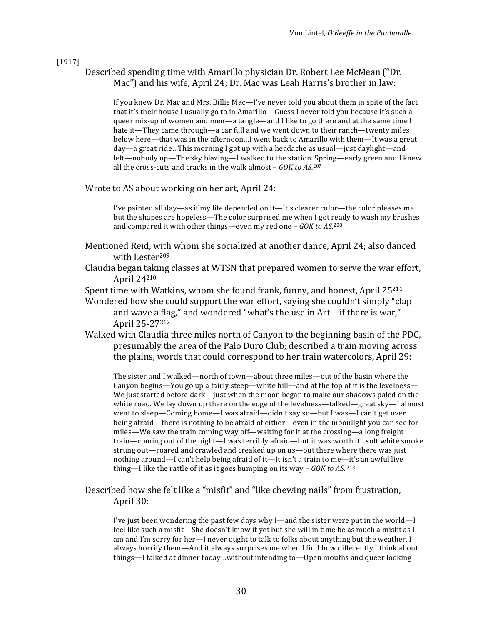# Described spending time with Amarillo physician Dr. Robert Lee McMean ("Dr. Mac") and his wife, April 24; Dr. Mac was Leah Harris's brother in law:

If you knew Dr. Mac and Mrs. Billie Mac—I've never told you about them in spite of the fact that it's their house I usually go to in Amarillo—Guess I never told you because it's such a queer mix-up of women and men—a tangle—and I like to go there and at the same time I hate it—They came through—a car full and we went down to their ranch—twenty miles below here—that was in the afternoon...I went back to Amarillo with them—It was a great  $day$ —a great ride...This morning I got up with a headache as usual—just daylight—and left—nobody up—The sky blazing—I walked to the station. Spring—early green and I knew all the cross-cuts and cracks in the walk almost – *GOK to AS*.<sup>207</sup>

## Wrote to AS about working on her art, April 24:

I've painted all  $day$ —as if my life depended on it—It's clearer color—the color pleases me but the shapes are hopeless—The color surprised me when I got ready to wash my brushes and compared it with other things—even my red one – *GOK to AS*.<sup>208</sup>

- Mentioned Reid, with whom she socialized at another dance, April 24; also danced with Lester<sup>209</sup>
- Claudia began taking classes at WTSN that prepared women to serve the war effort, April 24210

Spent time with Watkins, whom she found frank, funny, and honest, April  $25^{211}$ 

Wondered how she could support the war effort, saying she couldn't simply "clap and wave a flag," and wondered "what's the use in  $Art$ —if there is war," April 25-27212

Walked with Claudia three miles north of Canyon to the beginning basin of the PDC, presumably the area of the Palo Duro Club; described a train moving across the plains, words that could correspond to her train watercolors, April 29:

The sister and I walked—north of town—about three miles—out of the basin where the Canyon begins—You go up a fairly steep—white hill—and at the top of it is the levelness— We just started before dark—just when the moon began to make our shadows paled on the white road. We lay down up there on the edge of the levelness—talked—great  $sky$ —I almost went to sleep—Coming home—I was afraid—didn't say so—but I was—I can't get over being afraid—there is nothing to be afraid of either—even in the moonlight you can see for miles—We saw the train coming way off—waiting for it at the crossing—a long freight train—coming out of the night—I was terribly afraid—but it was worth it…soft white smoke strung out—roared and crawled and creaked up on us—out there where there was just nothing around—I can't help being afraid of it—It isn't a train to me—it's an awful live thing—I like the rattle of it as it goes bumping on its way  $-$  *GOK to AS*. <sup>213</sup>

# Described how she felt like a "misfit" and "like chewing nails" from frustration, April 30:

I've just been wondering the past few days why I—and the sister were put in the world—I feel like such a misfit—She doesn't know it yet but she will in time be as much a misfit as I am and I'm sorry for her—I never ought to talk to folks about anything but the weather. I always horrify them—And it always surprises me when I find how differently I think about things—I talked at dinner today…without intending to—Open mouths and queer looking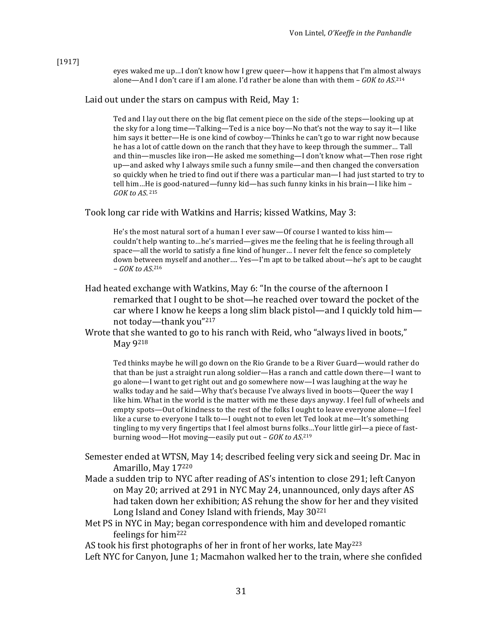eyes waked me up...I don't know how I grew queer—how it happens that I'm almost always alone—And I don't care if I am alone. I'd rather be alone than with them – *GOK to AS.*<sup>214</sup>

Laid out under the stars on campus with Reid, May 1:

Ted and I lay out there on the big flat cement piece on the side of the steps—looking up at the sky for a long time—Talking—Ted is a nice boy—No that's not the way to say it—I like him says it better—He is one kind of cowboy—Thinks he can't go to war right now because he has a lot of cattle down on the ranch that they have to keep through the summer... Tall and thin—muscles like iron—He asked me something—I don't know what—Then rose right up—and asked why I always smile such a funny smile—and then changed the conversation so quickly when he tried to find out if there was a particular man—I had just started to try to tell him...He is good-natured—funny kid—has such funny kinks in his brain—I like him – *GOK to AS*. <sup>215</sup>

Took long car ride with Watkins and Harris; kissed Watkins, May 3:

He's the most natural sort of a human I ever saw—Of course I wanted to kiss him couldn't help wanting to...he's married—gives me the feeling that he is feeling through all space—all the world to satisfy a fine kind of hunger... I never felt the fence so completely down between myself and another.... Yes—I'm apt to be talked about—he's apt to be caught *– GOK to AS*. 216

- Had heated exchange with Watkins, May 6: "In the course of the afternoon I remarked that I ought to be shot—he reached over toward the pocket of the car where I know he keeps a long slim black pistol—and I quickly told  $him$  not today—thank you"<sup>217</sup>
- Wrote that she wanted to go to his ranch with Reid, who "always lived in boots," May 9218

Ted thinks maybe he will go down on the Rio Grande to be a River Guard—would rather do that than be just a straight run along soldier—Has a ranch and cattle down there—I want to go alone—I want to get right out and go somewhere now—I was laughing at the way he walks today and he said—Why that's because I've always lived in boots—Queer the way I like him. What in the world is the matter with me these days anyway. I feel full of wheels and empty spots—Out of kindness to the rest of the folks I ought to leave everyone alone—I feel like a curse to everyone I talk to—I ought not to even let Ted look at me—It's something tingling to my very fingertips that I feel almost burns folks...Your little girl—a piece of fastburning wood—Hot moving—easily put out – *GOK to AS*.<sup>219</sup>

- Semester ended at WTSN, May 14; described feeling very sick and seeing Dr. Mac in Amarillo, May 17220
- Made a sudden trip to NYC after reading of AS's intention to close 291; left Canyon on May 20; arrived at 291 in NYC May 24, unannounced, only days after AS had taken down her exhibition; AS rehung the show for her and they visited Long Island and Coney Island with friends, May 30<sup>221</sup>
- Met PS in NYC in May; began correspondence with him and developed romantic feelings for him<sup>222</sup>

AS took his first photographs of her in front of her works, late  $May^{223}$ 

Left NYC for Canyon, June 1; Macmahon walked her to the train, where she confided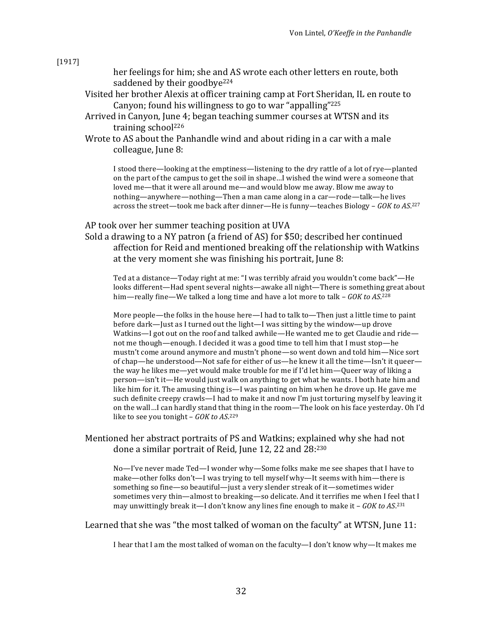her feelings for him; she and AS wrote each other letters en route, both saddened by their goodbye<sup>224</sup>

- Visited her brother Alexis at officer training camp at Fort Sheridan, IL en route to Canyon; found his willingness to go to war "appalling"<sup>225</sup>
- Arrived in Canyon, June 4; began teaching summer courses at WTSN and its training school<sup>226</sup>
- Wrote to AS about the Panhandle wind and about riding in a car with a male colleague, June 8:

I stood there—looking at the emptiness—listening to the dry rattle of a lot of rye—planted on the part of the campus to get the soil in shape...I wished the wind were a someone that loved me—that it were all around me—and would blow me away. Blow me away to nothing—anywhere—nothing—Then a man came along in a car—rode—talk—he lives across the street—took me back after dinner—He is funny—teaches Biology – *GOK to AS.*<sup>227</sup>

## AP took over her summer teaching position at UVA

Sold a drawing to a NY patron (a friend of AS) for \$50; described her continued affection for Reid and mentioned breaking off the relationship with Watkins at the very moment she was finishing his portrait, June  $8$ :

Ted at a distance—Today right at me: "I was terribly afraid you wouldn't come back"—He looks different—Had spent several nights—awake all night—There is something great about him—really fine—We talked a long time and have a lot more to talk - *GOK to AS*.<sup>228</sup>

More people—the folks in the house here—I had to talk to—Then just a little time to paint before dark—Just as I turned out the light—I was sitting by the window—up drove Watkins—I got out on the roof and talked awhile—He wanted me to get Claudie and ride not me though—enough. I decided it was a good time to tell him that I must stop—he mustn't come around anymore and mustn't phone—so went down and told him—Nice sort of chap—he understood—Not safe for either of us—he knew it all the time—Isn't it queer the way he likes me—yet would make trouble for me if I'd let  $him$ —Queer way of liking a person—isn't it—He would just walk on anything to get what he wants. I both hate him and like him for it. The amusing thing is—I was painting on him when he drove up. He gave me such definite creepy crawls—I had to make it and now I'm just torturing myself by leaving it on the wall...I can hardly stand that thing in the room—The look on his face yesterday. Oh I'd like to see you tonight – *GOK to AS*.<sup>229</sup>

# Mentioned her abstract portraits of PS and Watkins; explained why she had not done a similar portrait of Reid, June 12, 22 and 28:230

No-I've never made Ted-I wonder why-Some folks make me see shapes that I have to make-other folks don't-I was trying to tell myself why-It seems with him-there is something so fine—so beautiful—just a very slender streak of it—sometimes wider sometimes very thin—almost to breaking—so delicate. And it terrifies me when I feel that I may unwittingly break it—I don't know any lines fine enough to make it –  $GOK$  to AS.<sup>231</sup>

Learned that she was "the most talked of woman on the faculty" at WTSN, June 11:

I hear that I am the most talked of woman on the faculty—I don't know why—It makes me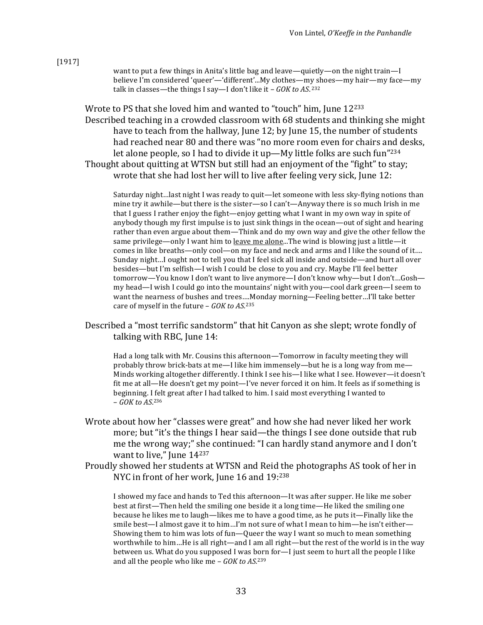want to put a few things in Anita's little bag and leave—quietly—on the night train—I believe I'm considered 'queer'—'different'...My clothes—my shoes—my hair—my face—my talk in classes—the things I say—I don't like it - GOK to AS. 232

Wrote to PS that she loved him and wanted to "touch" him, June  $12^{233}$ Described teaching in a crowded classroom with 68 students and thinking she might have to teach from the hallway, June  $12$ ; by June 15, the number of students had reached near 80 and there was "no more room even for chairs and desks, let alone people, so I had to divide it up—My little folks are such fun" $234$ Thought about quitting at WTSN but still had an enjoyment of the "fight" to stay; wrote that she had lost her will to live after feeling very sick, June  $12$ :

Saturday night…last night I was ready to quit—let someone with less sky-flying notions than mine try it awhile—but there is the sister—so I can't—Anyway there is so much Irish in me that I guess I rather enjoy the fight—enjoy getting what I want in my own way in spite of anybody though my first impulse is to just  $\sin k$  things in the ocean—out of sight and hearing rather than even argue about them—Think and do my own way and give the other fellow the same privilege—only I want him to leave me alone...The wind is blowing just a little—it comes in like breaths—only cool—on my face and neck and arms and I like the sound of it.... Sunday night...I ought not to tell you that I feel sick all inside and outside—and hurt all over besides—but I'm selfish—I wish I could be close to you and cry. Maybe I'll feel better tomorrow—You know I don't want to live anymore—I don't know why—but I don't...Gosh my head—I wish I could go into the mountains' night with you—cool dark green—I seem to want the nearness of bushes and trees....Monday morning—Feeling better...I'll take better care of myself in the future - GOK to AS.<sup>235</sup>

Described a "most terrific sandstorm" that hit Canyon as she slept; wrote fondly of talking with RBC, June 14:

Had a long talk with Mr. Cousins this afternoon—Tomorrow in faculty meeting they will probably throw brick-bats at me—I like him immensely—but he is a long way from me— Minds working altogether differently. I think I see his—I like what I see. However—it doesn't fit me at all—He doesn't get my point—I've never forced it on him. It feels as if something is beginning. I felt great after I had talked to him. I said most everything I wanted to – *GOK* to AS.<sup>236</sup>

- Wrote about how her "classes were great" and how she had never liked her work more; but "it's the things I hear said—the things I see done outside that rub me the wrong way;" she continued: "I can hardly stand anymore and I don't want to live," June  $14^{237}$
- Proudly showed her students at WTSN and Reid the photographs AS took of her in NYC in front of her work, June 16 and 19:238

I showed my face and hands to Ted this afternoon—It was after supper. He like me sober best at first—Then held the smiling one beside it a long time—He liked the smiling one because he likes me to laugh—likes me to have a good time, as he puts it—Finally like the smile best-I almost gave it to him...I'm not sure of what I mean to him-he isn't either-Showing them to him was lots of fun—Queer the way I want so much to mean something worthwhile to him...He is all right—and I am all right—but the rest of the world is in the way between us. What do you supposed I was born for—I just seem to hurt all the people I like and all the people who like me  $GOK$  to  $AS$ .<sup>239</sup>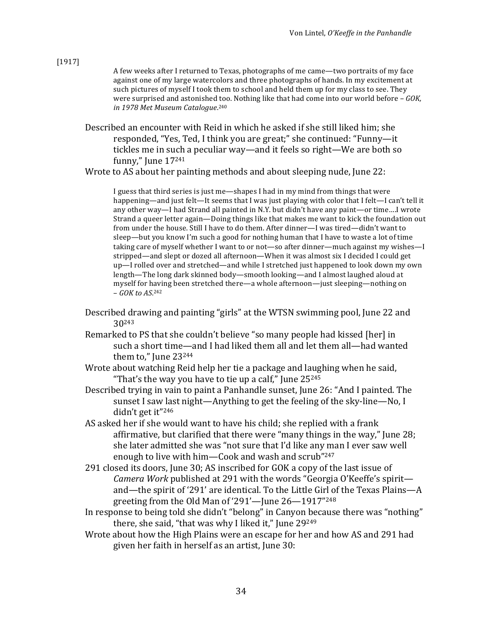A few weeks after I returned to Texas, photographs of me came—two portraits of my face against one of my large watercolors and three photographs of hands. In my excitement at such pictures of myself I took them to school and held them up for my class to see. They were surprised and astonished too. Nothing like that had come into our world before - GOK, *in 1978 Met Museum Catalogue*. 240

Described an encounter with Reid in which he asked if she still liked him; she responded, "Yes, Ted, I think you are great;" she continued: "Funny-it tickles me in such a peculiar way—and it feels so right—We are both so funny," June 17241

Wrote to AS about her painting methods and about sleeping nude, June 22:

I guess that third series is just me—shapes I had in my mind from things that were happening—and just felt—It seems that I was just playing with color that I felt—I can't tell it any other way—I had Strand all painted in N.Y. but didn't have any paint—or time....I wrote Strand a queer letter again—Doing things like that makes me want to kick the foundation out from under the house. Still I have to do them. After dinner—I was tired—didn't want to sleep—but you know I'm such a good for nothing human that I have to waste a lot of time taking care of myself whether I want to or not—so after dinner—much against my wishes—I stripped—and slept or dozed all afternoon—When it was almost six I decided I could get up—I rolled over and stretched—and while I stretched just happened to look down my own length—The long dark skinned body—smooth looking—and I almost laughed aloud at myself for having been stretched there—a whole afternoon—just sleeping—nothing on – *GOK to AS*. 242

- Described drawing and painting "girls" at the WTSN swimming pool, June 22 and 30243
- Remarked to PS that she couldn't believe "so many people had kissed [her] in such a short time—and I had liked them all and let them all—had wanted them to,"  $\mu$  lune 23<sup>244</sup>
- Wrote about watching Reid help her tie a package and laughing when he said, "That's the way you have to tie up a calf," June  $25^{245}$
- Described trying in vain to paint a Panhandle sunset, June 26: "And I painted. The sunset I saw last night—Anything to get the feeling of the sky-line—No, I didn't get it"<sup>246</sup>
- AS asked her if she would want to have his child; she replied with a frank affirmative, but clarified that there were "many things in the way," June  $28$ ; she later admitted she was "not sure that I'd like any man I ever saw well enough to live with  $him$ —Cook and wash and scrub"<sup>247</sup>
- 291 closed its doors, June 30; AS inscribed for GOK a copy of the last issue of *Camera Work* published at 291 with the words "Georgia O'Keeffe's spirit and—the spirit of '291' are identical. To the Little Girl of the Texas Plains—A greeting from the Old Man of '291'—June  $26 - 1917$ "<sup>248</sup>
- In response to being told she didn't "belong" in Canyon because there was "nothing" there, she said, "that was why I liked it," June  $29^{249}$
- Wrote about how the High Plains were an escape for her and how AS and 291 had given her faith in herself as an artist, June 30: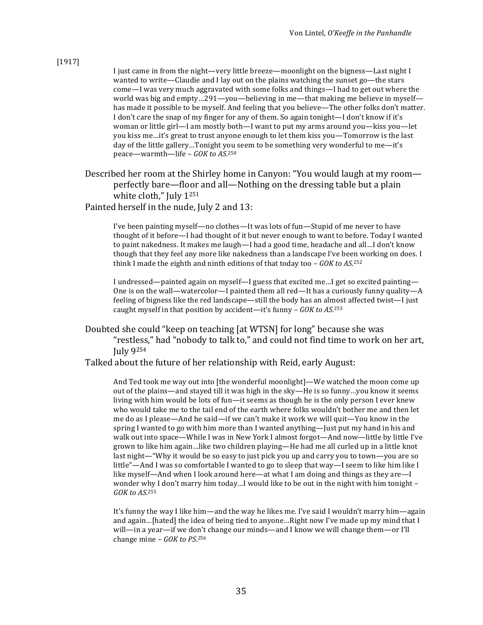I just came in from the night—very little breeze—moonlight on the bigness—Last night I wanted to write—Claudie and I lay out on the plains watching the sunset  $go$ —the stars come—I was very much aggravated with some folks and things—I had to get out where the world was big and empty...291—you—believing in me—that making me believe in myself has made it possible to be myself. And feeling that you believe—The other folks don't matter. I don't care the snap of my finger for any of them. So again tonight—I don't know if it's woman or little girl—I am mostly both—I want to put my arms around you—kiss you—let you kiss me...it's great to trust anyone enough to let them kiss you—Tomorrow is the last day of the little gallery...Tonight you seem to be something very wonderful to me—it's peace—warmth—life - *GOK to AS*.<sup>250</sup>

Described her room at the Shirley home in Canyon: "You would laugh at my room perfectly bare—floor and all—Nothing on the dressing table but a plain white cloth," July 1<sup>251</sup>

Painted herself in the nude, July 2 and 13:

I've been painting myself—no clothes—It was lots of fun—Stupid of me never to have thought of it before—I had thought of it but never enough to want to before. Today I wanted to paint nakedness. It makes me laugh—I had a good time, headache and all...I don't know though that they feel any more like nakedness than a landscape I've been working on does. I think I made the eighth and ninth editions of that today too – *GOK to AS*.<sup>252</sup>

I undressed—painted again on myself—I guess that excited me...I get so excited painting— One is on the wall—watercolor—I painted them all red—It has a curiously funny quality—A feeling of bigness like the red landscape—still the body has an almost affected twist—I just caught myself in that position by accident—it's funny – *GOK to AS.*<sup>253</sup>

Doubted she could "keep on teaching [at WTSN] for long" because she was "restless," had "nobody to talk to," and could not find time to work on her art, July 9254

Talked about the future of her relationship with Reid, early August:

And Ted took me way out into [the wonderful moonlight]—We watched the moon come up out of the plains—and stayed till it was high in the sky—He is so funny…you know it seems living with him would be lots of fun—it seems as though he is the only person I ever knew who would take me to the tail end of the earth where folks wouldn't bother me and then let me do as I please—And he said—if we can't make it work we will quit—You know in the spring I wanted to go with him more than I wanted anything—Just put my hand in his and walk out into space—While I was in New York I almost forgot—And now—little by little I've grown to like him again...like two children playing—He had me all curled up in a little knot  $last night$ —"Why it would be so easy to just pick you up and carry you to town—you are so little"—And I was so comfortable I wanted to go to sleep that way—I seem to like him like I like myself—And when I look around here—at what I am doing and things as they are—I wonder why I don't marry him today...I would like to be out in the night with him tonight -*GOK to AS*. 255

It's funny the way I like him—and the way he likes me. I've said I wouldn't marry him—again and again...[hated] the idea of being tied to anyone...Right now I've made up my mind that  $I$ will—in a year—if we don't change our minds—and I know we will change them—or I'll change mine – GOK to PS.<sup>256</sup>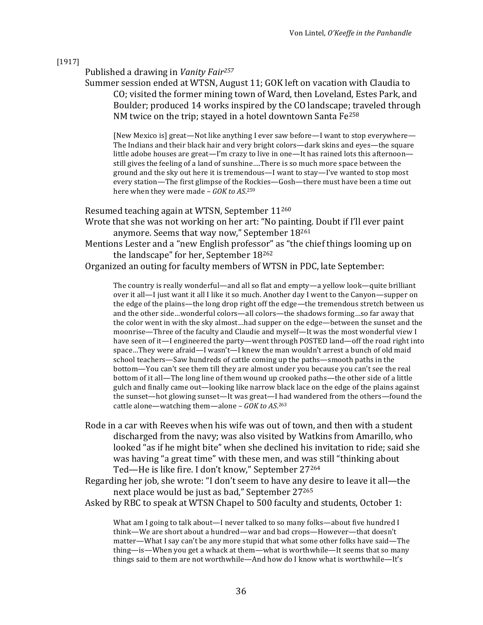Published a drawing in *Vanity Fair<sup>257</sup>* 

Summer session ended at WTSN, August 11; GOK left on vacation with Claudia to CO; visited the former mining town of Ward, then Loveland, Estes Park, and Boulder; produced 14 works inspired by the CO landscape; traveled through NM twice on the trip; stayed in a hotel downtown Santa  $Fe<sup>258</sup>$ 

[New Mexico is] great—Not like anything I ever saw before—I want to stop everywhere— The Indians and their black hair and very bright colors—dark skins and eyes—the square little adobe houses are great—I'm crazy to live in one—It has rained lots this afternoon still gives the feeling of a land of sunshine....There is so much more space between the ground and the sky out here it is tremendous—I want to stay—I've wanted to stop most every station—The first glimpse of the Rockies—Gosh—there must have been a time out here when they were made *– GOK to AS*.<sup>259</sup>

Resumed teaching again at WTSN, September 11<sup>260</sup>

Wrote that she was not working on her art: "No painting. Doubt if I'll ever paint anymore. Seems that way now," September  $18^{261}$ 

Mentions Lester and a "new English professor" as "the chief things looming up on the landscape" for her, September 18262

Organized an outing for faculty members of WTSN in PDC, late September:

The country is really wonderful—and all so flat and empty—a yellow look—quite brilliant over it all—I just want it all I like it so much. Another day I went to the Canyon—supper on the edge of the plains—the long drop right off the edge—the tremendous stretch between us and the other side...wonderful colors—all colors—the shadows forming...so far away that the color went in with the sky almost...had supper on the edge—between the sunset and the moonrise—Three of the faculty and Claudie and myself—It was the most wonderful view I have seen of it—I engineered the party—went through POSTED land—off the road right into space...They were afraid—I wasn't—I knew the man wouldn't arrest a bunch of old maid school teachers—Saw hundreds of cattle coming up the paths—smooth paths in the bottom—You can't see them till they are almost under you because you can't see the real bottom of it all—The long line of them wound up crooked paths—the other side of a little gulch and finally came out—looking like narrow black lace on the edge of the plains against the sunset—hot glowing sunset—It was great—I had wandered from the others—found the cattle alone—watching them—alone – GOK to AS.<sup>263</sup>

Rode in a car with Reeves when his wife was out of town, and then with a student discharged from the navy; was also visited by Watkins from Amarillo, who looked "as if he might bite" when she declined his invitation to ride; said she was having "a great time" with these men, and was still "thinking about Ted-He is like fire. I don't know," September 27264

Regarding her job, she wrote: "I don't seem to have any desire to leave it all—the next place would be just as bad," September 27265

Asked by RBC to speak at WTSN Chapel to 500 faculty and students, October 1:

What am I going to talk about—I never talked to so many folks—about five hundred I think—We are short about a hundred—war and bad crops—However—that doesn't matter—What I say can't be any more stupid that what some other folks have said—The thing—is—When you get a whack at them—what is worthwhile—It seems that so many things said to them are not worthwhile—And how do I know what is worthwhile—It's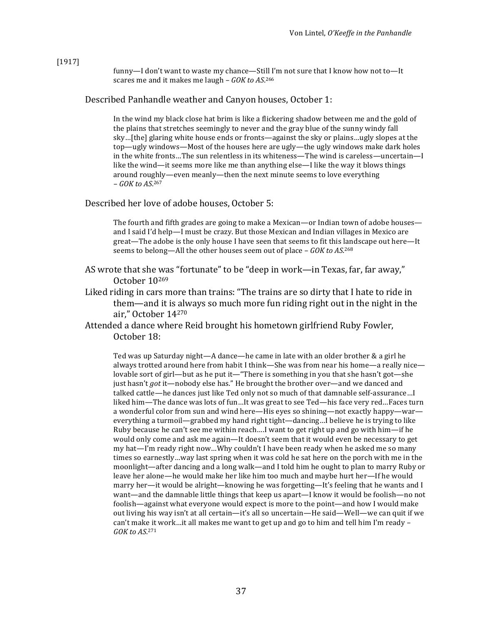funny—I don't want to waste my chance—Still I'm not sure that I know how not to—It scares me and it makes me laugh – GOK to AS.<sup>266</sup>

## Described Panhandle weather and Canyon houses, October 1:

In the wind my black close hat brim is like a flickering shadow between me and the gold of the plains that stretches seemingly to never and the gray blue of the sunny windy fall sky... [the] glaring white house ends or fronts—against the sky or plains…ugly slopes at the top—ugly windows—Most of the houses here are ugly—the ugly windows make dark holes in the white fronts...The sun relentless in its whiteness—The wind is careless—uncertain—I like the wind—it seems more like me than anything else—I like the way it blows things around roughly—even meanly—then the next minute seems to love everything *– GOK to AS*. 267

## Described her love of adobe houses, October 5:

The fourth and fifth grades are going to make a Mexican—or Indian town of adobe houses and I said I'd help—I must be crazy. But those Mexican and Indian villages in Mexico are great—The adobe is the only house I have seen that seems to fit this landscape out here—It seems to belong—All the other houses seem out of place - *GOK to AS*.<sup>268</sup>

AS wrote that she was "fortunate" to be "deep in work—in Texas, far, far away," October 10269

- Liked riding in cars more than trains: "The trains are so dirty that I hate to ride in them—and it is always so much more fun riding right out in the night in the air," October 14270
- Attended a dance where Reid brought his hometown girlfriend Ruby Fowler, October 18:

Ted was up Saturday night—A dance—he came in late with an older brother & a girl he always trotted around here from habit I think—She was from near his home—a really nice lovable sort of girl—but as he put it—"There is something in you that she hasn't got—she just hasn't *got* it—nobody else has." He brought the brother over—and we danced and talked cattle—he dances just like Ted only not so much of that damnable self-assurance...I liked him—The dance was lots of fun…It was great to see Ted—his face very red…Faces turn a wonderful color from sun and wind here—His eyes so shining—not exactly happy—war everything a turmoil—grabbed my hand right tight—dancing...I believe he is trying to like Ruby because he can't see me within reach....I want to get right up and go with him—if he would only come and ask me again—It doesn't seem that it would even be necessary to get my hat—I'm ready right now...Why couldn't I have been ready when he asked me so many times so earnestly…way last spring when it was cold he sat here on the porch with me in the moonlight—after dancing and a long walk—and I told him he ought to plan to marry Ruby or leave her alone—he would make her like him too much and maybe hurt her—If he would marry her—it would be alright—knowing he was forgetting—It's feeling that he wants and I want—and the damnable little things that keep us apart—I know it would be foolish—no not foolish—against what everyone would expect is more to the point—and how I would make out living his way isn't at all certain—it's all so uncertain—He said—Well—we can quit if we can't make it work…it all makes me want to get up and go to him and tell him I'm ready – *GOK to AS*. 271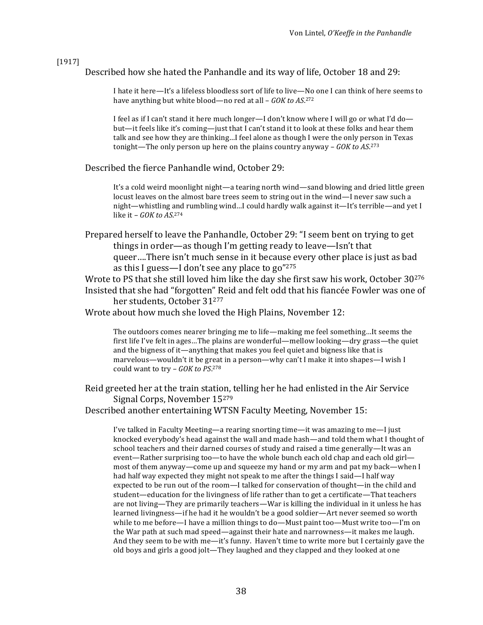Described how she hated the Panhandle and its way of life, October 18 and 29:

I hate it here—It's a lifeless bloodless sort of life to live—No one I can think of here seems to have anything but white blood—no red at all - *GOK to AS*.<sup>272</sup>

I feel as if I can't stand it here much longer—I don't know where I will go or what I'd do but—it feels like it's coming—just that I can't stand it to look at these folks and hear them talk and see how they are thinking...I feel alone as though I were the only person in Texas tonight—The only person up here on the plains country anyway *– GOK to AS*.<sup>273</sup>

Described the fierce Panhandle wind, October 29:

It's a cold weird moonlight night—a tearing north wind—sand blowing and dried little green locust leaves on the almost bare trees seem to string out in the wind—I never saw such a night—whistling and rumbling wind...I could hardly walk against it—It's terrible—and yet I like it *– GOK to AS*. 274

Prepared herself to leave the Panhandle, October 29: "I seem bent on trying to get things in order—as though I'm getting ready to leave—Isn't that queer....There isn't much sense in it because every other place is just as bad as this I guess—I don't see any place to go" $275$ 

Wrote to PS that she still loved him like the day she first saw his work, October  $30^{276}$ Insisted that she had "forgotten" Reid and felt odd that his fiancée Fowler was one of her students, October 31<sup>277</sup>

Wrote about how much she loved the High Plains, November 12:

The outdoors comes nearer bringing me to life—making me feel something...It seems the first life I've felt in ages...The plains are wonderful—mellow looking—dry grass—the quiet and the bigness of it—anything that makes you feel quiet and bigness like that is marvelous—wouldn't it be great in a person—why can't I make it into shapes—I wish I could want to try – GOK to PS.<sup>278</sup>

Reid greeted her at the train station, telling her he had enlisted in the Air Service Signal Corps, November 15<sup>279</sup>

Described another entertaining WTSN Faculty Meeting, November 15:

I've talked in Faculty Meeting—a rearing snorting time—it was amazing to me—I just knocked everybody's head against the wall and made hash—and told them what I thought of school teachers and their darned courses of study and raised a time generally—It was an event—Rather surprising too—to have the whole bunch each old chap and each old  $\pi$ most of them anyway—come up and squeeze my hand or my arm and pat my back—when  $I$ had half way expected they might not speak to me after the things I said—I half way expected to be run out of the room—I talked for conservation of thought—in the child and student—education for the livingness of life rather than to get a certificate—That teachers are not living—They are primarily teachers—War is killing the individual in it unless he has learned livingness—if he had it he wouldn't be a good soldier—Art never seemed so worth while to me before—I have a million things to do—Must paint too—Must write too—I'm on the War path at such mad speed—against their hate and narrowness—it makes me laugh. And they seem to be with me—it's funny. Haven't time to write more but I certainly gave the old boys and girls a good jolt—They laughed and they clapped and they looked at one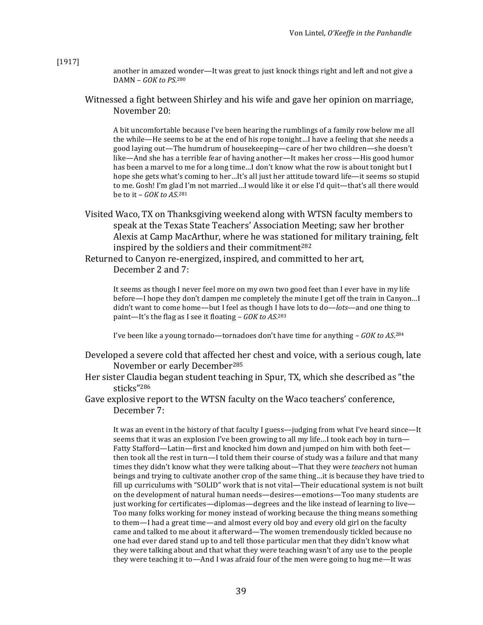another in amazed wonder—It was great to just knock things right and left and not give a DAMN - *GOK* to PS.<sup>280</sup>

Witnessed a fight between Shirley and his wife and gave her opinion on marriage, November 20:

A bit uncomfortable because I've been hearing the rumblings of a family row below me all the while—He seems to be at the end of his rope tonight...I have a feeling that she needs a good laying out—The humdrum of housekeeping—care of her two children—she doesn't like—And she has a terrible fear of having another—It makes her cross—His good humor has been a marvel to me for a long time...I don't know what the row is about tonight but I hope she gets what's coming to her...It's all just her attitude toward life—it seems so stupid to me. Gosh! I'm glad I'm not married...I would like it or else I'd quit—that's all there would be to it – *GOK to AS*.<sup>281</sup>

- Visited Waco, TX on Thanksgiving weekend along with WTSN faculty members to speak at the Texas State Teachers' Association Meeting; saw her brother Alexis at Camp MacArthur, where he was stationed for military training, felt inspired by the soldiers and their commitment<sup>282</sup>
- Returned to Canyon re-energized, inspired, and committed to her art, December 2 and 7:

It seems as though I never feel more on my own two good feet than I ever have in my life before—I hope they don't dampen me completely the minute I get off the train in Canyon...I didn't want to come home—but I feel as though I have lots to do—*lots*—and one thing to paint—It's the flag as I see it floating – GOK to AS.<sup>283</sup>

I've been like a young tornado—tornadoes don't have time for anything *– GOK to AS.*284

- Developed a severe cold that affected her chest and voice, with a serious cough, late November or early December<sup>285</sup>
- Her sister Claudia began student teaching in Spur, TX, which she described as "the sticks"286
- Gave explosive report to the WTSN faculty on the Waco teachers' conference, December 7:

It was an event in the history of that faculty I guess—judging from what I've heard since—It seems that it was an explosion I've been growing to all my life...I took each boy in turn— Fatty Stafford—Latin—first and knocked him down and jumped on him with both feet then took all the rest in turn—I told them their course of study was a failure and that many times they didn't know what they were talking about—That they were *teachers* not human beings and trying to cultivate another crop of the same thing...it is because they have tried to fill up curriculums with "SOLID" work that is not vital—Their educational system is not built on the development of natural human needs—desires—emotions—Too many students are just working for certificates—diplomas—degrees and the like instead of learning to live— Too many folks working for money instead of working because the thing means something to them—I had a great time—and almost every old boy and every old girl on the faculty came and talked to me about it afterward—The women tremendously tickled because no one had ever dared stand up to and tell those particular men that they didn't know what they were talking about and that what they were teaching wasn't of any use to the people they were teaching it to—And I was afraid four of the men were going to hug me—It was

[1917]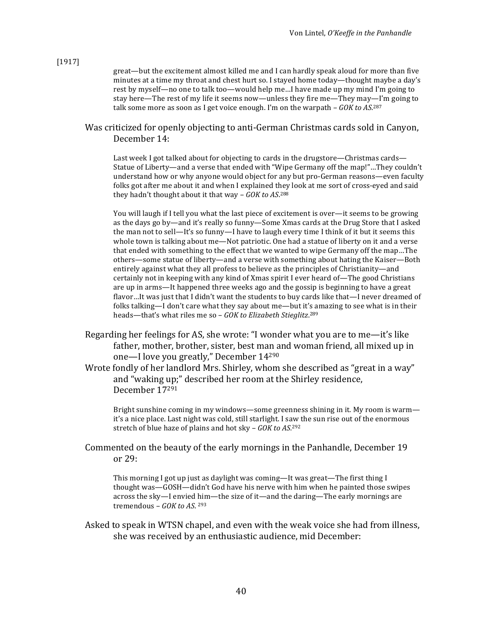$great$ —but the excitement almost killed me and I can hardly speak aloud for more than five minutes at a time my throat and chest hurt so. I stayed home today—thought maybe a day's rest by myself—no one to talk too—would help me...I have made up my mind I'm going to stay here—The rest of my life it seems now—unless they fire me—They may—I'm going to talk some more as soon as I get voice enough. I'm on the warpath *– GOK to AS*.<sup>287</sup>

## Was criticized for openly objecting to anti-German Christmas cards sold in Canyon, December 14:

Last week I got talked about for objecting to cards in the drugstore—Christmas cards— Statue of Liberty—and a verse that ended with "Wipe Germany off the map!"...They couldn't understand how or why anyone would object for any but pro-German reasons—even faculty folks got after me about it and when I explained they look at me sort of cross-eyed and said they hadn't thought about it that way *– GOK to AS*.<sup>288</sup>

You will laugh if I tell you what the last piece of excitement is over—it seems to be growing as the days go by—and it's really so funny—Some Xmas cards at the Drug Store that I asked the man not to sell—It's so funny—I have to laugh every time I think of it but it seems this whole town is talking about me—Not patriotic. One had a statue of liberty on it and a verse that ended with something to the effect that we wanted to wipe Germany off the map...The others—some statue of liberty—and a verse with something about hating the Kaiser—Both entirely against what they all profess to believe as the principles of Christianity—and certainly not in keeping with any kind of Xmas spirit I ever heard of—The good Christians are up in arms—It happened three weeks ago and the gossip is beginning to have a great flavor...It was just that I didn't want the students to buy cards like that—I never dreamed of folks talking—I don't care what they say about me—but it's amazing to see what is in their heads—that's what riles me so – *GOK to Elizabeth Stieglitz*.<sup>289</sup>

- Regarding her feelings for AS, she wrote: "I wonder what you are to me—it's like father, mother, brother, sister, best man and woman friend, all mixed up in one-I love you greatly," December 14<sup>290</sup>
- Wrote fondly of her landlord Mrs. Shirley, whom she described as "great in a way" and "waking up;" described her room at the Shirley residence, December 17291

Bright sunshine coming in my windows—some greenness shining in it. My room is warm it's a nice place. Last night was cold, still starlight. I saw the sun rise out of the enormous stretch of blue haze of plains and hot sky – *GOK to AS*.<sup>292</sup>

Commented on the beauty of the early mornings in the Panhandle, December 19 or 29: 

This morning I got up just as daylight was coming—It was great—The first thing I thought was—GOSH—didn't God have his nerve with him when he painted those swipes across the sky-I envied him-the size of it-and the daring-The early mornings are tremendous - *GOK* to AS. <sup>293</sup>

Asked to speak in WTSN chapel, and even with the weak voice she had from illness, she was received by an enthusiastic audience, mid December: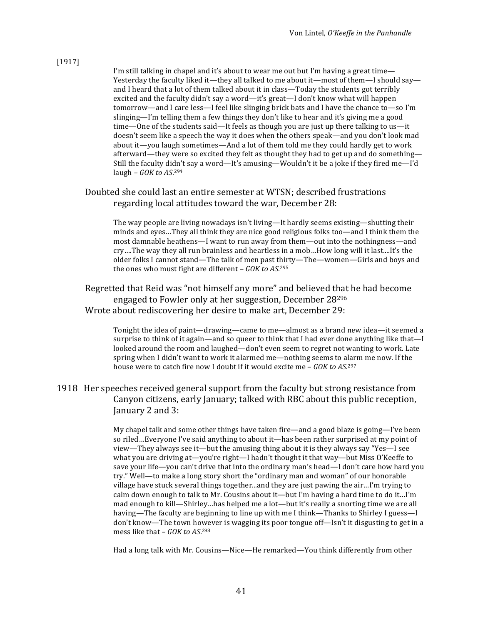I'm still talking in chapel and it's about to wear me out but I'm having a great time— Yesterday the faculty liked it—they all talked to me about it—most of them—I should say and I heard that a lot of them talked about it in class—Today the students got terribly excited and the faculty didn't say a word—it's great—I don't know what will happen tomorrow—and I care less—I feel like slinging brick bats and I have the chance to—so I'm slinging—I'm telling them a few things they don't like to hear and it's giving me a good time—One of the students said—It feels as though you are just up there talking to us—it doesn't seem like a speech the way it does when the others speak—and you don't look mad about it—you laugh sometimes—And a lot of them told me they could hardly get to work afterward—they were so excited they felt as thought they had to get up and do something— Still the faculty didn't say a word—It's amusing—Wouldn't it be a joke if they fired me—I'd laugh – *GOK to AS*.<sup>294</sup>

## Doubted she could last an entire semester at WTSN; described frustrations regarding local attitudes toward the war, December 28:

The way people are living nowadays isn't living—It hardly seems existing—shutting their minds and eyes...They all think they are nice good religious folks too—and I think them the most damnable heathens—I want to run away from them—out into the nothingness—and cry....The way they all run brainless and heartless in a mob...How long will it last....It's the older folks I cannot stand—The talk of men past thirty—The—women—Girls and boys and the ones who must fight are different *– GOK to AS*.<sup>295</sup>

Regretted that Reid was "not himself any more" and believed that he had become engaged to Fowler only at her suggestion, December  $28^{296}$ Wrote about rediscovering her desire to make art, December 29:

Tonight the idea of paint—drawing—came to me—almost as a brand new idea—it seemed a surprise to think of it again—and so queer to think that I had ever done anything like that—I looked around the room and laughed—don't even seem to regret not wanting to work. Late spring when I didn't want to work it alarmed me—nothing seems to alarm me now. If the house were to catch fire now I doubt if it would excite me – *GOK to AS*.<sup>297</sup>

# 1918 Her speeches received general support from the faculty but strong resistance from Canyon citizens, early January; talked with RBC about this public reception, January 2 and 3:

My chapel talk and some other things have taken fire—and a good blaze is going—I've been so riled...Everyone I've said anything to about it—has been rather surprised at my point of view—They always see it—but the amusing thing about it is they always say "Yes—I see what you are driving at—you're right—I hadn't thought it that way—but Miss O'Keeffe to save your life—you can't drive that into the ordinary man's head—I don't care how hard you try." Well—to make a long story short the "ordinary man and woman" of our honorable village have stuck several things together...and they are just pawing the air...I'm trying to calm down enough to talk to Mr. Cousins about it—but I'm having a hard time to do it...I'm mad enough to kill—Shirley…has helped me a lot—but it's really a snorting time we are all having—The faculty are beginning to line up with me I think—Thanks to Shirley I guess—I don't know—The town however is wagging its poor tongue off—Isn't it disgusting to get in a mess like that *– GOK to AS*. 298

Had a long talk with Mr. Cousins—Nice—He remarked—You think differently from other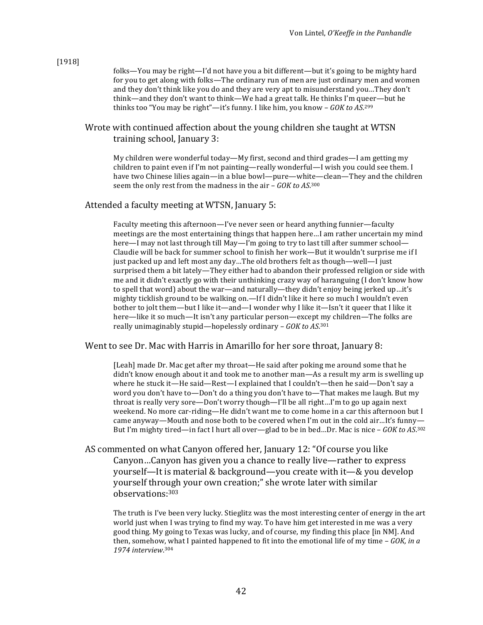folks—You may be right—I'd not have you a bit different—but it's going to be mighty hard for you to get along with folks—The ordinary run of men are just ordinary men and women and they don't think like you do and they are very apt to misunderstand you...They don't think—and they don't want to think—We had a great talk. He thinks I'm queer—but he thinks too "You may be right"—it's funny. I like him, you know – *GOK to AS*.<sup>299</sup>

# Wrote with continued affection about the young children she taught at WTSN training school, January 3:

My children were wonderful today—My first, second and third grades—I am getting my children to paint even if I'm not painting—really wonderful—I wish you could see them. I have two Chinese lilies again—in a blue bowl—pure—white—clean—They and the children seem the only rest from the madness in the air - *GOK to AS*.<sup>300</sup>

### Attended a faculty meeting at WTSN, January 5:

Faculty meeting this afternoon—I've never seen or heard anything funnier—faculty meetings are the most entertaining things that happen here...I am rather uncertain my mind here-I may not last through till May-I'm going to try to last till after summer school-Claudie will be back for summer school to finish her work—But it wouldn't surprise me if  $I$ just packed up and left most any day...The old brothers felt as though—well—I just surprised them a bit lately—They either had to abandon their professed religion or side with me and it didn't exactly go with their unthinking crazy way of haranguing (I don't know how to spell that word) about the war—and naturally—they didn't enjoy being jerked up... it's mighty ticklish ground to be walking on.—If I didn't like it here so much I wouldn't even bother to jolt them—but I like it—and—I wonder why I like it—Isn't it queer that I like it here—like it so much—It isn't any particular person—except my children—The folks are really unimaginably stupid—hopelessly ordinary *– GOK to AS*.<sup>301</sup>

Went to see Dr. Mac with Harris in Amarillo for her sore throat, January 8:

[Leah] made Dr. Mac get after my throat—He said after poking me around some that he didn't know enough about it and took me to another man—As a result my arm is swelling up where he stuck it—He said—Rest—I explained that I couldn't—then he said—Don't say a word you don't have to—Don't do a thing you don't have to—That makes me laugh. But my throat is really very sore—Don't worry though—I'll be all right...I'm to go up again next weekend. No more car-riding—He didn't want me to come home in a car this afternoon but I came anyway—Mouth and nose both to be covered when I'm out in the cold air...It's funny— But I'm mighty tired—in fact I hurt all over—glad to be in bed…Dr. Mac is nice *– GOK to AS*.<sup>302</sup>

AS commented on what Canyon offered her, January 12: "Of course you like Canyon...Canyon has given you a chance to really live—rather to express yourself—It is material & background—you create with it—& you develop yourself through your own creation;" she wrote later with similar observations:303

The truth is I've been very lucky. Stieglitz was the most interesting center of energy in the art world just when I was trying to find my way. To have him get interested in me was a very good thing. My going to Texas was lucky, and of course, my finding this place [in NM]. And then, somehow, what I painted happened to fit into the emotional life of my time  $-$  *GOK, in a 1974 interview*. 304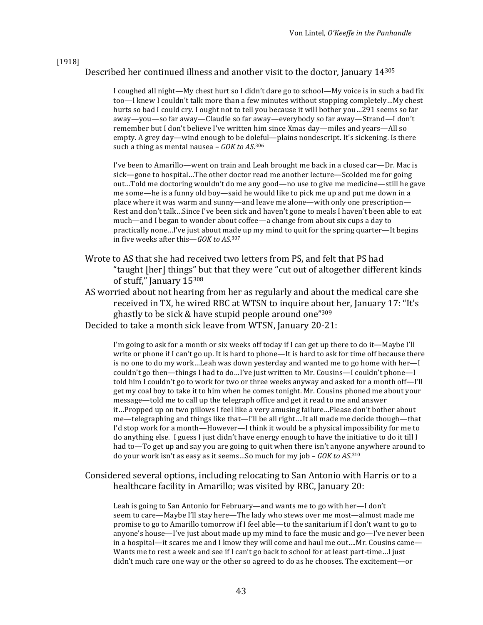# Described her continued illness and another visit to the doctor, January 14305

I coughed all night—My chest hurt so I didn't dare go to school—My voice is in such a bad fix too—I knew I couldn't talk more than a few minutes without stopping completely...My chest hurts so bad I could cry. I ought not to tell you because it will bother you...291 seems so far away—you—so far away—Claudie so far away—everybody so far away—Strand—I don't remember but I don't believe I've written him since Xmas day—miles and years—All so empty. A grey day—wind enough to be doleful—plains nondescript. It's sickening. Is there such a thing as mental nausea – *GOK to AS*.<sup>306</sup>

I've been to Amarillo—went on train and Leah brought me back in a closed car—Dr. Mac is sick—gone to hospital...The other doctor read me another lecture—Scolded me for going out...Told me doctoring wouldn't do me any good—no use to give me medicine—still he gave me some—he is a funny old boy—said he would like to pick me up and put me down in a place where it was warm and sunny—and leave me alone—with only one prescription— Rest and don't talk...Since I've been sick and haven't gone to meals I haven't been able to eat much—and I began to wonder about coffee—a change from about six cups a day to practically none...I've just about made up my mind to quit for the spring quarter—It begins in five weeks after this—*GOK to AS*.<sup>307</sup>

Wrote to AS that she had received two letters from PS, and felt that PS had "taught [her] things" but that they were "cut out of altogether different kinds of stuff," January 15308

AS worried about not hearing from her as regularly and about the medical care she received in TX, he wired RBC at WTSN to inquire about her, January 17: "It's ghastly to be sick & have stupid people around one" $309$ 

Decided to take a month sick leave from WTSN, January 20-21:

I'm going to ask for a month or six weeks off today if I can get up there to do it—Maybe I'll write or phone if I can't go up. It is hard to phone—It is hard to ask for time off because there is no one to do my work...Leah was down yesterday and wanted me to go home with  $her-1$ couldn't go then—things I had to do...I've just written to Mr. Cousins—I couldn't phone—I told him I couldn't go to work for two or three weeks anyway and asked for a month off—I'll get my coal boy to take it to him when he comes tonight. Mr. Cousins phoned me about your message—told me to call up the telegraph office and get it read to me and answer it…Propped up on two pillows I feel like a very amusing failure…Please don't bother about me—telegraphing and things like that—I'll be all right....It all made me decide though—that I'd stop work for a month—However—I think it would be a physical impossibility for me to do anything else. I guess I just didn't have energy enough to have the initiative to do it till I had to—To get up and say you are going to quit when there isn't anyone anywhere around to do your work isn't as easy as it seems...So much for my job – *GOK to AS*.<sup>310</sup>

# Considered several options, including relocating to San Antonio with Harris or to a healthcare facility in Amarillo; was visited by RBC, January 20:

Leah is going to San Antonio for February—and wants me to go with  $her - I don't$ seem to care—Maybe I'll stay here—The lady who stews over me most—almost made me promise to go to Amarillo tomorrow if I feel able—to the sanitarium if I don't want to go to anyone's house—I've just about made up my mind to face the music and  $go$ —I've never been in a hospital—it scares me and I know they will come and haul me out....Mr. Cousins came— Wants me to rest a week and see if I can't go back to school for at least part-time...I just didn't much care one way or the other so agreed to do as he chooses. The excitement—or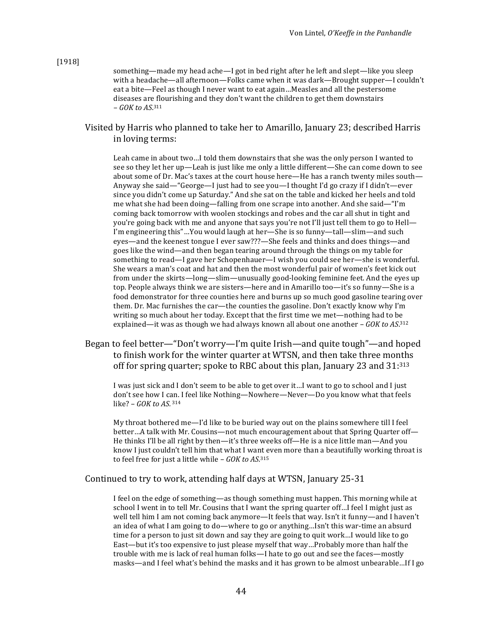something—made my head ache—I got in bed right after he left and slept—like you sleep with a headache—all afternoon—Folks came when it was dark—Brought supper—I couldn't eat a bite—Feel as though I never want to eat again...Measles and all the pestersome diseases are flourishing and they don't want the children to get them downstairs *– GOK to AS*. 311

# Visited by Harris who planned to take her to Amarillo, January 23; described Harris in loving terms:

Leah came in about two...I told them downstairs that she was the only person I wanted to see so they let her up—Leah is just like me only a little different—She can come down to see about some of Dr. Mac's taxes at the court house here—He has a ranch twenty miles south— Anyway she said—"George—I just had to see you—I thought I'd go crazy if I didn't—ever since you didn't come up Saturday." And she sat on the table and kicked her heels and told me what she had been doing—falling from one scrape into another. And she said—"I'm coming back tomorrow with woolen stockings and robes and the car all shut in tight and you're going back with me and anyone that says you're not I'll just tell them to go to Hell— I'm engineering this"...You would laugh at her—She is so funny—tall—slim—and such eyes—and the keenest tongue I ever saw???—She feels and thinks and does things—and goes like the wind—and then began tearing around through the things on my table for something to read—I gave her Schopenhauer—I wish you could see her—she is wonderful. She wears a man's coat and hat and then the most wonderful pair of women's feet kick out from under the skirts—long—slim—unusually good-looking feminine feet. And the eyes up top. People always think we are sisters—here and in Amarillo too—it's so funny—She is a food demonstrator for three counties here and burns up so much good gasoline tearing over them. Dr. Mac furnishes the car—the counties the gasoline. Don't exactly know why I'm writing so much about her today. Except that the first time we met—nothing had to be explained—it was as though we had always known all about one another *– GOK to AS*.<sup>312</sup>

# Began to feel better—"Don't worry—I'm quite Irish—and quite tough"—and hoped to finish work for the winter quarter at WTSN, and then take three months off for spring quarter; spoke to RBC about this plan, January 23 and  $31:313$

I was just sick and I don't seem to be able to get over it...I want to go to school and I just don't see how I can. I feel like Nothing—Nowhere—Never—Do you know what that feels like? *– GOK to AS.* 314

My throat bothered me—I'd like to be buried way out on the plains somewhere till I feel better…A talk with Mr. Cousins—not much encouragement about that Spring Ouarter off— He thinks I'll be all right by then—it's three weeks off—He is a nice little man—And you know I just couldn't tell him that what I want even more than a beautifully working throat is to feel free for just a little while *– GOK to AS*.<sup>315</sup>

## Continued to try to work, attending half days at WTSN, January 25-31

I feel on the edge of something—as though something must happen. This morning while at school I went in to tell Mr. Cousins that I want the spring quarter off...I feel I might just as well tell him I am not coming back anymore—It feels that way. Isn't it funny—and I haven't an idea of what I am going to do—where to go or anything...Isn't this war-time an absurd time for a person to just sit down and say they are going to quit work...I would like to go East—but it's too expensive to just please myself that way...Probably more than half the trouble with me is lack of real human folks—I hate to go out and see the faces—mostly masks—and I feel what's behind the masks and it has grown to be almost unbearable...If I go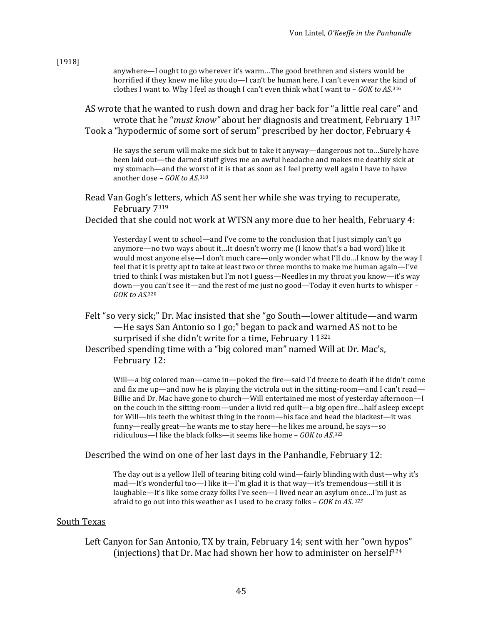anywhere—I ought to go wherever it's warm...The good brethren and sisters would be horrified if they knew me like you do—I can't be human here. I can't even wear the kind of clothes I want to. Why I feel as though I can't even think what I want to  $-$  GOK to AS.<sup>316</sup>

AS wrote that he wanted to rush down and drag her back for "a little real care" and wrote that he "*must know"* about her diagnosis and treatment, February 1<sup>317</sup> Took a "hypodermic of some sort of serum" prescribed by her doctor, February 4

He says the serum will make me sick but to take it anyway—dangerous not to...Surely have been laid out—the darned stuff gives me an awful headache and makes me deathly sick at my stomach—and the worst of it is that as soon as I feel pretty well again I have to have another dose *– GOK to AS*.<sup>318</sup>

Read Van Gogh's letters, which AS sent her while she was trying to recuperate, February 7319

Decided that she could not work at WTSN any more due to her health, February 4:

Yesterday I went to school—and I've come to the conclusion that I just simply can't go anymore—no two ways about it...It doesn't worry me (I know that's a bad word) like it would most anyone else—I don't much care—only wonder what I'll do...I know by the way I feel that it is pretty apt to take at least two or three months to make me human again—I've tried to think I was mistaken but I'm not I guess—Needles in my throat you know—it's way down—you can't see it—and the rest of me just no good—Today it even hurts to whisper -*GOK to AS*. 320

Felt "so very sick;" Dr. Mac insisted that she "go South—lower altitude—and warm —He says San Antonio so I go;" began to pack and warned AS not to be surprised if she didn't write for a time, February  $11^{321}$ Described spending time with a "big colored man" named Will at Dr. Mac's,

February 12:

Will—a big colored man—came in—poked the fire—said I'd freeze to death if he didn't come and fix me up—and now he is playing the victrola out in the sitting-room—and I can't read— Billie and Dr. Mac have gone to church—Will entertained me most of vesterday afternoon—I on the couch in the sitting-room—under a livid red quilt—a big open fire…half asleep except for Will—his teeth the whitest thing in the room—his face and head the blackest—it was funny—really great—he wants me to stay here—he likes me around, he says—so ridiculous—I like the black folks—it seems like home - *GOK to AS*.<sup>322</sup>

Described the wind on one of her last days in the Panhandle, February 12:

The day out is a yellow Hell of tearing biting cold wind—fairly blinding with dust—why it's  $mad$ —It's wonderful too—I like it—I'm glad it is that way—it's tremendous—still it is laughable—It's like some crazy folks I've seen—I lived near an asylum once...I'm just as afraid to go out into this weather as I used to be crazy folks  $-$  *GOK to AS.*  $323$ 

## South Texas

Left Canyon for San Antonio, TX by train, February 14; sent with her "own hypos" (injections) that Dr. Mac had shown her how to administer on hersel $f^{324}$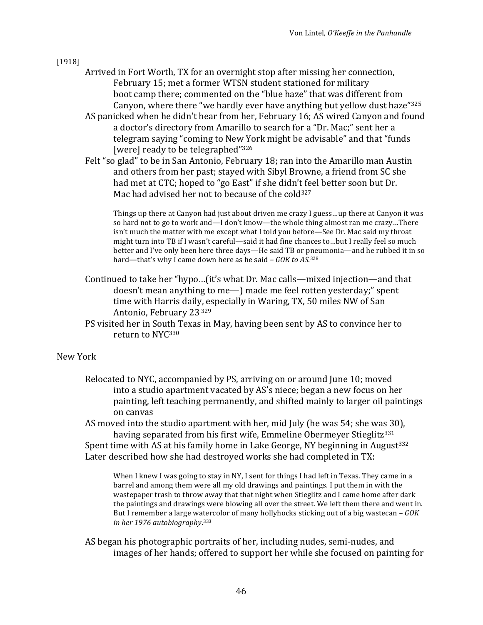- Arrived in Fort Worth, TX for an overnight stop after missing her connection, February 15; met a former WTSN student stationed for military boot camp there; commented on the "blue haze" that was different from Canyon, where there "we hardly ever have anything but yellow dust haze" $325$
- AS panicked when he didn't hear from her, February 16; AS wired Canyon and found a doctor's directory from Amarillo to search for a "Dr. Mac;" sent her a telegram saying "coming to New York might be advisable" and that "funds [were] ready to be telegraphed"<sup>326</sup>
- Felt "so glad" to be in San Antonio, February 18; ran into the Amarillo man Austin and others from her past; stayed with Sibyl Browne, a friend from SC she had met at CTC; hoped to "go East" if she didn't feel better soon but Dr. Mac had advised her not to because of the cold<sup>327</sup>

Things up there at Canyon had just about driven me crazy I guess...up there at Canyon it was so hard not to go to work and—I don't know—the whole thing almost ran me crazy...There isn't much the matter with me except what I told you before—See Dr. Mac said my throat might turn into TB if I wasn't careful—said it had fine chances to…but I really feel so much better and I've only been here three days—He said TB or pneumonia—and he rubbed it in so hard—that's why I came down here as he said *– GOK to AS*.<sup>328</sup>

- Continued to take her "hypo...(it's what Dr. Mac calls—mixed injection—and that doesn't mean anything to me-) made me feel rotten yesterday;" spent time with Harris daily, especially in Waring, TX, 50 miles NW of San Antonio, February 23 329
- PS visited her in South Texas in May, having been sent by AS to convince her to return to NYC330

# New York

Relocated to NYC, accompanied by PS, arriving on or around June 10; moved into a studio apartment vacated by AS's niece; began a new focus on her painting, left teaching permanently, and shifted mainly to larger oil paintings on canvas

AS moved into the studio apartment with her, mid July (he was 54; she was 30), having separated from his first wife, Emmeline Obermeyer Stieglitz<sup>331</sup> Spent time with AS at his family home in Lake George, NY beginning in August<sup>332</sup> Later described how she had destroyed works she had completed in TX:

When I knew I was going to stay in NY, I sent for things I had left in Texas. They came in a barrel and among them were all my old drawings and paintings. I put them in with the wastepaper trash to throw away that that night when Stieglitz and I came home after dark the paintings and drawings were blowing all over the street. We left them there and went in. But I remember a large watercolor of many hollyhocks sticking out of a big wastecan – GOK *in her 1976 autobiography*. 333

AS began his photographic portraits of her, including nudes, semi-nudes, and images of her hands; offered to support her while she focused on painting for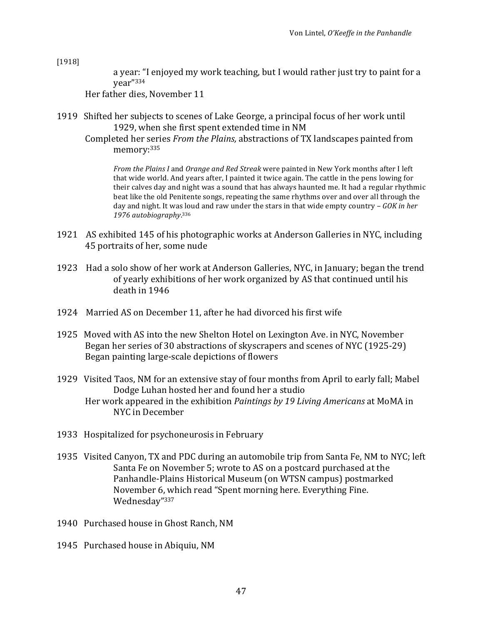a year: "I enjoyed my work teaching, but I would rather just try to paint for a year"334

Her father dies, November 11

- 1919 Shifted her subjects to scenes of Lake George, a principal focus of her work until 1929, when she first spent extended time in NM
	- Completed her series *From the Plains*, abstractions of TX landscapes painted from memory: 335

*From the Plains I* and *Orange and Red Streak* were painted in New York months after I left that wide world. And years after, I painted it twice again. The cattle in the pens lowing for their calves day and night was a sound that has always haunted me. It had a regular rhythmic beat like the old Penitente songs, repeating the same rhythms over and over all through the day and night. It was loud and raw under the stars in that wide empty country – GOK in her *1976 autobiography*. 336

- 1921 AS exhibited 145 of his photographic works at Anderson Galleries in NYC, including 45 portraits of her, some nude
- 1923 Had a solo show of her work at Anderson Galleries, NYC, in January; began the trend of yearly exhibitions of her work organized by AS that continued until his death in 1946
- 1924 Married AS on December 11, after he had divorced his first wife
- 1925 Moved with AS into the new Shelton Hotel on Lexington Ave. in NYC, November Began her series of 30 abstractions of skyscrapers and scenes of NYC (1925-29) Began painting large-scale depictions of flowers
- 1929 Visited Taos, NM for an extensive stay of four months from April to early fall; Mabel Dodge Luhan hosted her and found her a studio Her work appeared in the exhibition *Paintings by 19 Living Americans* at MoMA in NYC in December
- 1933 Hospitalized for psychoneurosis in February
- 1935 Visited Canyon, TX and PDC during an automobile trip from Santa Fe, NM to NYC; left Santa Fe on November 5; wrote to AS on a postcard purchased at the Panhandle-Plains Historical Museum (on WTSN campus) postmarked November 6, which read "Spent morning here. Everything Fine. Wednesday"337
- 1940 Purchased house in Ghost Ranch, NM
- 1945 Purchased house in Abiquiu, NM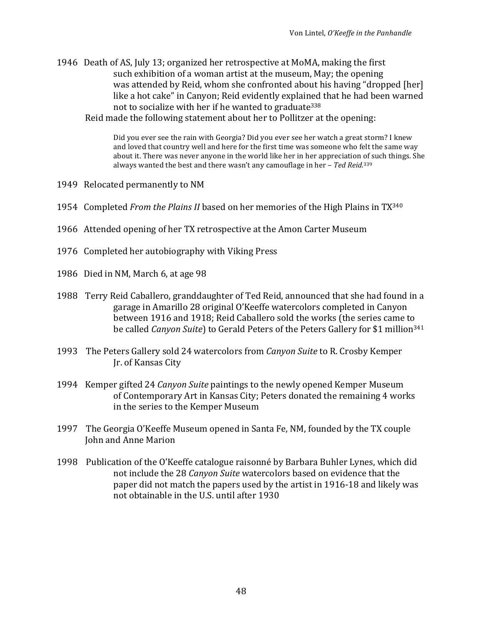- 1946 Death of AS, July 13; organized her retrospective at MoMA, making the first such exhibition of a woman artist at the museum, May; the opening was attended by Reid, whom she confronted about his having "dropped [her] like a hot cake" in Canyon; Reid evidently explained that he had been warned not to socialize with her if he wanted to graduate<sup>338</sup>
	- Reid made the following statement about her to Pollitzer at the opening:

Did you ever see the rain with Georgia? Did you ever see her watch a great storm? I knew and loved that country well and here for the first time was someone who felt the same way about it. There was never anyone in the world like her in her appreciation of such things. She always wanted the best and there wasn't any camouflage in her - Ted Reid.<sup>339</sup>

- 1949 Relocated permanently to NM
- 1954 Completed *From the Plains II* based on her memories of the High Plains in TX<sup>340</sup>
- 1966 Attended opening of her TX retrospective at the Amon Carter Museum
- 1976 Completed her autobiography with Viking Press
- 1986 Died in NM, March 6, at age 98
- 1988 Terry Reid Caballero, granddaughter of Ted Reid, announced that she had found in a garage in Amarillo 28 original O'Keeffe watercolors completed in Canyon between 1916 and 1918; Reid Caballero sold the works (the series came to be called *Canyon Suite*) to Gerald Peters of the Peters Gallery for \$1 million<sup>341</sup>
- 1993 The Peters Gallery sold 24 watercolors from *Canyon Suite* to R. Crosby Kemper Jr. of Kansas City
- 1994 Kemper gifted 24 *Canyon Suite* paintings to the newly opened Kemper Museum of Contemporary Art in Kansas City: Peters donated the remaining 4 works in the series to the Kemper Museum
- 1997 The Georgia O'Keeffe Museum opened in Santa Fe, NM, founded by the TX couple **John and Anne Marion**
- 1998 Publication of the O'Keeffe catalogue raisonné by Barbara Buhler Lynes, which did not include the 28 *Canyon Suite* watercolors based on evidence that the paper did not match the papers used by the artist in 1916-18 and likely was not obtainable in the U.S. until after 1930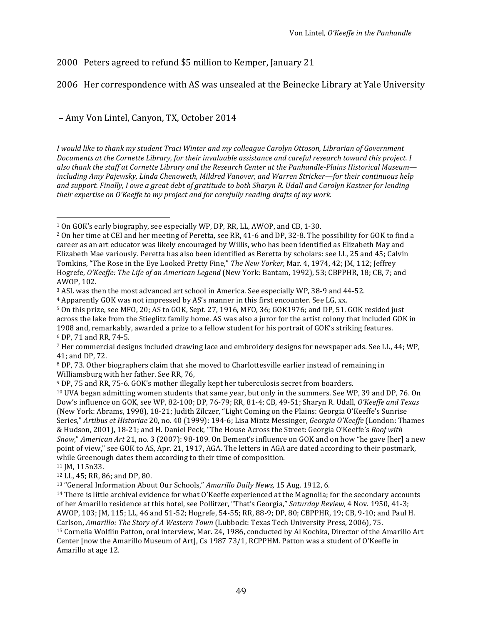2000 Peters agreed to refund \$5 million to Kemper, January 21

2006 Her correspondence with AS was unsealed at the Beinecke Library at Yale University

– Amy Von Lintel, Canyon, TX, October 2014

 

*I* would like to thank my student Traci Winter and my colleague Carolyn Ottoson, Librarian of Government *Documents at the Cornette Library, for their invaluable assistance and careful research toward this project. I* also thank the staff at Cornette Library and the Research Center at the Panhandle-Plains Historical Museum *including Amy Pajewsky, Linda Chenoweth, Mildred Vanover, and Warren Stricker—for their continuous help* and support. Finally, I owe a great debt of gratitude to both Sharyn R. Udall and Carolyn Kastner for lending *their expertise* on *O'Keeffe* to my project and for carefully reading drafts of my work.

<sup>8</sup> DP, 73. Other biographers claim that she moved to Charlottesville earlier instead of remaining in Williamsburg with her father. See RR, 76,

<sup>&</sup>lt;sup>1</sup> On GOK's early biography, see especially WP, DP, RR, LL, AWOP, and CB, 1-30.

<sup>&</sup>lt;sup>2</sup> On her time at CEI and her meeting of Peretta, see RR, 41-6 and DP, 32-8. The possibility for GOK to find a career as an art educator was likely encouraged by Willis, who has been identified as Elizabeth May and Elizabeth Mae variously. Peretta has also been identified as Beretta by scholars: see LL, 25 and 45; Calvin Tomkins, "The Rose in the Eye Looked Pretty Fine," The New Yorker, Mar. 4, 1974, 42; JM, 112; Jeffrey Hogrefe, O'Keeffe: The Life of an American Legend (New York: Bantam, 1992), 53; CBPPHR, 18; CB, 7; and AWOP, 102.

<sup>&</sup>lt;sup>3</sup> ASL was then the most advanced art school in America. See especially WP, 38-9 and 44-52.

<sup>&</sup>lt;sup>4</sup> Apparently GOK was not impressed by AS's manner in this first encounter. See LG, xx.

 $5$  On this prize, see MFO, 20; AS to GOK, Sept. 27, 1916, MFO, 36; GOK1976; and DP, 51. GOK resided just across the lake from the Stieglitz family home. AS was also a juror for the artist colony that included GOK in 1908 and, remarkably, awarded a prize to a fellow student for his portrait of GOK's striking features.  $6$  DP, 71 and RR, 74-5.

<sup>7</sup> Her commercial designs included drawing lace and embroidery designs for newspaper ads. See LL, 44; WP, 41; and DP, 72.

<sup>&</sup>lt;sup>9</sup> DP, 75 and RR, 75-6. GOK's mother illegally kept her tuberculosis secret from boarders.

<sup>&</sup>lt;sup>10</sup> UVA began admitting women students that same year, but only in the summers. See WP, 39 and DP, 76. On Dow's influence on GOK, see WP, 82-100; DP, 76-79; RR, 81-4; CB, 49-51; Sharyn R, Udall, O'Keeffe and Texas (New York: Abrams, 1998), 18-21; Judith Zilczer, "Light Coming on the Plains: Georgia O'Keeffe's Sunrise Series," Artibus et Historiae 20, no. 40 (1999): 194-6; Lisa Mintz Messinger, *Georgia O'Keeffe* (London: Thames & Hudson, 2001), 18-21; and H. Daniel Peck, "The House Across the Street: Georgia O'Keeffe's Roof with *Snow,"* American Art 21, no. 3 (2007): 98-109. On Bement's influence on GOK and on how "he gave [her] a new point of view," see GOK to AS, Apr. 21, 1917, AGA. The letters in AGA are dated according to their postmark, while Greenough dates them according to their time of composition.

 $11$  JM,  $115n33$ .

<sup>12</sup> LL, 45; RR, 86; and DP, 80.

<sup>&</sup>lt;sup>13</sup> "General Information About Our Schools," *Amarillo Daily News*, 15 Aug. 1912, 6.

<sup>&</sup>lt;sup>14</sup> There is little archival evidence for what O'Keeffe experienced at the Magnolia; for the secondary accounts of her Amarillo residence at this hotel, see Pollitzer, "That's Georgia," Saturday Review, 4 Nov. 1950, 41-3; AWOP, 103; JM, 115; LL, 46 and 51-52; Hogrefe, 54-55; RR, 88-9; DP, 80; CBPPHR, 19; CB, 9-10; and Paul H. Carlson, *Amarillo: The Story of A Western Town* (Lubbock: Texas Tech University Press, 2006), 75. <sup>15</sup> Cornelia Wolflin Patton, oral interview, Mar. 24, 1986, conducted by Al Kochka, Director of the Amarillo Art Center [now the Amarillo Museum of Art], Cs 1987 73/1, RCPPHM. Patton was a student of O'Keeffe in Amarillo at age 12.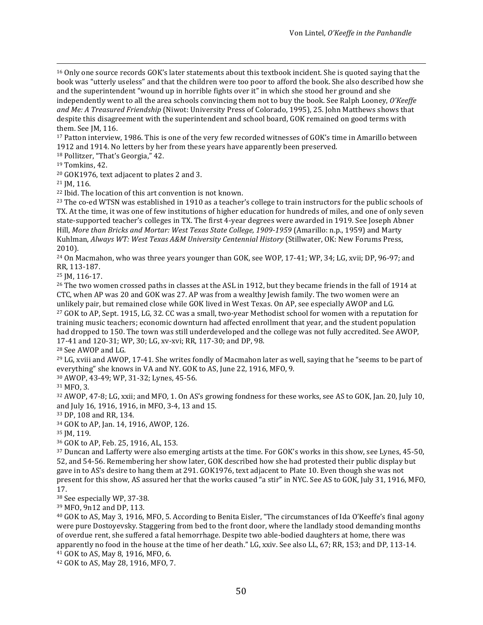<sup>16</sup> Only one source records GOK's later statements about this textbook incident. She is quoted saying that the book was "utterly useless" and that the children were too poor to afford the book. She also described how she and the superintendent "wound up in horrible fights over it" in which she stood her ground and she independently went to all the area schools convincing them not to buy the book. See Ralph Looney, O'Keeffe and Me: A Treasured Friendship (Niwot: University Press of Colorado, 1995), 25. John Matthews shows that despite this disagreement with the superintendent and school board, GOK remained on good terms with them. See JM, 116.

<u> 1989 - Andrea San Andrea San Andrea San Andrea San Andrea San Andrea San Andrea San Andrea San Andrea San An</u>

 $17$  Patton interview, 1986. This is one of the very few recorded witnesses of GOK's time in Amarillo between 1912 and 1914. No letters by her from these years have apparently been preserved.

<sup>18</sup> Pollitzer, "That's Georgia," 42.

<sup>19</sup> Tomkins, 42.

 $20$  GOK1976, text adjacent to plates 2 and 3.

 $21$  JM,  $116$ .

 $22$  Ibid. The location of this art convention is not known.

 $23$  The co-ed WTSN was established in 1910 as a teacher's college to train instructors for the public schools of TX. At the time, it was one of few institutions of higher education for hundreds of miles, and one of only seven state-supported teacher's colleges in TX. The first 4-year degrees were awarded in 1919. See Joseph Abner Hill, More than Bricks and Mortar: West Texas State College, 1909-1959 (Amarillo: n.p., 1959) and Marty Kuhlman, Always WT: West Texas A&M University Centennial History (Stillwater, OK: New Forums Press, 2010).

 $24$  On Macmahon, who was three years younger than GOK, see WOP, 17-41; WP, 34; LG, xvii; DP, 96-97; and RR, 113-187.

<sup>25</sup> JM, 116-17.

 $26$  The two women crossed paths in classes at the ASL in 1912, but they became friends in the fall of 1914 at CTC, when AP was 20 and GOK was 27. AP was from a wealthy Jewish family. The two women were an unlikely pair, but remained close while GOK lived in West Texas. On AP, see especially AWOP and LG. <sup>27</sup> GOK to AP, Sept. 1915, LG, 32. CC was a small, two-year Methodist school for women with a reputation for training music teachers; economic downturn had affected enrollment that year, and the student population had dropped to 150. The town was still underdeveloped and the college was not fully accredited. See AWOP, 17-41 and 120-31; WP, 30; LG, xv-xvi; RR, 117-30; and DP, 98.

<sup>28</sup> See AWOP and LG.

<sup>29</sup> LG, xviii and AWOP, 17-41. She writes fondly of Macmahon later as well, saying that he "seems to be part of everything" she knows in VA and NY. GOK to AS, June 22, 1916, MFO, 9.

30 AWOP, 43-49; WP, 31-32; Lynes, 45-56.

31 MFO, 3.

<sup>32</sup> AWOP, 47-8; LG, xxii; and MFO, 1. On AS's growing fondness for these works, see AS to GOK, Jan. 20, July 10, and July 16, 1916, 1916, in MFO, 3-4, 13 and 15.

33 DP, 108 and RR, 134.

34 GOK to AP, Jan. 14, 1916, AWOP, 126.

35 JM, 119.

36 GOK to AP, Feb. 25, 1916, AL, 153.

37 Duncan and Lafferty were also emerging artists at the time. For GOK's works in this show, see Lynes, 45-50, 52, and 54-56. Remembering her show later, GOK described how she had protested their public display but gave in to AS's desire to hang them at 291. GOK1976, text adjacent to Plate 10. Even though she was not present for this show, AS assured her that the works caused "a stir" in NYC. See AS to GOK, July 31, 1916, MFO, 17.

<sup>38</sup> See especially WP, 37-38.

<sup>39</sup> MFO, 9n12 and DP, 113.

<sup>40</sup> GOK to AS, May 3, 1916, MFO, 5. According to Benita Eisler, "The circumstances of Ida O'Keeffe's final agony were pure Dostoyevsky. Staggering from bed to the front door, where the landlady stood demanding months of overdue rent, she suffered a fatal hemorrhage. Despite two able-bodied daughters at home, there was apparently no food in the house at the time of her death." LG, xxiv. See also LL,  $67$ ; RR, 153; and DP, 113-14.

41 GOK to AS, May 8, 1916, MFO, 6.

42 GOK to AS, May 28, 1916, MFO, 7.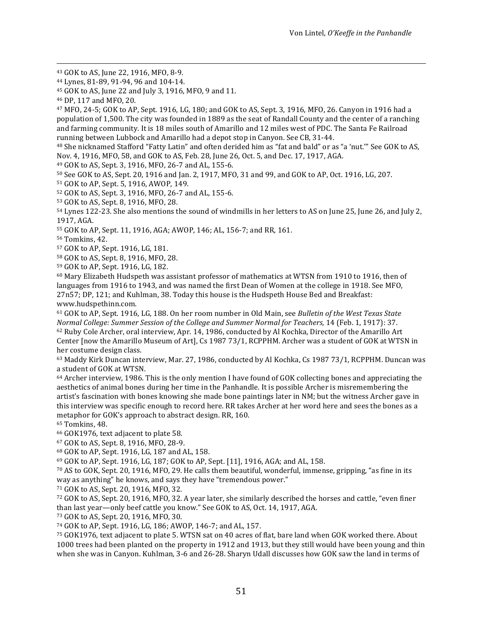43 GOK to AS, June 22, 1916, MFO, 8-9.

44 Lynes, 81-89, 91-94, 96 and 104-14.

 $45$  GOK to AS, June 22 and July 3, 1916, MFO, 9 and 11.

46 DP, 117 and MFO, 20.

 $47$  MFO, 24-5; GOK to AP, Sept. 1916, LG, 180; and GOK to AS, Sept. 3, 1916, MFO, 26. Canyon in 1916 had a population of 1,500. The city was founded in 1889 as the seat of Randall County and the center of a ranching and farming community. It is 18 miles south of Amarillo and 12 miles west of PDC. The Santa Fe Railroad running between Lubbock and Amarillo had a depot stop in Canyon. See CB, 31-44.

<u> 1989 - Andrea San Andrea San Andrea San Andrea San Andrea San Andrea San Andrea San Andrea San Andrea San An</u>

<sup>48</sup> She nicknamed Stafford "Fatty Latin" and often derided him as "fat and bald" or as "a 'nut."" See GOK to AS, Nov. 4, 1916, MFO, 58, and GOK to AS, Feb. 28, June 26, Oct. 5, and Dec. 17, 1917, AGA.

49 GOK to AS, Sept. 3, 1916, MFO, 26-7 and AL, 155-6.

50 See GOK to AS, Sept. 20, 1916 and Jan. 2, 1917, MFO, 31 and 99, and GOK to AP, Oct. 1916, LG, 207.

<sup>51</sup> GOK to AP, Sept. 5, 1916, AWOP, 149.

52 GOK to AS, Sept. 3, 1916, MFO, 26-7 and AL, 155-6.

53 GOK to AS, Sept. 8, 1916, MFO, 28.

54 Lynes 122-23. She also mentions the sound of windmills in her letters to AS on June 25, June 26, and July 2, 1917, AGA.

55 GOK to AP, Sept. 11, 1916, AGA; AWOP, 146; AL, 156-7; and RR, 161.

<sup>56</sup> Tomkins, 42.

<sup>57</sup> GOK to AP, Sept. 1916, LG, 181.

58 GOK to AS, Sept. 8, 1916, MFO, 28.

59 GOK to AP, Sept. 1916, LG, 182.

 $60$  Mary Elizabeth Hudspeth was assistant professor of mathematics at WTSN from 1910 to 1916, then of languages from 1916 to 1943, and was named the first Dean of Women at the college in 1918. See MFO, 27n57; DP, 121; and Kuhlman, 38. Today this house is the Hudspeth House Bed and Breakfast: www.hudspethinn.com.

<sup>61</sup> GOK to AP, Sept. 1916, LG, 188. On her room number in Old Main, see *Bulletin of the West Texas State Normal College: Summer Session of the College and Summer Normal for Teachers,* 14 (Feb. 1, 1917): 37.  $62$  Ruby Cole Archer, oral interview, Apr. 14, 1986, conducted by Al Kochka, Director of the Amarillo Art Center [now the Amarillo Museum of Art], Cs 1987 73/1, RCPPHM. Archer was a student of GOK at WTSN in her costume design class.

63 Maddy Kirk Duncan interview, Mar. 27, 1986, conducted by Al Kochka, Cs 1987 73/1, RCPPHM. Duncan was a student of GOK at WTSN.

<sup>64</sup> Archer interview, 1986. This is the only mention I have found of GOK collecting bones and appreciating the aesthetics of animal bones during her time in the Panhandle. It is possible Archer is misremembering the artist's fascination with bones knowing she made bone paintings later in NM; but the witness Archer gave in this interview was specific enough to record here. RR takes Archer at her word here and sees the bones as a metaphor for GOK's approach to abstract design. RR, 160.

<sup>65</sup> Tomkins, 48.

<sup>66</sup> GOK1976, text adjacent to plate 58.

67 GOK to AS, Sept. 8, 1916, MFO, 28-9.

68 GOK to AP, Sept. 1916, LG, 187 and AL, 158.

69 GOK to AP, Sept. 1916, LG, 187; GOK to AP, Sept. [11], 1916, AGA; and AL, 158.

 $70$  AS to GOK, Sept. 20, 1916, MFO, 29. He calls them beautiful, wonderful, immense, gripping, "as fine in its way as anything" he knows, and says they have "tremendous power."

71 GOK to AS, Sept. 20, 1916, MFO, 32.

 $72$  GOK to AS, Sept. 20, 1916, MFO, 32. A year later, she similarly described the horses and cattle, "even finer than last year—only beef cattle you know." See GOK to AS, Oct. 14, 1917, AGA.

73 GOK to AS, Sept. 20, 1916, MFO, 30.

74 GOK to AP, Sept. 1916, LG, 186; AWOP, 146-7; and AL, 157.

<sup>75</sup> GOK1976, text adjacent to plate 5. WTSN sat on 40 acres of flat, bare land when GOK worked there. About 1000 trees had been planted on the property in 1912 and 1913, but they still would have been young and thin when she was in Canyon. Kuhlman, 3-6 and 26-28. Sharyn Udall discusses how GOK saw the land in terms of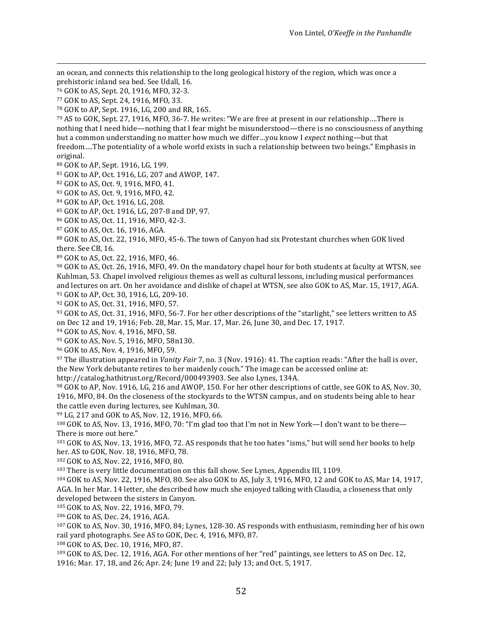an ocean, and connects this relationship to the long geological history of the region, which was once a prehistoric inland sea bed. See Udall, 16.

76 GOK to AS, Sept. 20, 1916, MFO, 32-3.

77 GOK to AS, Sept. 24, 1916, MFO, 33.

<sup>78</sup> GOK to AP, Sept. 1916, LG, 200 and RR, 165.

 $79$  AS to GOK, Sept. 27, 1916, MFO, 36-7. He writes: "We are free at present in our relationship....There is nothing that I need hide—nothing that I fear might be misunderstood—there is no consciousness of anything but a common understanding no matter how much we differ...vou know I *expect* nothing—but that freedom....The potentiality of a whole world exists in such a relationship between two beings." Emphasis in original.

<u> 1989 - Andrea San Andrea San Andrea San Andrea San Andrea San Andrea San Andrea San Andrea San Andrea San An</u>

80 GOK to AP, Sept. 1916, LG, 199.

81 GOK to AP, Oct. 1916, LG, 207 and AWOP, 147.

82 GOK to AS, Oct. 9, 1916, MFO, 41.

83 GOK to AS, Oct. 9, 1916, MFO, 42.

<sup>84</sup> GOK to AP, Oct. 1916, LG, 208.

85 GOK to AP, Oct. 1916, LG, 207-8 and DP, 97.

86 GOK to AS, Oct. 11, 1916, MFO, 42-3.

87 GOK to AS, Oct. 16, 1916, AGA.

88 GOK to AS, Oct. 22, 1916, MFO, 45-6. The town of Canyon had six Protestant churches when GOK lived there. See CB, 16.

89 GOK to AS, Oct. 22, 1916, MFO, 46.

<sup>90</sup> GOK to AS, Oct. 26, 1916, MFO, 49. On the mandatory chapel hour for both students at faculty at WTSN, see Kuhlman, 53. Chapel involved religious themes as well as cultural lessons, including musical performances and lectures on art. On her avoidance and dislike of chapel at WTSN, see also GOK to AS, Mar. 15, 1917, AGA. 91 GOK to AP, Oct. 30, 1916, LG, 209-10.

92 GOK to AS, Oct. 31, 1916, MFO, 57.

93 GOK to AS, Oct. 31, 1916, MFO, 56-7. For her other descriptions of the "starlight," see letters written to AS on Dec 12 and 19, 1916; Feb. 28, Mar. 15, Mar. 17, Mar. 26, June 30, and Dec. 17, 1917.

94 GOK to AS, Nov. 4, 1916, MFO, 58.

95 GOK to AS, Nov. 5, 1916, MFO, 58n130.

96 GOK to AS, Nov. 4, 1916, MFO, 59.

97 The illustration appeared in *Vanity Fair* 7, no. 3 (Nov. 1916): 41. The caption reads: "After the ball is over, the New York debutante retires to her maidenly couch." The image can be accessed online at:

http://catalog.hathitrust.org/Record/000493903. See also Lynes, 134A.

98 GOK to AP, Nov. 1916, LG, 216 and AWOP, 150. For her other descriptions of cattle, see GOK to AS, Nov. 30, 1916, MFO, 84. On the closeness of the stockyards to the WTSN campus, and on students being able to hear the cattle even during lectures, see Kuhlman, 30.

99 LG, 217 and GOK to AS, Nov. 12, 1916, MFO, 66.

<sup>100</sup> GOK to AS, Nov. 13, 1916, MFO, 70: "I'm glad too that I'm not in New York—I don't want to be there— There is more out here."

101 GOK to AS, Nov. 13, 1916, MFO, 72. AS responds that he too hates "isms," but will send her books to help her. AS to GOK, Nov. 18, 1916, MFO, 78.

102 GOK to AS, Nov. 22, 1916, MFO, 80.

 $103$  There is very little documentation on this fall show. See Lynes, Appendix III, 1109.

 $104$  GOK to AS, Nov. 22, 1916, MFO, 80. See also GOK to AS, July 3, 1916, MFO, 12 and GOK to AS, Mar 14, 1917, AGA. In her Mar. 14 letter, she described how much she enjoyed talking with Claudia, a closeness that only developed between the sisters in Canyon.

105 GOK to AS, Nov. 22, 1916, MFO, 79.

106 GOK to AS, Dec. 24, 1916, AGA.

<sup>107</sup> GOK to AS, Nov. 30, 1916, MFO, 84; Lynes, 128-30. AS responds with enthusiasm, reminding her of his own rail vard photographs. See AS to GOK, Dec. 4, 1916, MFO, 87.

108 GOK to AS, Dec. 10, 1916, MFO, 87.

 $109$  GOK to AS, Dec. 12, 1916, AGA. For other mentions of her "red" paintings, see letters to AS on Dec. 12, 1916; Mar. 17, 18, and 26; Apr. 24; June 19 and 22; July 13; and Oct. 5, 1917.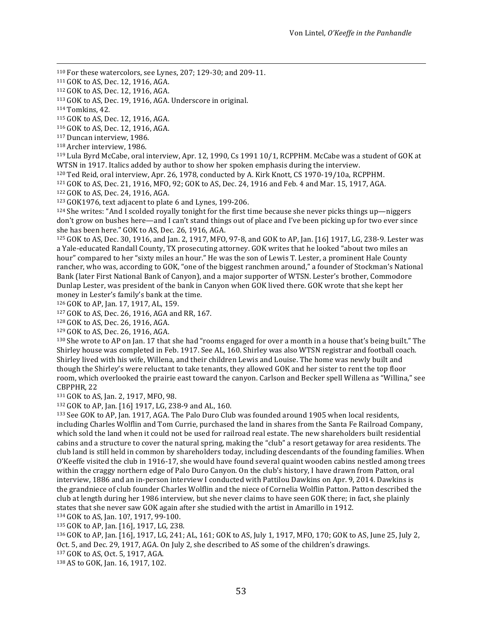$110$  For these watercolors, see Lynes, 207; 129-30; and 209-11.

111 GOK to AS, Dec. 12, 1916, AGA.

112 GOK to AS, Dec. 12, 1916, AGA.

<sup>113</sup> GOK to AS, Dec. 19, 1916, AGA. Underscore in original.

<sup>114</sup> Tomkins, 42.

115 GOK to AS, Dec. 12, 1916, AGA.

116 GOK to AS, Dec. 12, 1916, AGA.

<sup>117</sup> Duncan interview, 1986.

<sup>118</sup> Archer interview, 1986.

 $119$  Lula Byrd McCabe, oral interview, Apr. 12, 1990, Cs 1991 10/1, RCPPHM. McCabe was a student of GOK at WTSN in 1917. Italics added by author to show her spoken emphasis during the interview.

<u> 1989 - Andrea San Andrea San Andrea San Andrea San Andrea San Andrea San Andrea San Andrea San Andrea San An</u>

<sup>120</sup> Ted Reid, oral interview, Apr. 26, 1978, conducted by A. Kirk Knott, CS 1970-19/10a, RCPPHM.

 $121$  GOK to AS, Dec. 21, 1916, MFO, 92; GOK to AS, Dec. 24, 1916 and Feb. 4 and Mar. 15, 1917, AGA.

122 GOK to AS, Dec. 24, 1916, AGA.

 $123$  GOK1976, text adjacent to plate 6 and Lynes, 199-206.

 $124$  She writes: "And I scolded royally tonight for the first time because she never picks things up—niggers don't grow on bushes here—and I can't stand things out of place and I've been picking up for two ever since she has been here." GOK to AS, Dec. 26, 1916, AGA.

125 GOK to AS, Dec. 30, 1916, and Jan. 2, 1917, MFO, 97-8, and GOK to AP, Jan. [16] 1917, LG, 238-9. Lester was a Yale-educated Randall County, TX prosecuting attorney. GOK writes that he looked "about two miles an hour" compared to her "sixty miles an hour." He was the son of Lewis T. Lester, a prominent Hale County rancher, who was, according to GOK, "one of the biggest ranchmen around," a founder of Stockman's National Bank (later First National Bank of Canyon), and a major supporter of WTSN. Lester's brother, Commodore Dunlap Lester, was president of the bank in Canyon when GOK lived there. GOK wrote that she kept her money in Lester's family's bank at the time.

126 GOK to AP, Jan. 17, 1917, AL, 159.

127 GOK to AS, Dec. 26, 1916, AGA and RR, 167.

128 GOK to AS, Dec. 26, 1916, AGA.

129 GOK to AS, Dec. 26, 1916, AGA.

 $130$  She wrote to AP on Jan. 17 that she had "rooms engaged for over a month in a house that's being built." The Shirley house was completed in Feb. 1917. See AL, 160. Shirley was also WTSN registrar and football coach. Shirley lived with his wife, Willena, and their children Lewis and Louise. The home was newly built and though the Shirley's were reluctant to take tenants, they allowed GOK and her sister to rent the top floor room, which overlooked the prairie east toward the canyon. Carlson and Becker spell Willena as "Willina," see CBPPHR*,* 22

131 GOK to AS, Jan. 2, 1917, MFO, 98.

132 GOK to AP, Jan. [16] 1917, LG, 238-9 and AL, 160.

133 See GOK to AP, Jan. 1917, AGA. The Palo Duro Club was founded around 1905 when local residents, including Charles Wolflin and Tom Currie, purchased the land in shares from the Santa Fe Railroad Company, which sold the land when it could not be used for railroad real estate. The new shareholders built residential cabins and a structure to cover the natural spring, making the "club" a resort getaway for area residents. The club land is still held in common by shareholders today, including descendants of the founding families. When O'Keeffe visited the club in 1916-17, she would have found several quaint wooden cabins nestled among trees within the craggy northern edge of Palo Duro Canyon. On the club's history, I have drawn from Patton, oral interview, 1886 and an in-person interview I conducted with Pattilou Dawkins on Apr. 9, 2014. Dawkins is the grandniece of club founder Charles Wolflin and the niece of Cornelia Wolflin Patton. Patton described the club at length during her 1986 interview, but she never claims to have seen GOK there; in fact, she plainly states that she never saw GOK again after she studied with the artist in Amarillo in 1912. 134 GOK to AS, Jan. 10?, 1917, 99-100.

135 GOK to AP, Jan. [16], 1917, LG, 238.

 $^{136}$  GOK to AP, Jan. [16], 1917, LG, 241; AL, 161; GOK to AS, July 1, 1917, MFO, 170; GOK to AS, June 25, July 2, Oct. 5, and Dec. 29, 1917, AGA. On July 2, she described to AS some of the children's drawings.

137 GOK to AS, Oct. 5, 1917, AGA.

138 AS to GOK, Jan. 16, 1917, 102.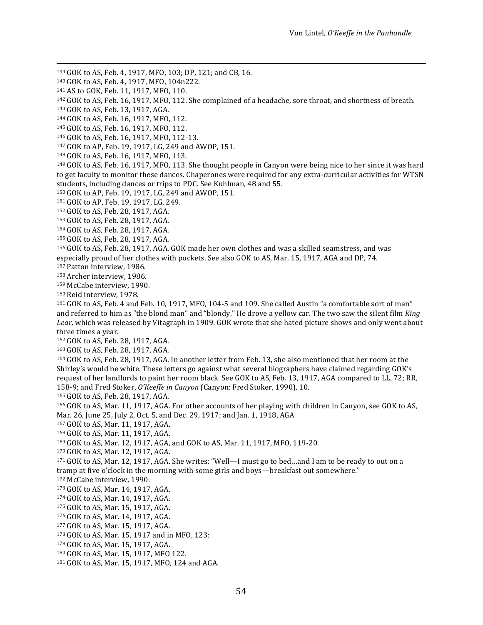139 GOK to AS, Feb. 4, 1917, MFO, 103; DP, 121; and CB, 16.

140 GOK to AS, Feb. 4, 1917, MFO, 104n222.

141 AS to GOK, Feb. 11, 1917, MFO, 110.

<sup>142</sup> GOK to AS, Feb. 16, 1917, MFO, 112. She complained of a headache, sore throat, and shortness of breath.

<u> 1989 - Andrea San Andrea San Andrea San Andrea San Andrea San Andrea San Andrea San Andrea San Andrea San An</u>

143 GOK to AS, Feb. 13, 1917, AGA.

144 GOK to AS, Feb. 16, 1917, MFO, 112.

145 GOK to AS, Feb. 16, 1917, MFO, 112.

146 GOK to AS, Feb. 16, 1917, MFO, 112-13.

147 GOK to AP, Feb. 19, 1917, LG, 249 and AWOP, 151.

148 GOK to AS, Feb. 16, 1917, MFO, 113.

<sup>149</sup> GOK to AS, Feb. 16, 1917, MFO, 113. She thought people in Canyon were being nice to her since it was hard to get faculty to monitor these dances. Chaperones were required for any extra-curricular activities for WTSN students, including dances or trips to PDC. See Kuhlman, 48 and 55.

150 GOK to AP, Feb. 19, 1917, LG, 249 and AWOP, 151.

151 GOK to AP, Feb. 19, 1917, LG, 249.

152 GOK to AS, Feb. 28, 1917, AGA.

153 GOK to AS, Feb. 28, 1917, AGA.

154 GOK to AS, Feb. 28, 1917, AGA.

155 GOK to AS, Feb. 28, 1917, AGA.

 $156$  GOK to AS, Feb. 28, 1917, AGA. GOK made her own clothes and was a skilled seamstress, and was especially proud of her clothes with pockets. See also GOK to AS, Mar. 15, 1917, AGA and DP, 74.

157 Patton interview, 1986.

<sup>158</sup> Archer interview, 1986.

159 McCabe interview, 1990.

160 Reid interview, 1978.

161 GOK to AS, Feb. 4 and Feb. 10, 1917, MFO, 104-5 and 109. She called Austin "a comfortable sort of man" and referred to him as "the blond man" and "blondy." He drove a yellow car. The two saw the silent film *King Lear*, which was released by Vitagraph in 1909. GOK wrote that she hated picture shows and only went about three times a vear.

162 GOK to AS, Feb. 28, 1917, AGA.

163 GOK to AS, Feb. 28, 1917, AGA.

<sup>164</sup> GOK to AS, Feb. 28, 1917, AGA. In another letter from Feb. 13, she also mentioned that her room at the Shirley's would be white. These letters go against what several biographers have claimed regarding GOK's request of her landlords to paint her room black. See GOK to AS, Feb. 13, 1917, AGA compared to LL, 72; RR, 158-9; and Fred Stoker, O'Keeffe in Canyon (Canyon: Fred Stoker, 1990), 10.

165 GOK to AS, Feb. 28, 1917, AGA.

<sup>166</sup> GOK to AS, Mar. 11, 1917, AGA. For other accounts of her playing with children in Canyon, see GOK to AS, Mar. 26, June 25, July 2, Oct. 5, and Dec. 29, 1917; and Jan. 1, 1918, AGA

167 GOK to AS, Mar. 11, 1917, AGA.

168 GOK to AS, Mar. 11, 1917, AGA.

169 GOK to AS, Mar. 12, 1917, AGA, and GOK to AS, Mar. 11, 1917, MFO, 119-20.

170 GOK to AS, Mar. 12, 1917, AGA.

171 GOK to AS, Mar. 12, 1917, AGA. She writes: "Well—I must go to bed...and I am to be ready to out on a tramp at five o'clock in the morning with some girls and boys—breakfast out somewhere."

172 McCabe interview, 1990.

173 GOK to AS, Mar. 14, 1917, AGA.

174 GOK to AS, Mar. 14, 1917, AGA.

175 GOK to AS, Mar. 15, 1917, AGA.

176 GOK to AS, Mar. 14, 1917, AGA.

177 GOK to AS, Mar. 15, 1917, AGA.

 $178$  GOK to AS, Mar, 15, 1917 and in MFO, 123:

179 GOK to AS, Mar. 15, 1917, AGA.

180 GOK to AS, Mar. 15, 1917, MFO 122.

181 GOK to AS, Mar. 15, 1917, MFO, 124 and AGA.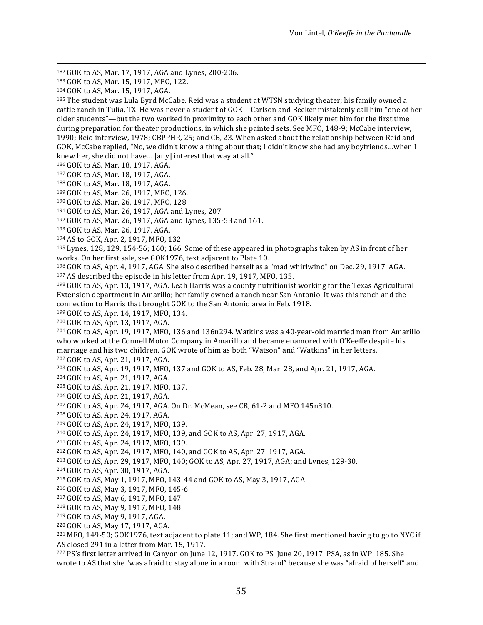- 183 GOK to AS, Mar. 15, 1917, MFO, 122.
- 184 GOK to AS, Mar. 15, 1917, AGA.

185 The student was Lula Byrd McCabe. Reid was a student at WTSN studying theater; his family owned a cattle ranch in Tulia, TX. He was never a student of GOK—Carlson and Becker mistakenly call him "one of her older students"—but the two worked in proximity to each other and GOK likely met him for the first time during preparation for theater productions, in which she painted sets. See MFO, 148-9; McCabe interview, 1990; Reid interview, 1978; CBPPHR, 25; and CB, 23. When asked about the relationship between Reid and GOK, McCabe replied, "No, we didn't know a thing about that; I didn't know she had any boyfriends...when I knew her, she did not have... [any] interest that way at all."

<u> 1989 - Andrea San Andrea San Andrea San Andrea San Andrea San Andrea San Andrea San Andrea San Andrea San An</u>

- 186 GOK to AS, Mar. 18, 1917, AGA.
- 187 GOK to AS, Mar. 18, 1917, AGA.
- 188 GOK to AS, Mar. 18, 1917, AGA.
- 189 GOK to AS, Mar. 26, 1917, MFO, 126.
- 190 GOK to AS, Mar. 26, 1917, MFO, 128.
- 191 GOK to AS, Mar. 26, 1917, AGA and Lynes, 207.
- 192 GOK to AS, Mar. 26, 1917, AGA and Lynes, 135-53 and 161.
- 193 GOK to AS, Mar. 26, 1917, AGA.
- 194 AS to GOK, Apr. 2, 1917, MFO, 132.
- $195$  Lynes, 128, 129, 154-56; 160; 166. Some of these appeared in photographs taken by AS in front of her works. On her first sale, see GOK1976, text adjacent to Plate 10.
- $196$  GOK to AS, Apr. 4, 1917, AGA. She also described herself as a "mad whirlwind" on Dec. 29, 1917, AGA. <sup>197</sup> AS described the episode in his letter from Apr. 19, 1917, MFO, 135.
- <sup>198</sup> GOK to AS, Apr. 13, 1917, AGA. Leah Harris was a county nutritionist working for the Texas Agricultural Extension department in Amarillo; her family owned a ranch near San Antonio. It was this ranch and the connection to Harris that brought GOK to the San Antonio area in Feb. 1918.
- 199 GOK to AS, Apr. 14, 1917, MFO, 134.
- <sup>200</sup> GOK to AS, Apr. 13, 1917, AGA.

 $^{201}$  GOK to AS, Apr. 19, 1917, MFO, 136 and 136n294. Watkins was a 40-year-old married man from Amarillo, who worked at the Connell Motor Company in Amarillo and became enamored with O'Keeffe despite his marriage and his two children. GOK wrote of him as both "Watson" and "Watkins" in her letters.

- <sup>202</sup> GOK to AS, Apr. 21, 1917, AGA.
- <sup>203</sup> GOK to AS, Apr. 19, 1917, MFO, 137 and GOK to AS, Feb. 28, Mar. 28, and Apr. 21, 1917, AGA.
- <sup>204</sup> GOK to AS, Apr. 21, 1917, AGA.
- 205 GOK to AS, Apr. 21, 1917, MFO, 137.
- <sup>206</sup> GOK to AS, Apr. 21, 1917, AGA.
- <sup>207</sup> GOK to AS, Apr. 24, 1917, AGA. On Dr. McMean, see CB, 61-2 and MFO 145n310.
- <sup>208</sup> GOK to AS, Apr. 24, 1917, AGA.
- <sup>209</sup> GOK to AS, Apr. 24, 1917, MFO, 139.
- <sup>210</sup> GOK to AS, Apr. 24, 1917, MFO, 139, and GOK to AS, Apr. 27, 1917, AGA.
- <sup>211</sup> GOK to AS, Apr. 24, 1917, MFO, 139.
- 212 GOK to AS, Apr. 24, 1917, MFO, 140, and GOK to AS, Apr. 27, 1917, AGA.
- <sup>213</sup> GOK to AS, Apr. 29, 1917, MFO, 140; GOK to AS, Apr. 27, 1917, AGA; and Lynes, 129-30.
- <sup>214</sup> GOK to AS, Apr. 30, 1917, AGA.
- <sup>215</sup> GOK to AS, May 1, 1917, MFO, 143-44 and GOK to AS, May 3, 1917, AGA.
- 216 GOK to AS, May 3, 1917, MFO, 145-6.
- <sup>217</sup> GOK to AS, May 6, 1917, MFO, 147.
- <sup>218</sup> GOK to AS, May 9, 1917, MFO, 148.
- 219 GOK to AS, May 9, 1917, AGA.
- 220 GOK to AS, May 17, 1917, AGA.
- <sup>221</sup> MFO, 149-50; GOK1976, text adjacent to plate 11; and WP, 184. She first mentioned having to go to NYC if AS closed 291 in a letter from Mar. 15, 1917.

 $222$  PS's first letter arrived in Canyon on June 12, 1917. GOK to PS, June 20, 1917, PSA, as in WP, 185. She wrote to AS that she "was afraid to stay alone in a room with Strand" because she was "afraid of herself" and

<sup>182</sup> GOK to AS, Mar. 17, 1917, AGA and Lynes, 200-206.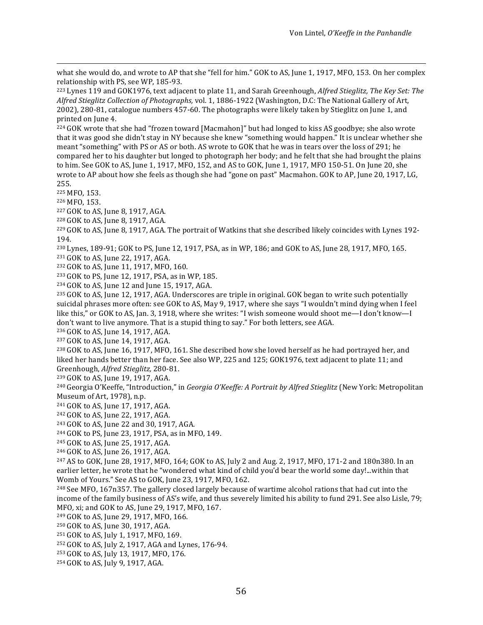<u> 1989 - Andrea San Andrea San Andrea San Andrea San Andrea San Andrea San Andrea San Andrea San Andrea San An</u> what she would do, and wrote to AP that she "fell for him." GOK to AS, June 1, 1917, MFO, 153. On her complex relationship with PS, see WP, 185-93.

<sup>223</sup> Lynes 119 and GOK1976, text adjacent to plate 11, and Sarah Greenhough, *Alfred Stieglitz, The Key Set: The* Alfred Stieglitz Collection of Photographs, vol. 1, 1886-1922 (Washington, D.C: The National Gallery of Art, 2002), 280-81, catalogue numbers 457-60. The photographs were likely taken by Stieglitz on June 1, and printed on June 4.

 $224$  GOK wrote that she had "frozen toward [Macmahon]" but had longed to kiss AS goodbye; she also wrote that it was good she didn't stay in NY because she knew "something would happen." It is unclear whether she meant "something" with PS or AS or both. AS wrote to GOK that he was in tears over the loss of 291; he compared her to his daughter but longed to photograph her body; and he felt that she had brought the plains to him. See GOK to AS, June 1, 1917, MFO, 152, and AS to GOK, June 1, 1917, MFO 150-51. On June 20, she wrote to AP about how she feels as though she had "gone on past" Macmahon. GOK to AP, June 20, 1917, LG, 255.

225 MFO, 153.

226 MFO, 153.

227 GOK to AS, June 8, 1917, AGA.

<sup>228</sup> GOK to AS, June 8, 1917, AGA.

<sup>229</sup> GOK to AS, June 8, 1917, AGA. The portrait of Watkins that she described likely coincides with Lynes 192-194.

- $230$  Lynes, 189-91; GOK to PS, June 12, 1917, PSA, as in WP, 186; and GOK to AS, June 28, 1917, MFO, 165.
- <sup>231</sup> GOK to AS, June 22, 1917, AGA.

<sup>232</sup> GOK to AS, June 11, 1917, MFO, 160.

233 GOK to PS, June 12, 1917, PSA, as in WP, 185.

 $234$  GOK to AS, June 12 and June 15, 1917, AGA.

<sup>235</sup> GOK to AS, June 12, 1917, AGA. Underscores are triple in original. GOK began to write such potentially suicidal phrases more often: see GOK to AS, May 9, 1917, where she says "I wouldn't mind dying when I feel like this," or GOK to AS, Jan. 3, 1918, where she writes: "I wish someone would shoot me—I don't know—I don't want to live anymore. That is a stupid thing to say." For both letters, see AGA.

<sup>236</sup> GOK to AS, June 14, 1917, AGA.

<sup>237</sup> GOK to AS, June 14, 1917, AGA.

<sup>238</sup> GOK to AS, June 16, 1917, MFO, 161. She described how she loved herself as he had portrayed her, and liked her hands better than her face. See also WP, 225 and 125; GOK1976, text adjacent to plate 11; and Greenhough, *Alfred Stieglitz,* 280-81.

<sup>239</sup> GOK to AS, June 19, 1917, AGA.

<sup>240</sup> Georgia O'Keeffe, "Introduction," in *Georgia O'Keeffe: A Portrait by Alfred Stieglitz* (New York: Metropolitan Museum of Art, 1978), n.p.

<sup>241</sup> GOK to AS, June 17, 1917, AGA.

<sup>242</sup> GOK to AS, June 22, 1917, AGA.

<sup>243</sup> GOK to AS, June 22 and 30, 1917, AGA.

<sup>244</sup> GOK to PS, June 23, 1917, PSA, as in MFO, 149.

<sup>245</sup> GOK to AS, June 25, 1917, AGA.

<sup>246</sup> GOK to AS, June 26, 1917, AGA.

 $247$  AS to GOK, June 28, 1917, MFO, 164; GOK to AS, July 2 and Aug. 2, 1917, MFO, 171-2 and 180n380. In an earlier letter, he wrote that he "wondered what kind of child you'd bear the world some day!...within that Womb of Yours." See AS to GOK, June 23, 1917, MFO, 162.

<sup>248</sup> See MFO, 167n357. The gallery closed largely because of wartime alcohol rations that had cut into the income of the family business of AS's wife, and thus severely limited his ability to fund 291. See also Lisle, 79; MFO, xi; and GOK to AS, June 29, 1917, MFO, 167.

<sup>249</sup> GOK to AS, June 29, 1917, MFO, 166.

<sup>250</sup> GOK to AS, June 30, 1917, AGA.

<sup>251</sup> GOK to AS, July 1, 1917, MFO, 169.

252 GOK to AS, July 2, 1917, AGA and Lynes, 176-94.

<sup>253</sup> GOK to AS, July 13, 1917, MFO, 176.

<sup>254</sup> GOK to AS, July 9, 1917, AGA.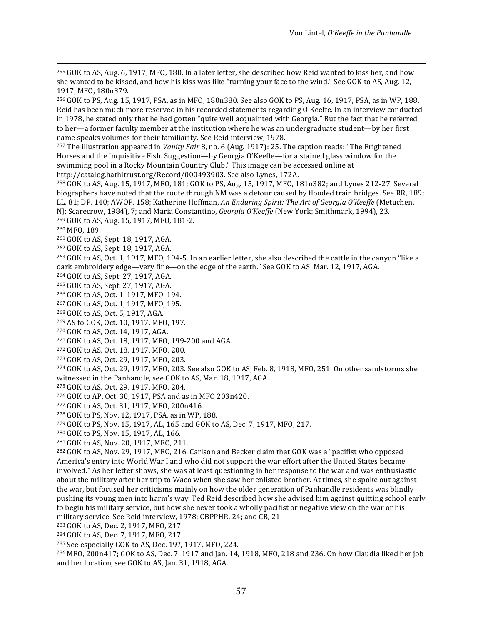$^{255}$  GOK to AS, Aug. 6, 1917, MFO, 180. In a later letter, she described how Reid wanted to kiss her, and how she wanted to be kissed, and how his kiss was like "turning your face to the wind." See GOK to AS, Aug. 12, 1917, MFO, 180n379.

<u> 1989 - Andrea San Andrea San Andrea San Andrea San Andrea San Andrea San Andrea San Andrea San Andrea San An</u>

 $256$  GOK to PS, Aug. 15, 1917, PSA, as in MFO, 180n380. See also GOK to PS, Aug. 16, 1917, PSA, as in WP, 188. Reid has been much more reserved in his recorded statements regarding O'Keeffe. In an interview conducted in 1978, he stated only that he had gotten "quite well acquainted with Georgia." But the fact that he referred to her—a former faculty member at the institution where he was an undergraduate student—by her first name speaks volumes for their familiarity. See Reid interview, 1978.

<sup>257</sup> The illustration appeared in *Vanity Fair* 8, no. 6 (Aug. 1917): 25. The caption reads: "The Frightened Horses and the Inquisitive Fish. Suggestion—by Georgia O'Keeffe—for a stained glass window for the swimming pool in a Rocky Mountain Country Club." This image can be accessed online at http://catalog.hathitrust.org/Record/000493903. See also Lynes, 172A.

 $^{258}$  GOK to AS, Aug. 15, 1917, MFO, 181; GOK to PS, Aug. 15, 1917, MFO, 181n382; and Lynes 212-27. Several biographers have noted that the route through NM was a detour caused by flooded train bridges. See RR, 189; LL, 81; DP, 140; AWOP, 158; Katherine Hoffman, An Enduring Spirit: The Art of Georgia O'Keeffe (Metuchen, NJ: Scarecrow, 1984), 7; and Maria Constantino, *Georgia O'Keeffe* (New York: Smithmark, 1994), 23.

<sup>259</sup> GOK to AS, Aug. 15, 1917, MFO, 181-2.

260 MFO, 189.

- <sup>261</sup> GOK to AS, Sept. 18, 1917, AGA.
- <sup>262</sup> GOK to AS, Sept. 18, 1917, AGA.
- <sup>263</sup> GOK to AS, Oct. 1, 1917, MFO, 194-5. In an earlier letter, she also described the cattle in the canyon "like a dark embroidery edge—very fine—on the edge of the earth." See GOK to AS, Mar. 12, 1917, AGA.
- <sup>264</sup> GOK to AS, Sept. 27, 1917, AGA.
- <sup>265</sup> GOK to AS, Sept. 27, 1917, AGA.
- <sup>266</sup> GOK to AS, Oct. 1, 1917, MFO, 194.
- 267 GOK to AS, Oct. 1, 1917, MFO, 195.
- <sup>268</sup> GOK to AS, Oct. 5, 1917, AGA.
- <sup>269</sup> AS to GOK, Oct. 10, 1917, MFO, 197.
- <sup>270</sup> GOK to AS, Oct. 14, 1917, AGA.
- 271 GOK to AS, Oct. 18, 1917, MFO, 199-200 and AGA.
- 272 GOK to AS, Oct. 18, 1917, MFO, 200.
- 273 GOK to AS, Oct. 29, 1917, MFO, 203.
- $274$  GOK to AS, Oct. 29, 1917, MFO, 203. See also GOK to AS, Feb. 8, 1918, MFO, 251. On other sandstorms she witnessed in the Panhandle, see GOK to AS, Mar. 18, 1917, AGA.
- 275 GOK to AS, Oct. 29, 1917, MFO, 204.
- 276 GOK to AP, Oct. 30, 1917, PSA and as in MFO 203n420.
- <sup>277</sup> GOK to AS, Oct. 31, 1917, MFO, 200n416.
- 278 GOK to PS, Nov. 12, 1917, PSA, as in WP, 188.
- <sup>279</sup> GOK to PS, Nov. 15, 1917, AL, 165 and GOK to AS, Dec. 7, 1917, MFO, 217.
- <sup>280</sup> GOK to PS, Nov. 15, 1917, AL, 166.
- <sup>281</sup> GOK to AS, Nov. 20, 1917, MFO, 211.

 $282$  GOK to AS, Nov. 29, 1917, MFO, 216. Carlson and Becker claim that GOK was a "pacifist who opposed America's entry into World War I and who did not support the war effort after the United States became involved." As her letter shows, she was at least questioning in her response to the war and was enthusiastic about the military after her trip to Waco when she saw her enlisted brother. At times, she spoke out against the war, but focused her criticisms mainly on how the older generation of Panhandle residents was blindly pushing its young men into harm's way. Ted Reid described how she advised him against quitting school early to begin his military service, but how she never took a wholly pacifist or negative view on the war or his military service. See Reid interview, 1978; CBPPHR*,* 24; and CB*,* 21.

- <sup>283</sup> GOK to AS, Dec. 2, 1917, MFO, 217.
- <sup>284</sup> GOK to AS, Dec. 7, 1917, MFO, 217.
- <sup>285</sup> See especially GOK to AS, Dec. 19?, 1917, MFO, 224.

 $286$  MFO, 200n417; GOK to AS, Dec. 7, 1917 and Jan. 14, 1918, MFO, 218 and 236. On how Claudia liked her job and her location, see GOK to AS, Jan. 31, 1918, AGA.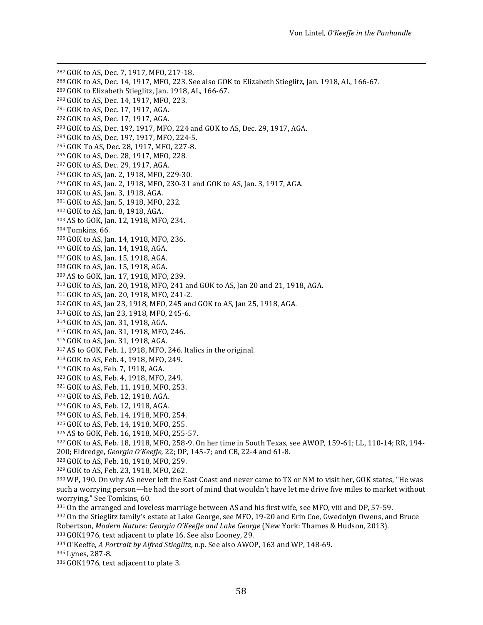<sup>288</sup> GOK to AS, Dec. 14, 1917, MFO, 223. See also GOK to Elizabeth Stieglitz, Jan. 1918, AL, 166-67. <sup>289</sup> GOK to Elizabeth Stieglitz, Jan. 1918, AL, 166-67. <sup>290</sup> GOK to AS, Dec. 14, 1917, MFO, 223. <sup>291</sup> GOK to AS, Dec. 17, 1917, AGA. <sup>292</sup> GOK to AS, Dec. 17, 1917, AGA. <sup>293</sup> GOK to AS, Dec. 19?, 1917, MFO, 224 and GOK to AS, Dec. 29, 1917, AGA. <sup>294</sup> GOK to AS, Dec. 19?, 1917, MFO, 224-5. 295 GOK To AS, Dec. 28, 1917, MFO, 227-8. <sup>296</sup> GOK to AS, Dec. 28, 1917, MFO, 228. 297 GOK to AS, Dec. 29, 1917, AGA. <sup>298</sup> GOK to AS, Jan. 2, 1918, MFO, 229-30. <sup>299</sup> GOK to AS, Jan. 2, 1918, MFO, 230-31 and GOK to AS, Jan. 3, 1917, AGA. 300 GOK to AS, Jan. 3, 1918, AGA.

301 GOK to AS, Jan. 5, 1918, MFO, 232.

<sup>287</sup> GOK to AS, Dec. 7, 1917, MFO, 217-18.

- 302 GOK to AS, Jan. 8, 1918, AGA.
- 303 AS to GOK, Jan. 12, 1918, MFO, 234.
- 304 Tomkins, 66.
- 305 GOK to AS, Jan. 14, 1918, MFO, 236.
- 306 GOK to AS, Jan. 14, 1918, AGA.
- 307 GOK to AS, Jan. 15, 1918, AGA.
- 308 GOK to AS, Jan. 15, 1918, AGA.
- 309 AS to GOK, Jan. 17, 1918, MFO, 239.
- 310 GOK to AS, Jan. 20, 1918, MFO, 241 and GOK to AS, Jan 20 and 21, 1918, AGA.
- 311 GOK to AS, Jan. 20, 1918, MFO, 241-2.
- 312 GOK to AS, Jan 23, 1918, MFO, 245 and GOK to AS, Jan 25, 1918, AGA.
- 313 GOK to AS, Jan 23, 1918, MFO, 245-6.
- 314 GOK to AS, Jan. 31, 1918, AGA.
- 315 GOK to AS, Jan. 31, 1918, MFO, 246.
- 316 GOK to AS, Jan. 31, 1918, AGA.
- $317$  AS to GOK, Feb. 1, 1918, MFO, 246. Italics in the original.
- 318 GOK to AS, Feb. 4, 1918, MFO, 249.
- 319 GOK to As, Feb. 7, 1918, AGA.
- 320 GOK to AS, Feb. 4, 1918, MFO, 249.
- 321 GOK to AS, Feb. 11, 1918, MFO, 253.
- 322 GOK to AS, Feb. 12, 1918, AGA.
- 323 GOK to AS, Feb. 12, 1918, AGA.
- 324 GOK to AS, Feb. 14, 1918, MFO, 254.
- 325 GOK to AS, Feb. 14, 1918, MFO, 255.
- 326 AS to GOK, Feb. 16, 1918, MFO, 255-57.

327 GOK to AS, Feb. 18, 1918, MFO, 258-9. On her time in South Texas, see AWOP, 159-61; LL, 110-14; RR, 194-200; Eldredge, *Georgia O'Keeffe*, 22; DP, 145-7; and CB, 22-4 and 61-8.

<u> 1989 - Andrea San Andrea San Andrea San Andrea San Andrea San Andrea San Andrea San Andrea San Andrea San An</u>

- 328 GOK to AS, Feb. 18, 1918, MFO, 259.
- 329 GOK to AS, Feb. 23, 1918, MFO, 262.

330 WP, 190. On why AS never left the East Coast and never came to TX or NM to visit her, GOK states, "He was such a worrying person—he had the sort of mind that wouldn't have let me drive five miles to market without worrying." See Tomkins, 60.

331 On the arranged and loveless marriage between AS and his first wife, see MFO, viii and DP, 57-59.

332 On the Stieglitz family's estate at Lake George, see MFO, 19-20 and Erin Coe, Gwedolyn Owens, and Bruce Robertson, *Modern Nature: Georgia O'Keeffe and Lake George* (New York: Thames & Hudson, 2013).

- 333 GOK1976, text adiacent to plate 16. See also Looney, 29.
- 334 O'Keeffe, *A Portrait by Alfred Stieglitz*, n.p. See also AWOP, 163 and WP, 148-69.

335 Lynes, 287-8.

336 GOK1976, text adjacent to plate 3.